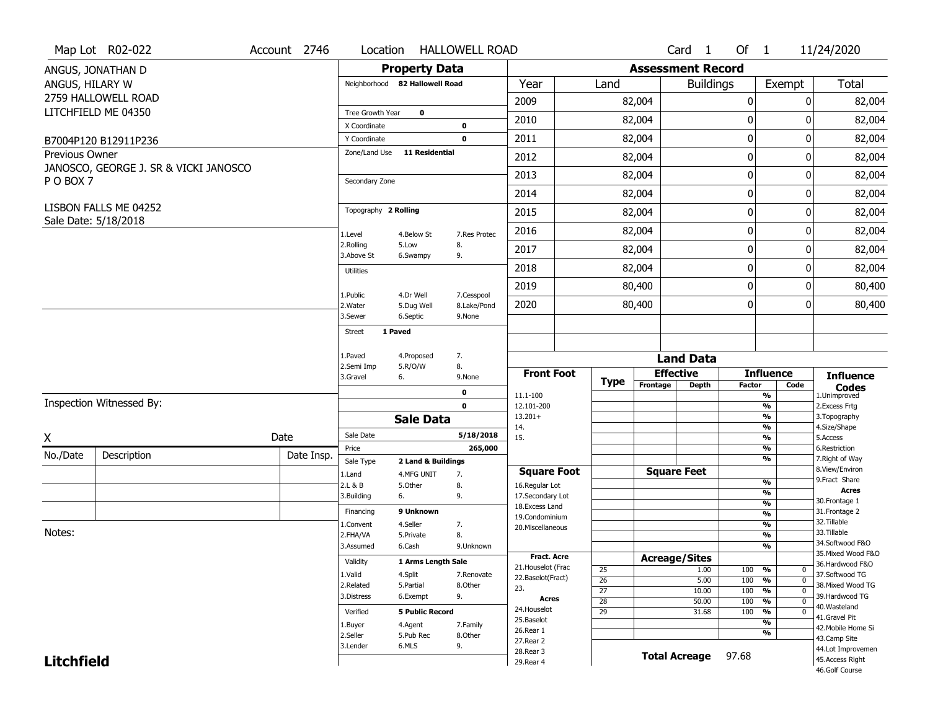|                       | Map Lot R02-022                       | Account 2746 | Location              |                                  | <b>HALLOWELL ROAD</b> |                                         |                                    |                          | Card 1                           | Of $1$      |                                                   | 11/24/2020                            |
|-----------------------|---------------------------------------|--------------|-----------------------|----------------------------------|-----------------------|-----------------------------------------|------------------------------------|--------------------------|----------------------------------|-------------|---------------------------------------------------|---------------------------------------|
|                       | ANGUS, JONATHAN D                     |              |                       | <b>Property Data</b>             |                       |                                         |                                    | <b>Assessment Record</b> |                                  |             |                                                   |                                       |
| ANGUS, HILARY W       |                                       |              |                       | Neighborhood 82 Hallowell Road   |                       | Year                                    | Land                               |                          | <b>Buildings</b>                 |             | Exempt                                            | <b>Total</b>                          |
|                       | 2759 HALLOWELL ROAD                   |              |                       |                                  |                       | 2009                                    |                                    | 82,004                   |                                  | 0           | 0                                                 | 82,004                                |
|                       | LITCHFIELD ME 04350                   |              | Tree Growth Year      | $\mathbf 0$                      |                       |                                         |                                    |                          |                                  |             |                                                   |                                       |
|                       |                                       |              | X Coordinate          |                                  | $\bf{0}$              | 2010                                    |                                    | 82,004                   |                                  | 0           | 0                                                 | 82,004                                |
|                       | B7004P120 B12911P236                  |              | Y Coordinate          |                                  | 0                     | 2011                                    |                                    | 82,004                   |                                  | $\mathbf 0$ | 0                                                 | 82,004                                |
| <b>Previous Owner</b> |                                       |              | Zone/Land Use         | <b>11 Residential</b>            |                       | 2012                                    |                                    | 82,004                   |                                  | 0           | 0                                                 | 82,004                                |
| PO BOX 7              | JANOSCO, GEORGE J. SR & VICKI JANOSCO |              | Secondary Zone        |                                  |                       | 2013                                    |                                    | 82,004                   |                                  | $\mathbf 0$ | 0                                                 | 82,004                                |
|                       |                                       |              |                       |                                  |                       | 2014                                    |                                    | 82,004                   |                                  | $\mathbf 0$ | 0                                                 | 82,004                                |
|                       | LISBON FALLS ME 04252                 |              | Topography 2 Rolling  |                                  |                       | 2015                                    |                                    | 82,004                   |                                  | 0           | 0                                                 | 82,004                                |
|                       | Sale Date: 5/18/2018                  |              |                       |                                  |                       | 2016                                    |                                    | 82,004                   |                                  | $\mathbf 0$ | 0                                                 | 82,004                                |
|                       |                                       |              | 1.Level<br>2.Rolling  | 4.Below St<br>5.Low              | 7.Res Protec<br>8.    | 2017                                    |                                    | 82,004                   |                                  | $\mathbf 0$ | 0                                                 | 82,004                                |
|                       |                                       |              | 3.Above St            | 6.Swampy                         | 9.                    |                                         |                                    |                          |                                  |             | 0                                                 |                                       |
|                       |                                       |              | <b>Utilities</b>      |                                  |                       | 2018                                    |                                    | 82,004                   |                                  | $\mathbf 0$ |                                                   | 82,004                                |
|                       |                                       |              | 1.Public              | 4.Dr Well                        | 7.Cesspool            | 2019                                    |                                    | 80,400                   |                                  | $\mathbf 0$ | 0                                                 | 80,400                                |
|                       |                                       |              | 2. Water<br>3.Sewer   | 5.Dug Well<br>6.Septic           | 8.Lake/Pond<br>9.None | 2020                                    |                                    | 80,400                   |                                  | 0           | 0                                                 | 80,400                                |
|                       |                                       |              | Street                | 1 Paved                          |                       |                                         |                                    |                          |                                  |             |                                                   |                                       |
|                       |                                       |              |                       |                                  |                       |                                         |                                    |                          |                                  |             |                                                   |                                       |
|                       |                                       |              | 1.Paved<br>2.Semi Imp | 4.Proposed<br>5.R/O/W            | 7.<br>8.              |                                         |                                    |                          | <b>Land Data</b>                 |             |                                                   |                                       |
|                       |                                       |              | 3.Gravel              | 6.                               | 9.None                | <b>Front Foot</b>                       | <b>Type</b>                        | Frontage                 | <b>Effective</b><br><b>Depth</b> | Factor      | <b>Influence</b><br>Code                          | <b>Influence</b>                      |
|                       |                                       |              |                       |                                  | 0                     | 11.1-100                                |                                    |                          |                                  |             | %                                                 | <b>Codes</b><br>1.Unimproved          |
|                       | Inspection Witnessed By:              |              |                       |                                  | $\mathbf 0$           | 12.101-200                              |                                    |                          |                                  |             | $\frac{9}{6}$                                     | 2.Excess Frtg                         |
|                       |                                       |              |                       | <b>Sale Data</b>                 |                       | $13.201+$<br>14.                        |                                    |                          |                                  |             | %<br>%                                            | 3. Topography<br>4.Size/Shape         |
| X                     |                                       | Date         | Sale Date             |                                  | 5/18/2018             | 15.                                     |                                    |                          |                                  |             | %                                                 | 5.Access                              |
| No./Date              | Description                           | Date Insp.   | Price                 |                                  | 265,000               |                                         |                                    |                          |                                  |             | %<br>%                                            | 6.Restriction<br>7. Right of Way      |
|                       |                                       |              | Sale Type<br>1.Land   | 2 Land & Buildings<br>4.MFG UNIT | 7.                    | <b>Square Foot</b>                      |                                    |                          | <b>Square Feet</b>               |             |                                                   | 8.View/Environ                        |
|                       |                                       |              | 2.L & B               | 5.Other                          | 8.                    | 16.Regular Lot                          |                                    |                          |                                  |             | $\frac{9}{6}$                                     | 9. Fract Share                        |
|                       |                                       |              | 3.Building            | 6.                               | 9.                    | 17.Secondary Lot                        |                                    |                          |                                  |             | %                                                 | Acres<br>30. Frontage 1               |
|                       |                                       |              | Financing             | 9 Unknown                        |                       | 18.Excess Land                          |                                    |                          |                                  |             | $\frac{9}{6}$<br>$\overline{\frac{9}{6}}$         | 31. Frontage 2                        |
|                       |                                       |              | 1.Convent             | 4.Seller                         | 7.                    | 19.Condominium<br>20. Miscellaneous     |                                    |                          |                                  |             | $\frac{9}{6}$                                     | 32. Tillable                          |
| Notes:                |                                       |              | 2.FHA/VA              | 5.Private                        | 8.                    |                                         |                                    |                          |                                  |             | $\overline{\frac{9}{6}}$                          | 33.Tillable                           |
|                       |                                       |              | 3.Assumed             | 6.Cash                           | 9.Unknown             |                                         |                                    |                          |                                  |             | %                                                 | 34.Softwood F&O                       |
|                       |                                       |              | Validity              | 1 Arms Length Sale               |                       | <b>Fract, Acre</b>                      |                                    |                          | <b>Acreage/Sites</b>             |             |                                                   | 35. Mixed Wood F&O<br>36.Hardwood F&O |
|                       |                                       |              | 1.Valid               | 4.Split                          | 7.Renovate            | 21. Houselot (Frac<br>22.Baselot(Fract) | 25                                 |                          | 1.00                             | 100         | %<br>0                                            | 37.Softwood TG                        |
|                       |                                       |              | 2.Related             | 5.Partial                        | 8.Other               | 23.                                     | $\overline{26}$                    |                          | 5.00                             | 100         | $\overline{0}$<br>%                               | 38. Mixed Wood TG                     |
|                       |                                       |              | 3.Distress            | 6.Exempt                         | 9.                    | <b>Acres</b>                            | $\overline{27}$                    |                          | 10.00                            | 100         | $\frac{9}{6}$<br>$\overline{0}$<br>$\overline{0}$ | 39.Hardwood TG                        |
|                       |                                       |              | Verified              | <b>5 Public Record</b>           |                       | 24. Houselot                            | $\overline{28}$<br>$\overline{29}$ |                          | 50.00<br>31.68                   | 100<br>100  | $\frac{9}{6}$<br>%<br>$\mathbf 0$                 | 40. Wasteland                         |
|                       |                                       |              |                       |                                  |                       | 25.Baselot                              |                                    |                          |                                  |             | $\overline{\frac{9}{6}}$                          | 41.Gravel Pit                         |
|                       |                                       |              | 1.Buyer<br>2.Seller   | 4.Agent<br>5.Pub Rec             | 7.Family<br>8.Other   | 26.Rear 1                               |                                    |                          |                                  |             | %                                                 | 42. Mobile Home Si                    |
|                       |                                       |              |                       |                                  |                       |                                         |                                    |                          |                                  |             |                                                   | 43.Camp Site                          |
|                       |                                       |              |                       |                                  |                       | 27.Rear 2                               |                                    |                          |                                  |             |                                                   |                                       |
| <b>Litchfield</b>     |                                       |              | 3.Lender              | 6.MLS                            | 9.                    | 28. Rear 3<br>29. Rear 4                |                                    |                          | <b>Total Acreage</b>             | 97.68       |                                                   | 44.Lot Improvemen<br>45.Access Right  |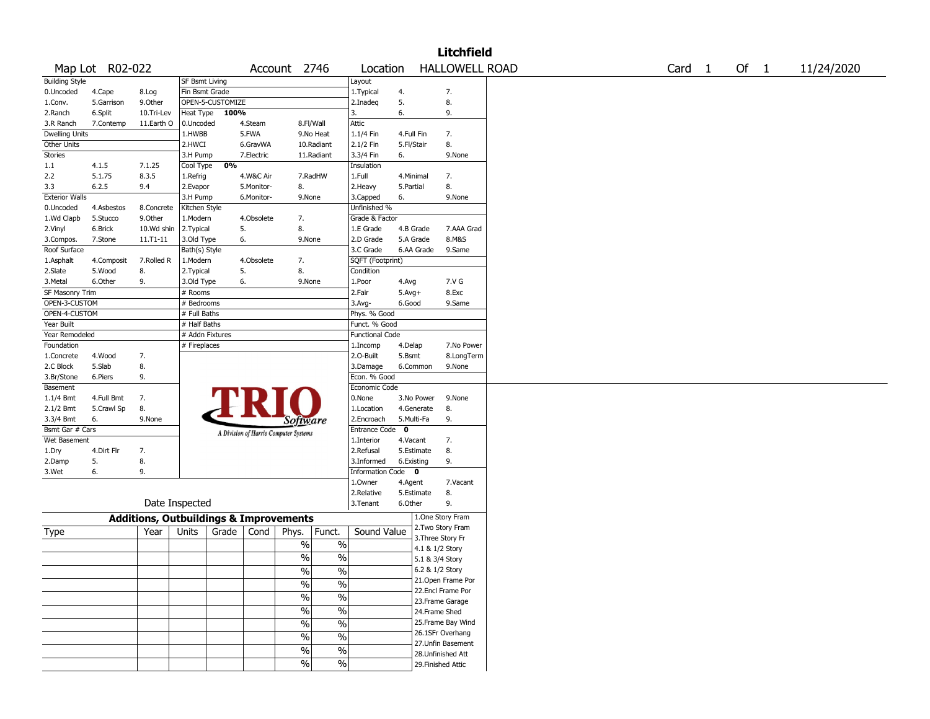|                       |                 |                                                   |                 |                  |            |                                       |                          |                        |             |                 | <b>Litchfield</b>     |                   |      |            |
|-----------------------|-----------------|---------------------------------------------------|-----------------|------------------|------------|---------------------------------------|--------------------------|------------------------|-------------|-----------------|-----------------------|-------------------|------|------------|
|                       | Map Lot R02-022 |                                                   |                 |                  |            | Account 2746                          |                          | Location               |             |                 | <b>HALLOWELL ROAD</b> | Card <sub>1</sub> | Of 1 | 11/24/2020 |
| <b>Building Style</b> |                 |                                                   | SF Bsmt Living  |                  |            |                                       |                          | Layout                 |             |                 |                       |                   |      |            |
| 0.Uncoded             | 4.Cape          | 8.Log                                             | Fin Bsmt Grade  |                  |            |                                       |                          | 1. Typical             | 4.          |                 | 7.                    |                   |      |            |
| 1.Conv.               | 5.Garrison      | 9.0ther                                           |                 | OPEN-5-CUSTOMIZE |            |                                       |                          | 2.Inadeq               | 5.          |                 | 8.                    |                   |      |            |
| 2.Ranch               | 6.Split         | 10.Tri-Lev                                        | Heat Type       | 100%             |            |                                       |                          | 3.                     | 6.          |                 | 9.                    |                   |      |            |
| 3.R Ranch             | 7.Contemp       | 11.Earth O                                        | 0.Uncoded       |                  | 4.Steam    |                                       | 8.Fl/Wall                | Attic                  |             |                 |                       |                   |      |            |
| <b>Dwelling Units</b> |                 |                                                   | 1.HWBB          |                  | 5.FWA      |                                       | 9.No Heat                | 1.1/4 Fin              | 4.Full Fin  |                 | 7.                    |                   |      |            |
| Other Units           |                 |                                                   | 2.HWCI          |                  | 6.GravWA   |                                       | 10.Radiant               | 2.1/2 Fin              | 5.Fl/Stair  |                 | 8.                    |                   |      |            |
| Stories               |                 |                                                   | 3.H Pump        |                  | 7.Electric |                                       | 11.Radiant               | 3.3/4 Fin              | 6.          |                 | 9.None                |                   |      |            |
| 1.1                   | 4.1.5           | 7.1.25                                            | Cool Type       | 0%               |            |                                       |                          | Insulation             |             |                 |                       |                   |      |            |
| 2.2                   | 5.1.75          | 8.3.5                                             | 1.Refrig        |                  | 4.W&C Air  |                                       | 7.RadHW                  | 1.Full                 | 4.Minimal   |                 | 7.                    |                   |      |            |
| 3.3                   | 6.2.5           | 9.4                                               | 2.Evapor        |                  | 5.Monitor- | 8.                                    |                          | 2. Heavy               | 5.Partial   |                 | 8.                    |                   |      |            |
| <b>Exterior Walls</b> |                 |                                                   |                 |                  |            |                                       |                          |                        |             |                 |                       |                   |      |            |
|                       |                 |                                                   | 3.H Pump        |                  | 6.Monitor- | 9.None                                |                          | 3.Capped               | 6.          |                 | 9.None                |                   |      |            |
| 0.Uncoded             | 4.Asbestos      | 8.Concrete                                        | Kitchen Style   |                  |            |                                       |                          | Unfinished %           |             |                 |                       |                   |      |            |
| 1.Wd Clapb            | 5.Stucco        | 9.0ther                                           | 1.Modern        |                  | 4.Obsolete | 7.                                    |                          | Grade & Factor         |             |                 |                       |                   |      |            |
| 2.Vinyl               | 6.Brick         | 10.Wd shin                                        | 2. Typical      | 5.               |            | 8.                                    |                          | 1.E Grade              | 4.B Grade   |                 | 7.AAA Grad            |                   |      |            |
| 3.Compos.             | 7.Stone         | $11. T1 - 11$                                     | 3.Old Type      | 6.               |            | 9.None                                |                          | 2.D Grade              |             | 5.A Grade       | 8.M&S                 |                   |      |            |
| Roof Surface          |                 |                                                   | Bath(s) Style   |                  |            |                                       |                          | 3.C Grade              |             | 6.AA Grade      | 9.Same                |                   |      |            |
| 1.Asphalt             | 4.Composit      | 7.Rolled R                                        | 1.Modern        |                  | 4.Obsolete | 7.                                    |                          | SQFT (Footprint)       |             |                 |                       |                   |      |            |
| 2.Slate               | 5.Wood          | 8.                                                | 2. Typical      | 5.               |            | 8.                                    |                          | Condition              |             |                 |                       |                   |      |            |
| 3. Metal              | 6.Other         | 9.                                                | 3.Old Type      | 6.               |            | 9.None                                |                          | 1.Poor                 | 4.Avg       |                 | 7.V G                 |                   |      |            |
| SF Masonry Trim       |                 |                                                   | # Rooms         |                  |            |                                       |                          | 2.Fair                 | $5.Avg+$    |                 | 8.Exc                 |                   |      |            |
| OPEN-3-CUSTOM         |                 |                                                   | # Bedrooms      |                  |            |                                       |                          | 3.Avg-                 | 6.Good      |                 | 9.Same                |                   |      |            |
| OPEN-4-CUSTOM         |                 |                                                   | # Full Baths    |                  |            |                                       |                          | Phys. % Good           |             |                 |                       |                   |      |            |
| Year Built            |                 |                                                   | # Half Baths    |                  |            |                                       |                          | Funct. % Good          |             |                 |                       |                   |      |            |
| Year Remodeled        |                 |                                                   | # Addn Fixtures |                  |            |                                       |                          | <b>Functional Code</b> |             |                 |                       |                   |      |            |
| Foundation            |                 |                                                   | # Fireplaces    |                  |            |                                       |                          | 1.Incomp               | 4.Delap     |                 | 7.No Power            |                   |      |            |
| 1.Concrete            | 4.Wood          | 7.                                                |                 |                  |            |                                       |                          | 2.0-Built              | 5.Bsmt      |                 | 8.LongTerm            |                   |      |            |
| 2.C Block             | 5.Slab          | 8.                                                |                 |                  |            |                                       |                          | 3.Damage               |             | 6.Common        | 9.None                |                   |      |            |
| 3.Br/Stone            | 6.Piers         | 9.                                                |                 |                  |            |                                       |                          | Econ. % Good           |             |                 |                       |                   |      |            |
| Basement              |                 |                                                   |                 |                  |            |                                       |                          | Economic Code          |             |                 |                       |                   |      |            |
| $1.1/4$ Bmt           | 4.Full Bmt      | 7.                                                |                 |                  |            |                                       |                          | 0.None                 |             | 3.No Power      | 9.None                |                   |      |            |
| 2.1/2 Bmt             | 5.Crawl Sp      | 8.                                                |                 |                  |            |                                       |                          | 1.Location             |             | 4.Generate      | 8.                    |                   |      |            |
| 3.3/4 Bmt             | 6.              | 9.None                                            |                 |                  |            | <i>Software</i>                       |                          | 2.Encroach             | 5.Multi-Fa  |                 | 9.                    |                   |      |            |
| Bsmt Gar # Cars       |                 |                                                   |                 |                  |            |                                       |                          | <b>Entrance Code</b>   | $\mathbf 0$ |                 |                       |                   |      |            |
| Wet Basement          |                 |                                                   |                 |                  |            | A Division of Harris Computer Systems |                          | 1.Interior             | 4.Vacant    |                 | 7.                    |                   |      |            |
| 1.Dry                 | 4.Dirt Flr      | 7.                                                |                 |                  |            |                                       |                          | 2.Refusal              |             | 5.Estimate      | 8.                    |                   |      |            |
| 2.Damp                | 5.              | 8.                                                |                 |                  |            |                                       |                          | 3.Informed             | 6.Existing  |                 | 9.                    |                   |      |            |
| 3.Wet                 | 6.              | 9.                                                |                 |                  |            |                                       |                          | Information Code 0     |             |                 |                       |                   |      |            |
|                       |                 |                                                   |                 |                  |            |                                       |                          |                        |             |                 |                       |                   |      |            |
|                       |                 |                                                   |                 |                  |            |                                       |                          | 1.Owner                | 4.Agent     |                 | 7.Vacant              |                   |      |            |
|                       |                 |                                                   | Date Inspected  |                  |            |                                       |                          | 2.Relative             |             | 5.Estimate      | 8.                    |                   |      |            |
|                       |                 |                                                   |                 |                  |            |                                       |                          | 3. Tenant              | 6.Other     |                 | 9.                    |                   |      |            |
|                       |                 | <b>Additions, Outbuildings &amp; Improvements</b> |                 |                  |            |                                       |                          |                        |             |                 | 1.One Story Fram      |                   |      |            |
| Type                  |                 | Year                                              | Units           | Grade            | Cond       | Phys.                                 | Funct.                   | Sound Value            |             |                 | 2. Two Story Fram     |                   |      |            |
|                       |                 |                                                   |                 |                  |            | $\%$                                  | $\%$                     |                        |             |                 | 3. Three Story Fr     |                   |      |            |
|                       |                 |                                                   |                 |                  |            |                                       |                          |                        |             | 4.1 & 1/2 Story |                       |                   |      |            |
|                       |                 |                                                   |                 |                  |            | $\%$                                  | $\%$                     |                        |             | 5.1 & 3/4 Story |                       |                   |      |            |
|                       |                 |                                                   |                 |                  |            | $\frac{0}{0}$                         | $\frac{0}{0}$            |                        |             | 6.2 & 1/2 Story |                       |                   |      |            |
|                       |                 |                                                   |                 |                  |            | $\sqrt{2}$                            | $\frac{0}{0}$            |                        |             |                 | 21.Open Frame Por     |                   |      |            |
|                       |                 |                                                   |                 |                  |            | $\frac{0}{6}$                         | $\overline{\frac{0}{0}}$ |                        |             |                 | 22.Encl Frame Por     |                   |      |            |
|                       |                 |                                                   |                 |                  |            |                                       |                          |                        |             |                 | 23. Frame Garage      |                   |      |            |
|                       |                 |                                                   |                 |                  |            | $\frac{0}{6}$                         | $\overline{\frac{0}{0}}$ |                        |             | 24.Frame Shed   |                       |                   |      |            |
|                       |                 |                                                   |                 |                  |            | $\frac{0}{6}$                         | $\overline{\frac{0}{0}}$ |                        |             |                 | 25. Frame Bay Wind    |                   |      |            |
|                       |                 |                                                   |                 |                  |            | $\sqrt{2}$                            | $\%$                     |                        |             |                 | 26.1SFr Overhang      |                   |      |            |
|                       |                 |                                                   |                 |                  |            |                                       |                          |                        |             |                 | 27. Unfin Basement    |                   |      |            |
|                       |                 |                                                   |                 |                  |            | $\%$                                  | $\%$                     |                        |             |                 | 28. Unfinished Att    |                   |      |            |
|                       |                 |                                                   |                 |                  |            | $\sqrt{6}$                            | $\%$                     |                        |             |                 | 29. Finished Attic    |                   |      |            |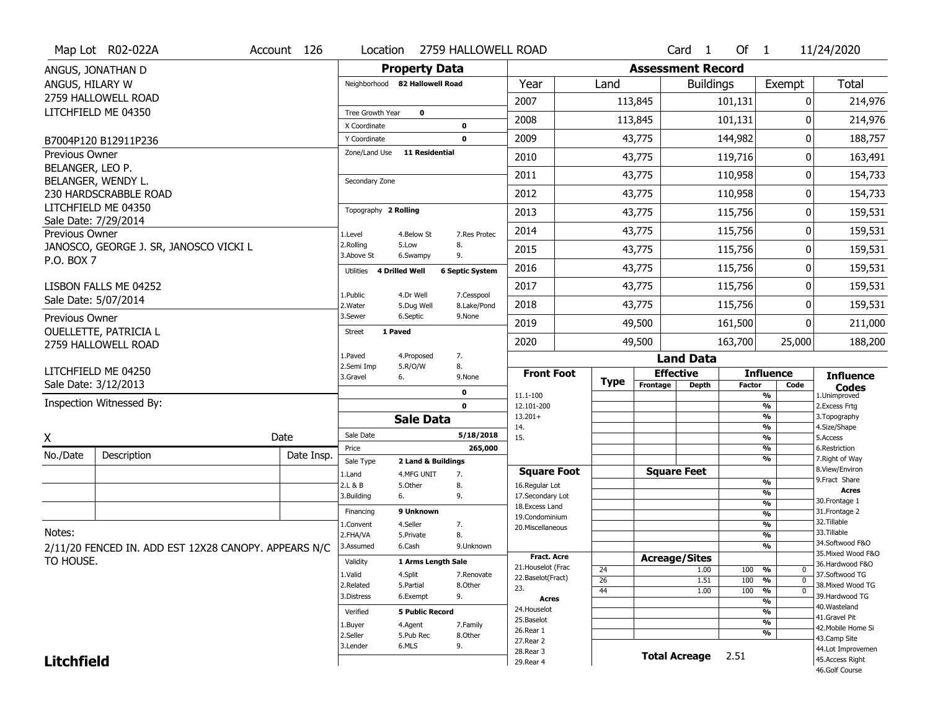|                       | Map Lot R02-022A                                     | Account 126 | Location              |                                | 2759 HALLOWELL ROAD    |                                    |             |                          | Card <sub>1</sub>    | Of $1$        |                                | 11/24/2020                          |
|-----------------------|------------------------------------------------------|-------------|-----------------------|--------------------------------|------------------------|------------------------------------|-------------|--------------------------|----------------------|---------------|--------------------------------|-------------------------------------|
|                       | ANGUS, JONATHAN D                                    |             |                       | <b>Property Data</b>           |                        |                                    |             | <b>Assessment Record</b> |                      |               |                                |                                     |
| ANGUS, HILARY W       |                                                      |             |                       | Neighborhood 82 Hallowell Road |                        | Year                               | Land        |                          | <b>Buildings</b>     |               | Exempt                         | <b>Total</b>                        |
|                       | 2759 HALLOWELL ROAD                                  |             |                       |                                |                        | 2007                               |             | 113,845                  |                      | 101,131       | 0                              | 214,976                             |
|                       | LITCHFIELD ME 04350                                  |             | Tree Growth Year      | $\mathbf 0$                    |                        | 2008                               |             | 113,845                  |                      | 101,131       | O                              | 214,976                             |
|                       |                                                      |             | X Coordinate          |                                | 0                      |                                    |             |                          |                      |               |                                |                                     |
|                       | B7004P120 B12911P236                                 |             | Y Coordinate          |                                | $\mathbf 0$            | 2009                               |             | 43,775                   |                      | 144,982       | 0                              | 188,757                             |
| Previous Owner        |                                                      |             | Zone/Land Use         | <b>11 Residential</b>          |                        | 2010                               |             | 43,775                   |                      | 119,716       | 0                              | 163,491                             |
| BELANGER, LEO P.      | BELANGER, WENDY L.                                   |             | Secondary Zone        |                                |                        | 2011                               |             | 43,775                   |                      | 110,958       | O                              | 154,733                             |
|                       | 230 HARDSCRABBLE ROAD                                |             |                       |                                |                        | 2012                               |             | 43,775                   |                      | 110,958       | 0                              | 154,733                             |
|                       | LITCHFIELD ME 04350                                  |             | Topography 2 Rolling  |                                |                        | 2013                               |             | 43,775                   |                      | 115,756       | 0                              | 159,531                             |
|                       | Sale Date: 7/29/2014                                 |             |                       |                                |                        | 2014                               |             | 43,775                   |                      | 115,756       | 0                              | 159,531                             |
| <b>Previous Owner</b> | JANOSCO, GEORGE J. SR, JANOSCO VICKI L               |             | 1.Level<br>2.Rolling  | 4.Below St<br>5.Low            | 7.Res Protec<br>8.     |                                    |             |                          |                      |               |                                |                                     |
| P.O. BOX 7            |                                                      |             | 3.Above St            | 6.Swampy                       | 9.                     | 2015                               |             | 43,775                   |                      | 115,756       | 0                              | 159,531                             |
|                       |                                                      |             | Utilities             | 4 Drilled Well                 | <b>6 Septic System</b> | 2016                               |             | 43,775                   |                      | 115,756       | 0                              | 159,531                             |
|                       | LISBON FALLS ME 04252                                |             | 1.Public              | 4.Dr Well                      | 7.Cesspool             | 2017                               |             | 43,775                   |                      | 115,756       | 0                              | 159,531                             |
|                       | Sale Date: 5/07/2014                                 |             | 2. Water              | 5.Dug Well                     | 8.Lake/Pond            | 2018                               |             | 43,775                   |                      | 115,756       | 0                              | 159,531                             |
| Previous Owner        |                                                      |             | 3.Sewer               | 6.Septic                       | 9.None                 | 2019                               |             | 49,500                   |                      | 161,500       | O                              | 211,000                             |
|                       | <b>OUELLETTE, PATRICIA L</b><br>2759 HALLOWELL ROAD  |             | <b>Street</b>         | 1 Paved                        |                        | 2020                               |             | 49,500                   |                      | 163,700       | 25,000                         | 188,200                             |
|                       |                                                      |             | 1.Paved               | 4.Proposed                     | 7.                     |                                    |             |                          | <b>Land Data</b>     |               |                                |                                     |
|                       |                                                      |             |                       |                                |                        |                                    |             |                          |                      |               |                                |                                     |
|                       | LITCHFIELD ME 04250                                  |             | 2.Semi Imp            | 5.R/O/W                        | 8.                     | <b>Front Foot</b>                  |             |                          | <b>Effective</b>     |               | <b>Influence</b>               |                                     |
|                       | Sale Date: 3/12/2013                                 |             | 3.Gravel              | 6.                             | 9.None                 |                                    | <b>Type</b> | Frontage                 | <b>Depth</b>         | <b>Factor</b> | Code                           | <b>Influence</b><br><b>Codes</b>    |
|                       | Inspection Witnessed By:                             |             |                       |                                | 0<br>$\mathbf 0$       | 11.1-100<br>12.101-200             |             |                          |                      |               | %<br>%                         | 1.Unimproved<br>2.Excess Frtg       |
|                       |                                                      |             |                       | <b>Sale Data</b>               |                        | $13.201+$                          |             |                          |                      |               | %                              | 3. Topography                       |
|                       |                                                      |             | Sale Date             |                                | 5/18/2018              | 14.<br>15.                         |             |                          |                      |               | %<br>%                         | 4.Size/Shape<br>5.Access            |
| X                     |                                                      | Date        | Price                 |                                | 265,000                |                                    |             |                          |                      |               | %                              | 6.Restriction                       |
| No./Date              | Description                                          | Date Insp.  | Sale Type             | 2 Land & Buildings             |                        |                                    |             |                          |                      |               | %                              | 7. Right of Way                     |
|                       |                                                      |             | 1.Land                | 4.MFG UNIT                     | 7.                     | <b>Square Foot</b>                 |             |                          | <b>Square Feet</b>   |               | %                              | 8.View/Environ<br>9. Fract Share    |
|                       |                                                      |             | 2.L & B<br>3.Building | 5.Other<br>6.                  | 8.<br>9.               | 16.Regular Lot<br>17.Secondary Lot |             |                          |                      |               | %                              | <b>Acres</b>                        |
|                       |                                                      |             |                       |                                |                        | 18. Excess Land                    |             |                          |                      |               | $\frac{9}{6}$                  | 30. Frontage 1                      |
|                       |                                                      |             | Financing             | 9 Unknown                      |                        | 19.Condominium                     |             |                          |                      |               | $\frac{9}{6}$                  | 31. Frontage 2<br>32.Tillable       |
| Notes:                |                                                      |             | 1.Convent<br>2.FHA/VA | 4.Seller<br>5.Private          | 7.<br>8.               | 20.Miscellaneous                   |             |                          |                      |               | $\frac{9}{6}$<br>$\frac{9}{6}$ | 33.Tillable                         |
|                       | 2/11/20 FENCED IN. ADD EST 12X28 CANOPY. APPEARS N/C |             | 3.Assumed             | 6.Cash                         | 9.Unknown              |                                    |             |                          |                      |               | $\frac{9}{6}$                  | 34.Softwood F&O                     |
| TO HOUSE.             |                                                      |             | Validity              | 1 Arms Length Sale             |                        | <b>Fract. Acre</b>                 |             |                          | <b>Acreage/Sites</b> |               |                                | 35. Mixed Wood F&O                  |
|                       |                                                      |             | 1.Valid               | 4.Split                        |                        | 21. Houselot (Frac                 | 24          |                          | 1.00                 | 100           | %<br>$\mathbf 0$               | 36.Hardwood F&O                     |
|                       |                                                      |             | 2.Related             | 5.Partial                      | 7.Renovate<br>8.Other  | 22.Baselot(Fract)                  | 26          |                          | 1.51                 | 100           | %<br>$\mathbf 0$               | 37.Softwood TG<br>38. Mixed Wood TG |
|                       |                                                      |             | 3.Distress            | 6.Exempt                       | 9.                     | 23.<br><b>Acres</b>                | 44          |                          | 1.00                 | 100           | %<br>$\mathbf 0$               | 39.Hardwood TG                      |
|                       |                                                      |             | Verified              | <b>5 Public Record</b>         |                        | 24. Houselot                       |             |                          |                      |               | %<br>%                         | 40. Wasteland                       |
|                       |                                                      |             |                       |                                |                        | 25.Baselot                         |             |                          |                      |               | %                              | 41.Gravel Pit                       |
|                       |                                                      |             | 1.Buyer<br>2.Seller   | 4.Agent<br>5.Pub Rec           | 7.Family<br>8.Other    | 26.Rear 1                          |             |                          |                      |               | %                              | 42. Mobile Home Si                  |
|                       |                                                      |             | 3.Lender              | 6.MLS                          | 9.                     | 27. Rear 2                         |             |                          |                      |               |                                | 43.Camp Site<br>44.Lot Improvemen   |
| <b>Litchfield</b>     |                                                      |             |                       |                                |                        | 28. Rear 3<br>29. Rear 4           |             |                          | Total Acreage 2.51   |               |                                | 45.Access Right<br>46.Golf Course   |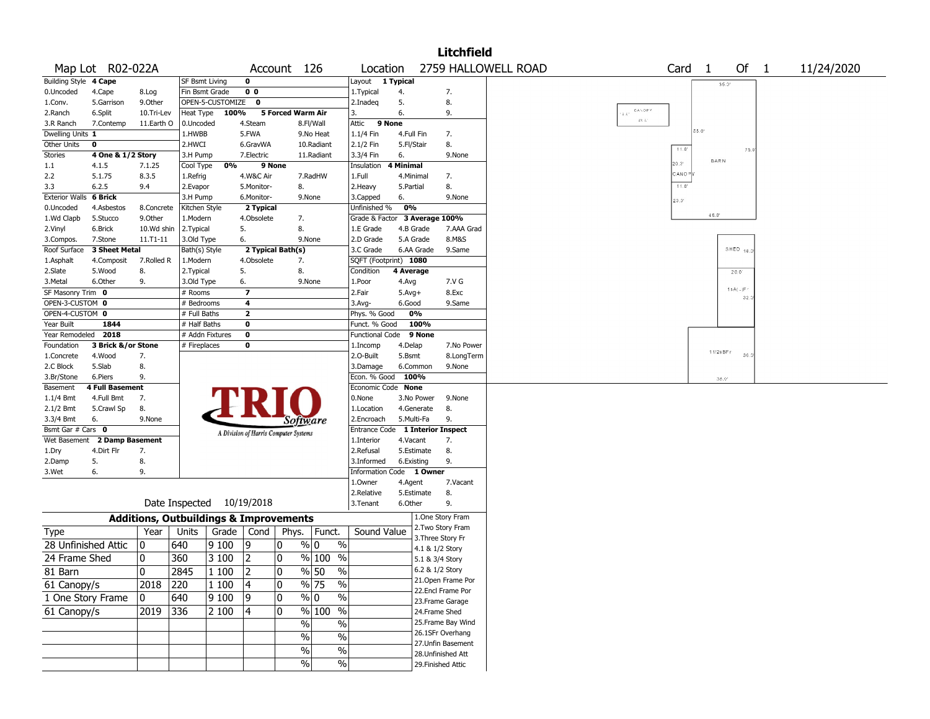|                       |                        |               |                                                   |                  |                                       |                   |                                |                         |            |                    | Litchfield         |                     |                   |                |           |            |
|-----------------------|------------------------|---------------|---------------------------------------------------|------------------|---------------------------------------|-------------------|--------------------------------|-------------------------|------------|--------------------|--------------------|---------------------|-------------------|----------------|-----------|------------|
|                       | Map Lot R02-022A       |               |                                                   |                  |                                       | Account 126       |                                | Location                |            |                    |                    | 2759 HALLOWELL ROAD | Card <sub>1</sub> |                | Of $1$    | 11/24/2020 |
| <b>Building Style</b> | 4 Cape                 |               | SF Bsmt Living                                    |                  | 0                                     |                   |                                | Layout                  | 1 Typical  |                    |                    |                     |                   | 35.0           |           |            |
| 0.Uncoded             | 4.Cape                 | 8.Log         | Fin Bsmt Grade                                    |                  | 0 <sub>0</sub>                        |                   |                                | 1. Typical              | 4.         |                    | 7.                 |                     |                   |                |           |            |
| 1.Conv.               | 5.Garrison             | 9.0ther       |                                                   | OPEN-5-CUSTOMIZE | $\mathbf{o}$                          |                   |                                | 2.Inadeq                | 5.         |                    | 8.                 |                     |                   |                |           |            |
| 2.Ranch               | 6.Split                | 10.Tri-Lev    | Heat Type                                         | 100%             |                                       | 5 Forced Warm Air |                                | 3.                      | 6.         |                    | 9.                 | CALOPY<br>19.01     |                   |                |           |            |
| 3.R Ranch             | 7.Contemp              | 11.Earth O    | 0.Uncoded                                         |                  | 4.Steam                               |                   | 8.Fl/Wall                      | Attic                   | 9 None     |                    |                    | $2.6\,\%$           |                   | 55.0           |           |            |
| Dwelling Units 1      |                        |               | 1.HWBB                                            |                  | 5.FWA                                 |                   | 9.No Heat                      | 1.1/4 Fin               | 4.Full Fin |                    | 7.                 |                     |                   |                |           |            |
| Other Units           | 0                      |               | 2.HWCI                                            |                  | 6.GravWA                              |                   | 10.Radiant                     | 2.1/2 Fin               | 5.Fl/Stair |                    | 8.                 |                     | 11.0              |                | 75.0      |            |
| Stories               | 4 One & 1/2 Story      |               | 3.H Pump                                          |                  | 7.Electric                            |                   | 11.Radiant                     | 3.3/4 Fin               | 6.         |                    | 9.None             |                     |                   | <b>BARN</b>    |           |            |
| 1.1                   | 4.1.5                  | 7.1.25        | Cool Type                                         | 0%               | 9 None                                |                   |                                | Insulation              | 4 Minimal  |                    |                    |                     | 20.01             |                |           |            |
| 2.2                   | 5.1.75                 | 8.3.5         | 1.Refrig                                          |                  | 4.W&C Air                             |                   | 7.RadHW                        | 1.Full                  | 4.Minimal  |                    | 7.                 |                     | CANO <sup>=</sup> |                |           |            |
| 3.3                   | 6.2.5                  | 9.4           | 2.Evapor                                          |                  | 5.Monitor-                            | 8.                |                                | 2.Heavy                 | 5.Partial  |                    | 8.                 |                     | $11.0^{\circ}$    |                |           |            |
| <b>Exterior Walls</b> | 6 Brick                |               | 3.H Pump                                          |                  | 6.Monitor-                            |                   | 9.None                         | 3.Capped                | 6.         |                    | 9.None             |                     | 20.0'             |                |           |            |
| 0.Uncoded             | 4.Asbestos             | 8.Concrete    | Kitchen Style                                     |                  | 2 Typical                             |                   |                                | Unfinished %            | 0%         |                    |                    |                     |                   | $46.0^{\circ}$ |           |            |
| 1.Wd Clapb            | 5.Stucco               | 9.Other       | 1.Modern                                          |                  | 4.Obsolete                            | 7.                |                                | Grade & Factor          |            | 3 Average 100%     |                    |                     |                   |                |           |            |
| 2.Vinyl               | 6.Brick                | 10.Wd shin    | 2. Typical                                        |                  | 5.                                    | 8.                |                                | 1.E Grade               | 4.B Grade  |                    | 7.AAA Grad         |                     |                   |                |           |            |
| 3.Compos.             | 7.Stone                | $11. T1 - 11$ | 3.Old Type                                        |                  | 6.                                    |                   | 9.None                         | 2.D Grade               | 5.A Grade  |                    | 8.M&S              |                     |                   |                |           |            |
| Roof Surface          | 3 Sheet Metal          |               | Bath(s) Style                                     |                  |                                       | 2 Typical Bath(s) |                                | 3.C Grade               | 6.AA Grade |                    | 9.Same             |                     |                   |                | SHED $18$ |            |
| 1.Asphalt             | 4.Composit             | 7.Rolled R    | 1.Modern                                          |                  | 4.Obsolete                            | 7.                |                                | SQFT (Footprint) 1080   |            |                    |                    |                     |                   |                |           |            |
| 2.Slate               | 5.Wood                 | 8.            | 2. Typical                                        |                  | 5.                                    | 8.                |                                | Condition               | 4 Average  |                    |                    |                     |                   |                | 20.0      |            |
| 3.Metal               | 6.Other                | 9.            | 3.Old Type                                        |                  | 6.                                    |                   | 9.None                         | 1.Poor                  | 4.Avg      |                    | 7.V G              |                     |                   |                | 18A(.)F   |            |
| SF Masonry Trim 0     |                        |               | # Rooms                                           |                  | $\overline{\phantom{a}}$              |                   |                                | 2.Fair                  | $5.Avg+$   |                    | 8.Exc              |                     |                   |                | 32.       |            |
| OPEN-3-CUSTOM 0       |                        |               | # Bedrooms                                        |                  | 4                                     |                   |                                | 3.Avg-                  | 6.Good     |                    | 9.Same             |                     |                   |                |           |            |
| OPEN-4-CUSTOM 0       |                        |               | # Full Baths                                      |                  | $\overline{2}$                        |                   |                                | Phys. % Good            | 0%         |                    |                    |                     |                   |                |           |            |
| Year Built            | 1844                   |               | # Half Baths                                      |                  | 0                                     |                   |                                | Funct. % Good           |            | 100%               |                    |                     |                   |                |           |            |
| Year Remodeled 2018   |                        |               | # Addn Fixtures                                   |                  | $\bf{0}$                              |                   |                                | <b>Functional Code</b>  |            | 9 None             |                    |                     |                   |                |           |            |
| Foundation            | 3 Brick &/or Stone     |               | # Fireplaces                                      |                  | 0                                     |                   |                                | 1.Incomp                | 4.Delap    |                    | 7.No Power         |                     |                   | 11/2sBFr       |           |            |
| 1.Concrete            | 4.Wood                 | 7.            |                                                   |                  |                                       |                   |                                | 2.O-Built               | 5.Bsmt     |                    | 8.LongTerm         |                     |                   |                | 30.       |            |
| 2.C Block             | 5.Slab                 | 8.            |                                                   |                  |                                       |                   |                                | 3.Damage                | 6.Common   |                    | 9.None             |                     |                   |                |           |            |
| 3.Br/Stone            | 6.Piers                | 9.            |                                                   |                  |                                       |                   |                                | Econ. % Good 100%       |            |                    |                    |                     |                   | 36.0           |           |            |
| Basement              | <b>4 Full Basement</b> |               |                                                   |                  |                                       |                   |                                | Economic Code None      |            |                    |                    |                     |                   |                |           |            |
| 1.1/4 Bmt             | 4.Full Bmt             | 7.            |                                                   |                  |                                       |                   |                                | 0.None                  | 3.No Power |                    | 9.None             |                     |                   |                |           |            |
| 2.1/2 Bmt             | 5.Crawl Sp             | 8.            |                                                   |                  |                                       |                   |                                | 1.Location              | 4.Generate |                    | 8.                 |                     |                   |                |           |            |
| 3.3/4 Bmt             | 6.                     | 9.None        |                                                   |                  |                                       | Software          |                                | 2.Encroach              | 5.Multi-Fa |                    | 9.                 |                     |                   |                |           |            |
| Bsmt Gar # Cars 0     |                        |               |                                                   |                  | A Division of Harris Computer Systems |                   |                                | Entrance Code           |            |                    | 1 Interior Inspect |                     |                   |                |           |            |
| Wet Basement          | 2 Damp Basement        |               |                                                   |                  |                                       |                   |                                | 1.Interior              | 4.Vacant   |                    | 7.                 |                     |                   |                |           |            |
| 1.Dry                 | 4.Dirt Flr             | 7.            |                                                   |                  |                                       |                   |                                | 2.Refusal               | 5.Estimate |                    | 8.                 |                     |                   |                |           |            |
| 2.Damp                | 5.                     | 8.            |                                                   |                  |                                       |                   |                                | 3.Informed              | 6.Existing |                    | 9.                 |                     |                   |                |           |            |
| 3.Wet                 | 6.                     | 9.            |                                                   |                  |                                       |                   |                                | <b>Information Code</b> |            | 1 Owner            |                    |                     |                   |                |           |            |
|                       |                        |               |                                                   |                  |                                       |                   |                                | 1.Owner                 | 4.Agent    |                    | 7.Vacant           |                     |                   |                |           |            |
|                       |                        |               |                                                   |                  |                                       |                   |                                | 2.Relative              | 5.Estimate |                    | 8.                 |                     |                   |                |           |            |
|                       |                        |               | Date Inspected                                    |                  | 10/19/2018                            |                   |                                | 3.Tenant                | 6.Other    |                    | 9.                 |                     |                   |                |           |            |
|                       |                        |               | <b>Additions, Outbuildings &amp; Improvements</b> |                  |                                       |                   |                                |                         |            |                    | 1.One Story Fram   |                     |                   |                |           |            |
| <b>Type</b>           |                        | Year          | Units                                             | Grade            | Cond                                  | Phys.             | Funct.                         | Sound Value             |            |                    | 2. Two Story Fram  |                     |                   |                |           |            |
| 28 Unfinished Attic   |                        | 0             | 640                                               | 9 1 0 0          | 19                                    | 0                 | $\frac{9}{0}$ 0<br>$\%$        |                         |            | 3. Three Story Fr  |                    |                     |                   |                |           |            |
|                       |                        |               |                                                   |                  |                                       |                   |                                |                         |            | 4.1 & 1/2 Story    |                    |                     |                   |                |           |            |
| 24 Frame Shed         |                        | 10            | 360                                               | 3 100            | 2                                     | 0                 | $\sqrt{20}$ 100<br>$\%$        |                         |            | 5.1 & 3/4 Story    |                    |                     |                   |                |           |            |
| 81 Barn               |                        | 0             | 2845                                              | 1 100            | 2                                     | $\Omega$          | $\frac{9}{6}$ 50<br>$\%$       |                         |            | 6.2 & 1/2 Story    |                    |                     |                   |                |           |            |
| 61 Canopy/s           |                        | 2018          | 220                                               | 1 100            | 4                                     | 10                | % 75<br>$\%$                   |                         |            |                    | 21.Open Frame Por  |                     |                   |                |           |            |
| 1 One Story Frame     |                        | 0             | 640                                               | 9100             | 9                                     | 0                 | $\sqrt[9]{0}$<br>$\frac{1}{2}$ |                         |            |                    | 22.Encl Frame Por  |                     |                   |                |           |            |
|                       |                        |               |                                                   |                  |                                       |                   |                                |                         |            |                    | 23. Frame Garage   |                     |                   |                |           |            |
| 61 Canopy/s           |                        | 2019          | 336                                               | 2 100            | 4                                     | 10                | $\frac{9}{6}$ 100 %            |                         |            | 24.Frame Shed      |                    |                     |                   |                |           |            |
|                       |                        |               |                                                   |                  |                                       | $\sqrt{2}$        | $\frac{1}{2}$                  |                         |            |                    | 25. Frame Bay Wind |                     |                   |                |           |            |
|                       |                        |               |                                                   |                  |                                       | $\%$              | $\%$                           |                         |            |                    | 26.1SFr Overhang   |                     |                   |                |           |            |
|                       |                        |               |                                                   |                  |                                       | $\%$              | $\%$                           |                         |            |                    | 27.Unfin Basement  |                     |                   |                |           |            |
|                       |                        |               |                                                   |                  |                                       |                   |                                |                         |            |                    | 28.Unfinished Att  |                     |                   |                |           |            |
|                       |                        |               |                                                   |                  |                                       | $\sqrt{6}$        | $\frac{1}{2}$                  |                         |            | 29. Finished Attic |                    |                     |                   |                |           |            |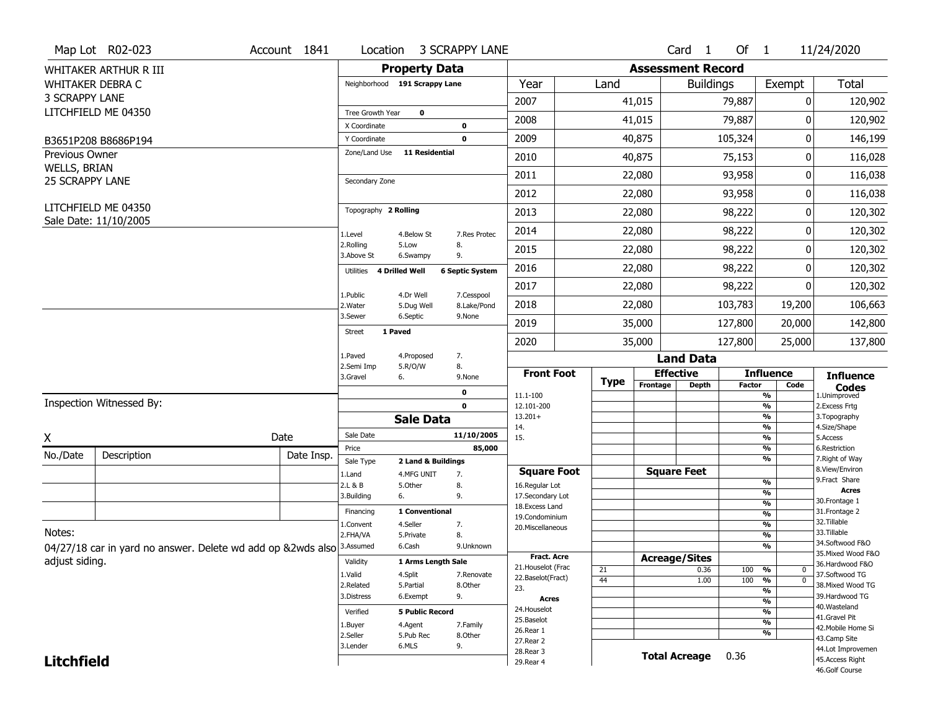|                        | Map Lot R02-023                                             | Account 1841 | Location                           |                                  | <b>3 SCRAPPY LANE</b>  |                                   |             |          | Card <sub>1</sub>        | Of $1$        |                               | 11/24/2020                         |
|------------------------|-------------------------------------------------------------|--------------|------------------------------------|----------------------------------|------------------------|-----------------------------------|-------------|----------|--------------------------|---------------|-------------------------------|------------------------------------|
|                        | WHITAKER ARTHUR R III                                       |              |                                    | <b>Property Data</b>             |                        |                                   |             |          | <b>Assessment Record</b> |               |                               |                                    |
|                        | <b>WHITAKER DEBRA C</b>                                     |              | Neighborhood 191 Scrappy Lane      |                                  |                        | Year                              | Land        |          | <b>Buildings</b>         |               | Exempt                        | Total                              |
| <b>3 SCRAPPY LANE</b>  |                                                             |              |                                    |                                  |                        | 2007                              |             | 41,015   |                          | 79,887        | 0                             | 120,902                            |
|                        | LITCHFIELD ME 04350                                         |              | Tree Growth Year                   | $\mathbf 0$                      |                        | 2008                              |             | 41,015   |                          | 79,887        | 0                             | 120,902                            |
|                        |                                                             |              | X Coordinate<br>Y Coordinate       |                                  | 0<br>$\mathbf 0$       | 2009                              |             | 40,875   |                          | 105,324       | 0                             | 146,199                            |
| Previous Owner         | B3651P208 B8686P194                                         |              | Zone/Land Use                      | 11 Residential                   |                        |                                   |             |          |                          |               |                               |                                    |
| WELLS, BRIAN           |                                                             |              |                                    |                                  |                        | 2010                              |             | 40,875   |                          | 75,153        | 0                             | 116,028                            |
| <b>25 SCRAPPY LANE</b> |                                                             |              | Secondary Zone                     |                                  |                        | 2011                              |             | 22,080   |                          | 93,958        | 0                             | 116,038                            |
|                        |                                                             |              |                                    |                                  |                        | 2012                              |             | 22,080   |                          | 93,958        | 0                             | 116,038                            |
|                        | LITCHFIELD ME 04350<br>Sale Date: 11/10/2005                |              | Topography 2 Rolling               |                                  |                        | 2013                              |             | 22,080   |                          | 98,222        | 0                             | 120,302                            |
|                        |                                                             |              | 1.Level                            | 4.Below St                       | 7.Res Protec           | 2014                              |             | 22,080   |                          | 98,222        | 0                             | 120,302                            |
|                        |                                                             |              | 2.Rolling<br>3.Above St            | 5.Low<br>6.Swampy                | 8.<br>9.               | 2015                              |             | 22,080   |                          | 98,222        | 0                             | 120,302                            |
|                        |                                                             |              | <b>4 Drilled Well</b><br>Utilities |                                  | <b>6 Septic System</b> | 2016                              |             | 22,080   |                          | 98,222        | 0                             | 120,302                            |
|                        |                                                             |              | 1.Public                           | 4.Dr Well                        | 7.Cesspool             | 2017                              |             | 22,080   |                          | 98,222        | 0                             | 120,302                            |
|                        |                                                             |              | 2. Water                           | 5.Dug Well                       | 8.Lake/Pond            | 2018                              |             | 22,080   |                          | 103,783       | 19,200                        | 106,663                            |
|                        |                                                             |              | 3.Sewer                            | 6.Septic                         | 9.None                 | 2019                              |             | 35,000   |                          | 127,800       | 20,000                        | 142,800                            |
|                        |                                                             |              | 1 Paved<br><b>Street</b>           |                                  |                        | 2020                              |             | 35,000   |                          | 127,800       | 25,000                        | 137,800                            |
|                        |                                                             |              | 1.Paved                            | 4.Proposed                       | 7.                     |                                   |             |          | <b>Land Data</b>         |               |                               |                                    |
|                        |                                                             |              | 2.Semi Imp<br>3.Gravel<br>6.       | 5.R/O/W                          | 8.<br>9.None           | <b>Front Foot</b>                 |             |          | <b>Effective</b>         |               | <b>Influence</b>              | <b>Influence</b>                   |
|                        |                                                             |              |                                    |                                  | 0                      | 11.1-100                          | <b>Type</b> | Frontage | <b>Depth</b>             | <b>Factor</b> | Code<br>$\frac{9}{6}$         | <b>Codes</b><br>1.Unimproved       |
|                        | Inspection Witnessed By:                                    |              |                                    |                                  | $\mathbf{0}$           | 12.101-200                        |             |          |                          |               | $\frac{9}{6}$                 | 2.Excess Frtg                      |
|                        |                                                             |              |                                    | <b>Sale Data</b>                 |                        | $13.201+$<br>14.                  |             |          |                          |               | %<br>$\frac{9}{6}$            | 3. Topography<br>4.Size/Shape      |
| X                      |                                                             | Date         | Sale Date                          |                                  | 11/10/2005             | 15.                               |             |          |                          |               | $\frac{9}{6}$                 | 5.Access                           |
| No./Date               | Description                                                 | Date Insp.   | Price                              |                                  | 85,000                 |                                   |             |          |                          |               | %<br>%                        | 6.Restriction<br>7. Right of Way   |
|                        |                                                             |              | Sale Type<br>1.Land                | 2 Land & Buildings<br>4.MFG UNIT | 7.                     | <b>Square Foot</b>                |             |          | <b>Square Feet</b>       |               |                               | 8.View/Environ                     |
|                        |                                                             |              | 2.L & B                            | 5.0ther                          | 8.                     | 16.Regular Lot                    |             |          |                          |               | %                             | 9.Fract Share<br>Acres             |
|                        |                                                             |              | 3.Building<br>6.                   |                                  | 9.                     | 17.Secondary Lot                  |             |          |                          |               | %<br>$\frac{9}{6}$            | 30. Frontage 1                     |
|                        |                                                             |              | Financing                          | 1 Conventional                   |                        | 18. Excess Land<br>19.Condominium |             |          |                          |               | %                             | 31. Frontage 2                     |
|                        |                                                             |              | 1.Convent                          | 4.Seller                         | 7.                     | 20. Miscellaneous                 |             |          |                          |               | $\frac{9}{6}$                 | 32.Tillable                        |
| Notes:                 |                                                             |              | 2.FHA/VA                           | 5.Private                        | 8.                     |                                   |             |          |                          |               | $\frac{9}{6}$                 | 33.Tillable<br>34.Softwood F&O     |
|                        | 04/27/18 car in yard no answer. Delete wd add op &2wds also |              | 3.Assumed                          | 6.Cash                           | 9.Unknown              | <b>Fract. Acre</b>                |             |          |                          |               | $\frac{9}{6}$                 | 35. Mixed Wood F&O                 |
| adjust siding.         |                                                             |              | Validity                           | 1 Arms Length Sale               |                        | 21. Houselot (Frac                |             |          | <b>Acreage/Sites</b>     |               |                               | 36.Hardwood F&O                    |
|                        |                                                             |              | 1.Valid                            | 4.Split                          | 7.Renovate             | 22.Baselot(Fract)                 | 21<br>44    |          | 0.36<br>1.00             | 100<br>100    | %<br>0<br>$\overline{0}$<br>% | 37.Softwood TG                     |
|                        |                                                             |              | 2.Related                          | 5.Partial                        | 8.Other                | 23.                               |             |          |                          |               | $\overline{\frac{9}{6}}$      | 38. Mixed Wood TG                  |
|                        |                                                             |              | 3.Distress                         | 6.Exempt                         | 9.                     | Acres                             |             |          |                          |               | $\frac{9}{6}$                 | 39.Hardwood TG                     |
|                        |                                                             |              | Verified                           | <b>5 Public Record</b>           |                        | 24. Houselot                      |             |          |                          |               | $\frac{9}{6}$                 | 40. Wasteland                      |
|                        |                                                             |              |                                    |                                  |                        |                                   |             |          |                          |               |                               | 41.Gravel Pit                      |
|                        |                                                             |              | 1.Buyer                            | 4.Agent                          | 7.Family               | 25.Baselot                        |             |          |                          |               | $\frac{9}{6}$                 |                                    |
|                        |                                                             |              | 2.Seller                           | 5.Pub Rec                        | 8.Other                | 26.Rear 1                         |             |          |                          |               | $\frac{9}{6}$                 | 42. Mobile Home Si<br>43.Camp Site |
|                        |                                                             |              | 3.Lender                           | 6.MLS                            | 9.                     | 27. Rear 2                        |             |          |                          |               |                               | 44.Lot Improvemen                  |
| <b>Litchfield</b>      |                                                             |              |                                    |                                  |                        | 28. Rear 3<br>29. Rear 4          |             |          | <b>Total Acreage</b>     | 0.36          |                               | 45.Access Right<br>46.Golf Course  |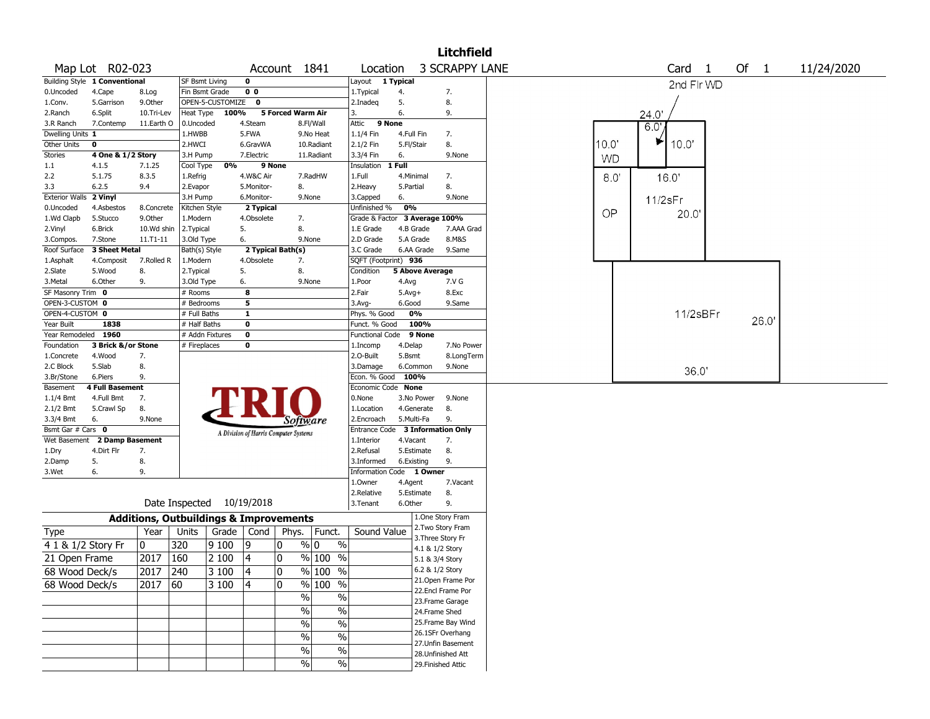|                       |                               |                                                   |                           |                    |                                       |                   |                                  |                                  |            |                        | <b>Litchfield</b>     |       |           |                   |                      |            |
|-----------------------|-------------------------------|---------------------------------------------------|---------------------------|--------------------|---------------------------------------|-------------------|----------------------------------|----------------------------------|------------|------------------------|-----------------------|-------|-----------|-------------------|----------------------|------------|
|                       | Map Lot R02-023               |                                                   |                           |                    |                                       | Account 1841      |                                  | Location                         |            |                        | <b>3 SCRAPPY LANE</b> |       |           | Card <sub>1</sub> | Of<br>$\blacksquare$ | 11/24/2020 |
|                       | Building Style 1 Conventional |                                                   | SF Bsmt Living            |                    | 0                                     |                   |                                  | Layout                           | 1 Typical  |                        |                       |       |           | 2nd Flr WD        |                      |            |
| 0.Uncoded             | 4.Cape                        | 8.Log                                             | Fin Bsmt Grade            |                    | 0 <sub>0</sub>                        |                   |                                  | 1.Typical                        | 4.         |                        | 7.                    |       |           |                   |                      |            |
| 1.Conv.               | 5.Garrison                    | 9.0ther                                           |                           | OPEN-5-CUSTOMIZE 0 |                                       |                   |                                  | 2.Inadeq                         | 5.         |                        | 8.                    |       |           |                   |                      |            |
| 2.Ranch               | 6.Split                       | 10.Tri-Lev                                        | Heat Type                 | 100%               |                                       | 5 Forced Warm Air |                                  | 3.                               | 6.         |                        | 9.                    |       |           | 24.0'             |                      |            |
| 3.R Ranch             | 7.Contemp                     | 11.Earth O                                        | 0.Uncoded                 |                    | 4.Steam                               |                   | 8.Fl/Wall                        | Attic<br>9 None                  |            |                        |                       |       |           | 6.0               |                      |            |
| Dwelling Units 1      |                               |                                                   | 1.HWBB                    |                    | 5.FWA                                 |                   | 9.No Heat                        | 1.1/4 Fin                        | 4.Full Fin |                        | 7.                    |       |           |                   |                      |            |
| Other Units           | $\mathbf 0$                   |                                                   | 2.HWCI                    |                    | 6.GravWA                              |                   | 10.Radiant                       | 2.1/2 Fin                        | 5.Fl/Stair |                        | 8.                    | 10.0' |           | ⋫<br>10.0'        |                      |            |
| <b>Stories</b>        | 4 One & 1/2 Story             |                                                   | 3.H Pump                  |                    | 7.Electric                            |                   | 11.Radiant                       | 3.3/4 Fin                        | 6.         |                        | 9.None                |       | <b>WD</b> |                   |                      |            |
| 1.1                   | 4.1.5                         | 7.1.25                                            | Cool Type                 | 0%                 |                                       | 9 None            |                                  | Insulation                       | 1 Full     |                        |                       |       |           |                   |                      |            |
| 2.2                   | 5.1.75                        | 8.3.5                                             | 1.Refrig                  |                    | 4.W&C Air                             |                   | 7.RadHW                          | 1.Full                           | 4.Minimal  |                        | 7.                    |       | 8.0       | 16.0'             |                      |            |
| 3.3                   | 6.2.5                         | 9.4                                               | 2.Evapor                  |                    | 5.Monitor-                            | 8.                |                                  | 2.Heavy                          | 5.Partial  |                        | 8.                    |       |           |                   |                      |            |
| <b>Exterior Walls</b> | 2 Vinyl                       |                                                   | 3.H Pump                  |                    | 6.Monitor-                            |                   | 9.None                           | 3.Capped                         | 6.         |                        | 9.None                |       |           | 11/2sFr           |                      |            |
| 0.Uncoded             | 4.Asbestos                    | 8.Concrete                                        | Kitchen Style             |                    | 2 Typical                             |                   |                                  | Unfinished %                     | 0%         |                        |                       |       | OP        | 20.0              |                      |            |
| 1.Wd Clapb            | 5.Stucco<br>6.Brick           | 9.0ther<br>10.Wd shin                             | 1.Modern                  |                    | 4.Obsolete<br>5.                      | 7.<br>8.          |                                  | Grade & Factor<br>1.E Grade      | 4.B Grade  | 3 Average 100%         | 7.AAA Grad            |       |           |                   |                      |            |
| 2.Vinyl<br>3.Compos.  | 7.Stone                       | 11.T1-11                                          | 2. Typical<br>3.Old Type  |                    | 6.                                    |                   | 9.None                           | 2.D Grade                        | 5.A Grade  |                        | 8.M&S                 |       |           |                   |                      |            |
| Roof Surface          | 3 Sheet Metal                 |                                                   | Bath(s) Style             |                    |                                       | 2 Typical Bath(s) |                                  | 3.C Grade                        |            | 6.AA Grade             | 9.Same                |       |           |                   |                      |            |
| 1.Asphalt             | 4.Composit                    | 7.Rolled R                                        | 1.Modern                  |                    | 4.Obsolete                            | 7.                |                                  | SQFT (Footprint) 936             |            |                        |                       |       |           |                   |                      |            |
| 2.Slate               | 5.Wood                        | 8.                                                | 2. Typical                |                    | 5.                                    | 8.                |                                  | Condition                        |            | <b>5 Above Average</b> |                       |       |           |                   |                      |            |
| 3.Metal               | 6.Other                       | 9.                                                | 3.Old Type                |                    | 6.                                    |                   | 9.None                           | 1.Poor                           | 4.Avg      |                        | 7.V G                 |       |           |                   |                      |            |
| SF Masonry Trim 0     |                               |                                                   | # Rooms                   |                    | 8                                     |                   |                                  | 2.Fair                           | $5.Avg+$   |                        | 8.Exc                 |       |           |                   |                      |            |
| OPEN-3-CUSTOM 0       |                               |                                                   | # Bedrooms                |                    | 5                                     |                   |                                  | $3.$ Avg-                        | 6.Good     |                        | 9.Same                |       |           |                   |                      |            |
| OPEN-4-CUSTOM 0       |                               |                                                   | # Full Baths              |                    | $\mathbf{1}$                          |                   |                                  | Phys. % Good                     |            | 0%                     |                       |       |           | 11/2sBFr          |                      |            |
| Year Built            | 1838                          |                                                   | # Half Baths              |                    | 0                                     |                   |                                  | Funct. % Good                    |            | 100%                   |                       |       |           |                   | 26.0'                |            |
| Year Remodeled 1960   |                               |                                                   | # Addn Fixtures           |                    | 0                                     |                   |                                  | Functional Code                  |            | 9 None                 |                       |       |           |                   |                      |            |
| Foundation            | 3 Brick &/or Stone            |                                                   | # Fireplaces              |                    | 0                                     |                   |                                  | 1.Incomp                         | 4.Delap    |                        | 7.No Power            |       |           |                   |                      |            |
| 1.Concrete            | 4.Wood                        | 7.                                                |                           |                    |                                       |                   |                                  | 2.O-Built                        | 5.Bsmt     |                        | 8.LongTerm            |       |           |                   |                      |            |
| 2.C Block             | 5.Slab                        | 8.                                                |                           |                    |                                       |                   |                                  | 3.Damage                         |            | 6.Common               | 9.None                |       |           | 36.0'             |                      |            |
| 3.Br/Stone            | 6.Piers                       | 9.                                                |                           |                    |                                       |                   |                                  | Econ. % Good 100%                |            |                        |                       |       |           |                   |                      |            |
| Basement              | <b>4 Full Basement</b>        |                                                   |                           |                    |                                       |                   |                                  | Economic Code None               |            |                        |                       |       |           |                   |                      |            |
| $1.1/4$ Bmt           | 4.Full Bmt                    | 7.                                                |                           |                    |                                       |                   |                                  | 0.None                           |            | 3.No Power             | 9.None                |       |           |                   |                      |            |
| $2.1/2$ Bmt           | 5.Crawl Sp                    | 8.                                                |                           |                    |                                       |                   |                                  | 1.Location                       |            | 4.Generate             | 8.                    |       |           |                   |                      |            |
| 3.3/4 Bmt             | 6.                            | 9.None                                            |                           |                    |                                       |                   | Software                         | 2.Encroach                       | 5.Multi-Fa |                        | 9.                    |       |           |                   |                      |            |
| Bsmt Gar # Cars 0     |                               |                                                   |                           |                    | A Division of Harris Computer Systems |                   |                                  | Entrance Code 3 Information Only |            |                        |                       |       |           |                   |                      |            |
|                       | Wet Basement 2 Damp Basement  |                                                   |                           |                    |                                       |                   |                                  | 1.Interior                       | 4.Vacant   |                        | 7.                    |       |           |                   |                      |            |
| 1.Dry                 | 4.Dirt Flr                    | 7.                                                |                           |                    |                                       |                   |                                  | 2.Refusal                        |            | 5.Estimate             | 8.                    |       |           |                   |                      |            |
| 2.Damp                | 5.                            | 8.                                                |                           |                    |                                       |                   |                                  | 3.Informed                       | 6.Existing |                        | 9.                    |       |           |                   |                      |            |
| 3.Wet                 | 6.                            | 9.                                                |                           |                    |                                       |                   |                                  | Information Code 1 Owner         |            |                        |                       |       |           |                   |                      |            |
|                       |                               |                                                   |                           |                    |                                       |                   |                                  | 1.Owner                          | 4.Agent    |                        | 7.Vacant              |       |           |                   |                      |            |
|                       |                               |                                                   |                           |                    |                                       |                   |                                  | 2.Relative                       |            | 5.Estimate             | 8.                    |       |           |                   |                      |            |
|                       |                               |                                                   | Date Inspected 10/19/2018 |                    |                                       |                   |                                  | 3. Tenant                        | 6.Other    |                        | 9.                    |       |           |                   |                      |            |
|                       |                               | <b>Additions, Outbuildings &amp; Improvements</b> |                           |                    |                                       |                   |                                  |                                  |            |                        | 1.One Story Fram      |       |           |                   |                      |            |
| Type                  |                               | Year                                              | Units                     | Grade              | Cond                                  | Phys.             | Funct.                           | Sound Value                      |            |                        | 2.Two Story Fram      |       |           |                   |                      |            |
| 4 1 & 1/2 Story Fr    |                               | 0                                                 | 320                       | 9 1 0 0            | 9                                     | 0                 | % 0<br>$\%$                      |                                  |            | 4.1 & 1/2 Story        | 3. Three Story Fr     |       |           |                   |                      |            |
| 21 Open Frame         |                               | 2017                                              | 160                       | 2 100              | 4                                     | 0                 | $\sqrt{96}$ 100 %                |                                  |            | 5.1 & 3/4 Story        |                       |       |           |                   |                      |            |
|                       |                               |                                                   |                           |                    |                                       |                   |                                  |                                  |            | 6.2 & 1/2 Story        |                       |       |           |                   |                      |            |
| 68 Wood Deck/s        |                               | 2017 240                                          |                           | 3 100              | 4                                     | 10                | $%$  100 %                       |                                  |            |                        | 21. Open Frame Por    |       |           |                   |                      |            |
| 68 Wood Deck/s        |                               | $2017$ 60                                         |                           | 3 100              | $\overline{\mathbf{4}}$               | 10                | % 100 %                          |                                  |            |                        | 22.Encl Frame Por     |       |           |                   |                      |            |
|                       |                               |                                                   |                           |                    |                                       |                   | $\%$<br>$\%$                     |                                  |            |                        | 23. Frame Garage      |       |           |                   |                      |            |
|                       |                               |                                                   |                           |                    |                                       |                   | $\%$<br>$\%$                     |                                  |            | 24.Frame Shed          |                       |       |           |                   |                      |            |
|                       |                               |                                                   |                           |                    |                                       |                   | $\overline{\frac{0}{0}}$<br>$\%$ |                                  |            |                        | 25. Frame Bay Wind    |       |           |                   |                      |            |
|                       |                               |                                                   |                           |                    |                                       |                   |                                  |                                  |            |                        | 26.1SFr Overhang      |       |           |                   |                      |            |
|                       |                               |                                                   |                           |                    |                                       |                   | $\%$<br>$\%$                     |                                  |            |                        | 27.Unfin Basement     |       |           |                   |                      |            |
|                       |                               |                                                   |                           |                    |                                       |                   | $\%$<br>%                        |                                  |            |                        | 28. Unfinished Att    |       |           |                   |                      |            |
|                       |                               |                                                   |                           |                    |                                       |                   | $\frac{1}{2}$<br>$\sqrt{6}$      |                                  |            |                        | 29. Finished Attic    |       |           |                   |                      |            |
|                       |                               |                                                   |                           |                    |                                       |                   |                                  |                                  |            |                        |                       |       |           |                   |                      |            |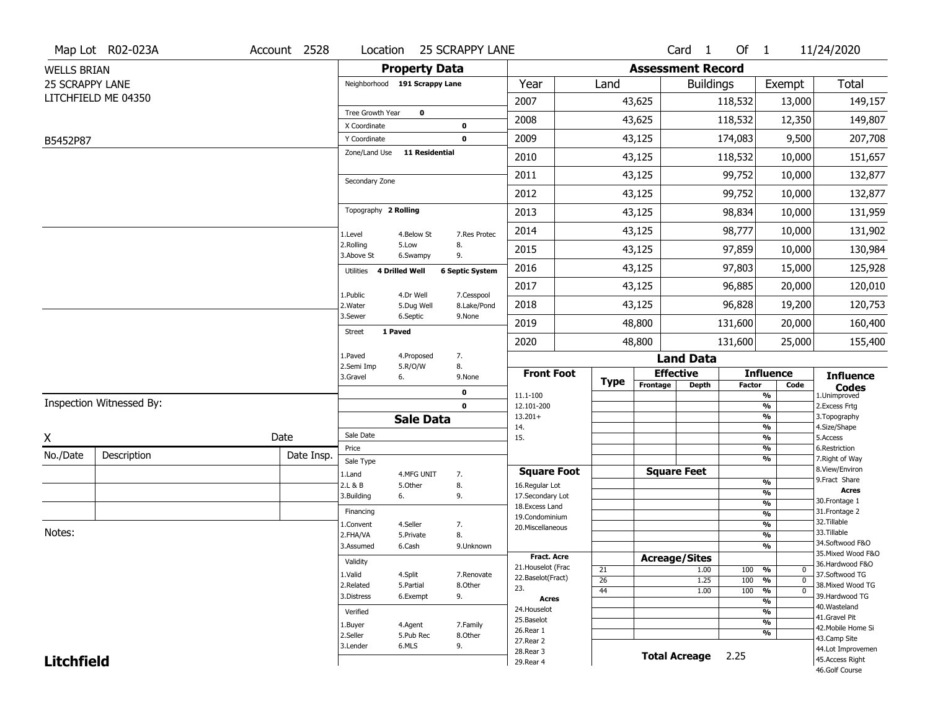|                    | Map Lot R02-023A         | Account 2528 | Location                      |                       | <b>25 SCRAPPY LANE</b> |                                     |             |                          | Card <sub>1</sub>    | Of 1          |                                | 11/24/2020                           |
|--------------------|--------------------------|--------------|-------------------------------|-----------------------|------------------------|-------------------------------------|-------------|--------------------------|----------------------|---------------|--------------------------------|--------------------------------------|
| <b>WELLS BRIAN</b> |                          |              |                               | <b>Property Data</b>  |                        |                                     |             | <b>Assessment Record</b> |                      |               |                                |                                      |
| 25 SCRAPPY LANE    |                          |              | Neighborhood 191 Scrappy Lane |                       |                        | Year                                | Land        |                          | <b>Buildings</b>     |               | Exempt                         | <b>Total</b>                         |
|                    | LITCHFIELD ME 04350      |              |                               |                       |                        | 2007                                |             | 43,625                   |                      | 118,532       | 13,000                         | 149,157                              |
|                    |                          |              | Tree Growth Year              | $\mathbf 0$           |                        | 2008                                |             | 43,625                   |                      | 118,532       | 12,350                         | 149,807                              |
|                    |                          |              | X Coordinate                  |                       | $\mathbf 0$            |                                     |             |                          |                      |               |                                |                                      |
| B5452P87           |                          |              | Y Coordinate<br>Zone/Land Use | 11 Residential        | $\mathbf 0$            | 2009                                |             | 43,125                   |                      | 174,083       | 9,500                          | 207,708                              |
|                    |                          |              |                               |                       |                        | 2010                                |             | 43,125                   |                      | 118,532       | 10,000                         | 151,657                              |
|                    |                          |              | Secondary Zone                |                       |                        | 2011                                |             | 43,125                   |                      | 99,752        | 10,000                         | 132,877                              |
|                    |                          |              |                               |                       |                        | 2012                                |             | 43,125                   |                      | 99,752        | 10,000                         | 132,877                              |
|                    |                          |              | Topography 2 Rolling          |                       |                        | 2013                                |             | 43,125                   |                      | 98,834        | 10,000                         | 131,959                              |
|                    |                          |              | 1.Level                       | 4.Below St            | 7.Res Protec           | 2014                                |             | 43,125                   |                      | 98,777        | 10,000                         | 131,902                              |
|                    |                          |              | 2.Rolling<br>3.Above St       | 5.Low<br>6.Swampy     | 8.<br>9.               | 2015                                |             | 43,125                   |                      | 97,859        | 10,000                         | 130,984                              |
|                    |                          |              | Utilities 4 Drilled Well      |                       | <b>6 Septic System</b> | 2016                                |             | 43,125                   |                      | 97,803        | 15,000                         | 125,928                              |
|                    |                          |              | 1.Public                      | 4.Dr Well             | 7.Cesspool             | 2017                                |             | 43,125                   |                      | 96,885        | 20,000                         | 120,010                              |
|                    |                          |              | 2. Water                      | 5.Dug Well            | 8.Lake/Pond            | 2018                                |             | 43,125                   |                      | 96,828        | 19,200                         | 120,753                              |
|                    |                          |              | 3.Sewer                       | 6.Septic              | 9.None                 | 2019                                |             | 48,800                   |                      | 131,600       | 20,000                         | 160,400                              |
|                    |                          |              | 1 Paved<br><b>Street</b>      |                       |                        | 2020                                |             | 48,800                   |                      | 131,600       | 25,000                         | 155,400                              |
|                    |                          |              | 1.Paved<br>2.Semi Imp         | 4.Proposed            | 7.<br>8.               |                                     |             |                          | <b>Land Data</b>     |               |                                |                                      |
|                    |                          |              | 3.Gravel<br>6.                | 5.R/O/W               | 9.None                 | <b>Front Foot</b>                   | <b>Type</b> | <b>Effective</b>         |                      |               | <b>Influence</b>               | <b>Influence</b>                     |
|                    |                          |              |                               |                       | 0                      | 11.1-100                            |             | Frontage                 | <b>Depth</b>         | <b>Factor</b> | Code<br>%                      | <b>Codes</b><br>1.Unimproved         |
|                    | Inspection Witnessed By: |              |                               |                       | $\mathbf 0$            | 12.101-200                          |             |                          |                      |               | $\frac{9}{6}$                  | 2. Excess Frtg                       |
|                    |                          |              |                               | <b>Sale Data</b>      |                        | $13.201+$<br>14.                    |             |                          |                      |               | %<br>%                         | 3. Topography<br>4.Size/Shape        |
| X                  |                          | Date         | Sale Date                     |                       |                        | 15.                                 |             |                          |                      |               | $\frac{9}{6}$                  | 5.Access                             |
| No./Date           | Description              | Date Insp.   | Price<br>Sale Type            |                       |                        |                                     |             |                          |                      |               | %<br>%                         | 6.Restriction<br>7. Right of Way     |
|                    |                          |              | 1.Land                        | 4.MFG UNIT            | 7.                     | <b>Square Foot</b>                  |             | <b>Square Feet</b>       |                      |               |                                | 8.View/Environ                       |
|                    |                          |              | 2.L & B                       | 5.Other               | 8.                     | 16.Regular Lot                      |             |                          |                      |               | $\frac{9}{6}$                  | 9.Fract Share<br><b>Acres</b>        |
|                    |                          |              | 3.Building<br>6.              |                       | 9.                     | 17.Secondary Lot<br>18. Excess Land |             |                          |                      |               | $\frac{9}{6}$<br>$\frac{9}{6}$ | 30. Frontage 1                       |
|                    |                          |              | Financing                     |                       |                        | 19.Condominium                      |             |                          |                      |               | $\frac{9}{6}$                  | 31. Frontage 2                       |
| Notes:             |                          |              | 1.Convent                     | 4.Seller              | 7.                     | 20.Miscellaneous                    |             |                          |                      |               | $\frac{9}{6}$                  | 32.Tillable<br>33.Tillable           |
|                    |                          |              | 2.FHA/VA<br>3.Assumed         | 5.Private<br>6.Cash   | 8.                     |                                     |             |                          |                      |               | $\frac{9}{6}$<br>$\frac{9}{6}$ | 34.Softwood F&O                      |
|                    |                          |              |                               |                       | 9.Unknown              | Fract. Acre                         |             | <b>Acreage/Sites</b>     |                      |               |                                | 35. Mixed Wood F&O                   |
|                    |                          |              | Validity                      |                       |                        | 21. Houselot (Frac                  | 21          |                          | 1.00                 | 100           | %<br>0                         | 36.Hardwood F&O                      |
|                    |                          |              | 1.Valid                       | 4.Split               | 7.Renovate             | 22.Baselot(Fract)                   | 26          |                          | 1.25                 | 100           | %<br>$\mathbf 0$               | 37.Softwood TG                       |
|                    |                          |              | 2.Related<br>3.Distress       | 5.Partial<br>6.Exempt | 8.Other<br>9.          | 23.                                 | 44          |                          | 1.00                 | 100           | %<br>$\mathbf 0$               | 38. Mixed Wood TG<br>39.Hardwood TG  |
|                    |                          |              |                               |                       |                        | <b>Acres</b>                        |             |                          |                      |               | $\frac{9}{6}$                  | 40. Wasteland                        |
|                    |                          |              |                               |                       |                        |                                     |             |                          |                      |               |                                |                                      |
|                    |                          |              | Verified                      |                       |                        | 24. Houselot<br>25.Baselot          |             |                          |                      |               | $\frac{9}{6}$                  | 41.Gravel Pit                        |
|                    |                          |              | 1.Buyer                       | 4.Agent               | 7.Family               | 26.Rear 1                           |             |                          |                      |               | $\frac{9}{6}$<br>%             | 42. Mobile Home Si                   |
|                    |                          |              | 2.Seller                      | 5.Pub Rec             | 8.Other                | 27.Rear 2                           |             |                          |                      |               |                                | 43.Camp Site                         |
| <b>Litchfield</b>  |                          |              | 3.Lender                      | 6.MLS                 | 9.                     | 28. Rear 3<br>29. Rear 4            |             |                          | <b>Total Acreage</b> | 2.25          |                                | 44.Lot Improvemen<br>45.Access Right |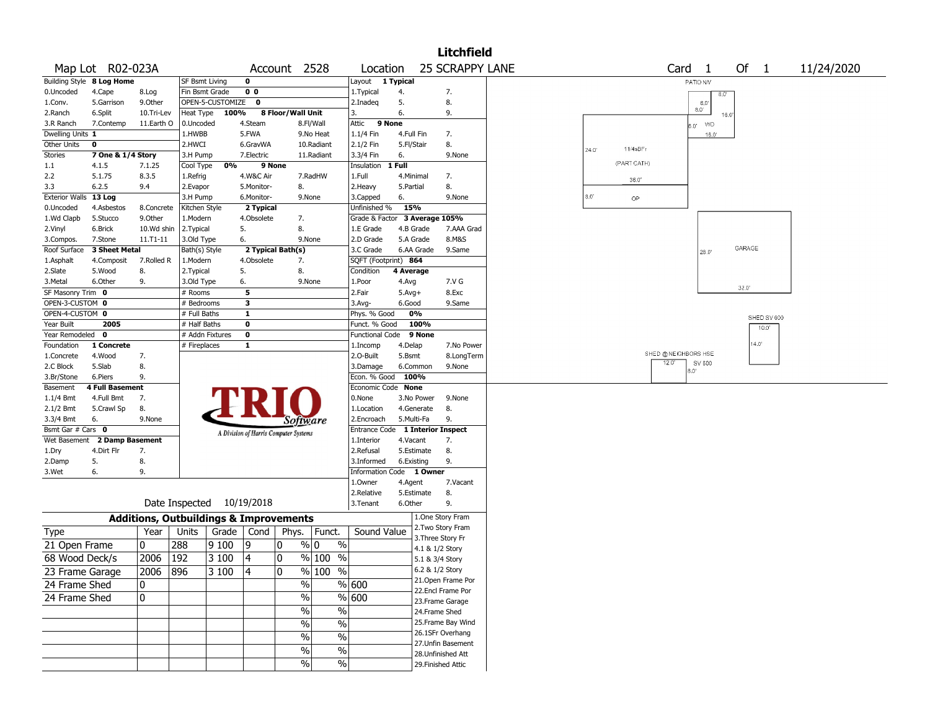|                       |                           |              |                                                   |                  |                |                                       |               |                          |              |                 | <b>Litchfield</b>         |       |             |                     |                   |                |            |
|-----------------------|---------------------------|--------------|---------------------------------------------------|------------------|----------------|---------------------------------------|---------------|--------------------------|--------------|-----------------|---------------------------|-------|-------------|---------------------|-------------------|----------------|------------|
|                       | Map Lot R02-023A          |              |                                                   |                  |                | Account 2528                          |               | Location                 |              |                 | <b>25 SCRAPPY LANE</b>    |       |             |                     | Card <sub>1</sub> | Of $1$         | 11/24/2020 |
|                       | Building Style 8 Log Home |              | SF Bsmt Living                                    |                  | 0              |                                       |               | Layout                   | 1 Typical    |                 |                           |       |             |                     | PATIO N/V         |                |            |
| 0.Uncoded             | 4.Cape                    | 8.Log        | Fin Bsmt Grade                                    |                  | 0 <sub>0</sub> |                                       |               | 1. Typical               | 4.           |                 | 7.                        |       |             |                     | $8.0^{\circ}$     |                |            |
| 1.Conv.               | 5.Garrison                | 9.0ther      |                                                   | OPEN-5-CUSTOMIZE | 0              |                                       |               | 2.Inadeq                 | 5.           |                 | 8.                        |       |             |                     | 8.0               |                |            |
| 2.Ranch               | 6.Split                   | 10.Tri-Lev   | Heat Type                                         | 100%             |                | 8 Floor/Wall Unit                     |               | 3.                       | 6.           |                 | 9.                        |       |             |                     | 8.0'<br>16.0      |                |            |
| 3.R Ranch             | 7.Contemp                 | 11.Earth O   | 0.Uncoded                                         |                  | 4.Steam        |                                       | 8.Fl/Wall     | 9 None<br>Attic          |              |                 |                           |       |             |                     | <b>WD</b><br>0.8  |                |            |
| Dwelling Units 1      |                           |              | 1.HWBB                                            |                  | 5.FWA          |                                       | 9.No Heat     | 1.1/4 Fin                | 4.Full Fin   |                 | 7.                        |       |             |                     | $16.0^{\circ}$    |                |            |
| Other Units           | $\mathbf 0$               |              | 2.HWCI                                            |                  | 6.GravWA       |                                       | 10.Radiant    | 2.1/2 Fin                | 5.Fl/Stair   |                 | 8.                        | 24.0' | 11/4sBFr    |                     |                   |                |            |
| Stories               | 7 One & 1/4 Story         |              | 3.H Pump                                          |                  | 7.Electric     |                                       | 11.Radiant    | 3.3/4 Fin                | 6.           |                 | 9.None                    |       |             |                     |                   |                |            |
| 1.1                   | 4.1.5                     | 7.1.25       | Cool Type                                         | 0%               |                | 9 None                                |               | Insulation               | $1$ Full     |                 |                           |       | (PART CATH) |                     |                   |                |            |
| 2.2                   | 5.1.75                    | 8.3.5        | 1.Refrig                                          |                  | 4.W&C Air      |                                       | 7.RadHW       | 1.Full                   | 4.Minimal    |                 | 7.                        |       | 36.0'       |                     |                   |                |            |
| 3.3                   | 6.2.5                     | 9.4          | 2.Evapor                                          |                  | 5.Monitor-     | 8.                                    |               | 2. Heavy                 | 5.Partial    |                 | 8.                        |       |             |                     |                   |                |            |
| <b>Exterior Walls</b> | 13 Log                    |              | 3.H Pump                                          |                  | 6.Monitor-     |                                       | 9.None        | 3.Capped                 | 6.           |                 | 9.None                    | 8.0   | OP          |                     |                   |                |            |
| 0.Uncoded             | 4.Asbestos                | 8.Concrete   | Kitchen Style                                     |                  | 2 Typical      |                                       |               | Unfinished %             | 15%          |                 |                           |       |             |                     |                   |                |            |
| 1.Wd Clapb            | 5.Stucco                  | 9.0ther      | 1.Modern                                          |                  | 4.Obsolete     | 7.                                    |               | Grade & Factor           |              | 3 Average 105%  |                           |       |             |                     |                   |                |            |
| 2.Vinyl               | 6.Brick                   | 10.Wd shin   | 2. Typical                                        |                  | 5.             | 8.                                    |               | 1.E Grade                | 4.B Grade    |                 | 7.AAA Grad                |       |             |                     |                   |                |            |
| 3.Compos.             | 7.Stone                   | $11.71 - 11$ | 3.Old Type                                        |                  | 6.             |                                       | 9.None        | 2.D Grade                | 5.A Grade    |                 | 8.M&S                     |       |             |                     |                   |                |            |
| Roof Surface          | 3 Sheet Metal             |              | Bath(s) Style                                     |                  |                | 2 Typical Bath(s)                     |               | 3.C Grade                |              | 6.AA Grade      | 9.Same                    |       |             |                     | 28.0              | GARAGE         |            |
| 1.Asphalt             | 4.Composit                | 7.Rolled R   | 1.Modern                                          |                  | 4.Obsolete     | 7.                                    |               | SQFT (Footprint) 864     |              |                 |                           |       |             |                     |                   |                |            |
| 2.Slate               | 5.Wood                    | 8.           | 2. Typical                                        |                  | 5.             | 8.                                    |               | Condition                | 4 Average    |                 |                           |       |             |                     |                   |                |            |
| 3.Metal               | 6.Other                   | 9.           | 3.Old Type                                        |                  | 6.             |                                       | 9.None        | 1.Poor                   | 4.Avg        |                 | 7.V G                     |       |             |                     |                   |                |            |
| SF Masonry Trim 0     |                           |              | $#$ Rooms                                         |                  | 5              |                                       |               | 2.Fair                   | $5.$ Avg $+$ |                 | 8.Exc                     |       |             |                     |                   | $32.0^{\circ}$ |            |
| OPEN-3-CUSTOM 0       |                           |              | # Bedrooms                                        |                  | 3              |                                       |               | $3.$ Avg-                | 6.Good       |                 | 9.Same                    |       |             |                     |                   |                |            |
| OPEN-4-CUSTOM 0       |                           |              | # Full Baths                                      |                  | $\mathbf{1}$   |                                       |               | Phys. % Good             | 0%           |                 |                           |       |             |                     |                   | SHED SV 600    |            |
| Year Built            | 2005                      |              | # Half Baths                                      |                  | $\bf{0}$       |                                       |               | Funct. % Good            |              | 100%            |                           |       |             |                     |                   | $10.0^{\circ}$ |            |
| Year Remodeled        | $\mathbf 0$               |              |                                                   | # Addn Fixtures  | $\bf{0}$       |                                       |               | <b>Functional Code</b>   |              | 9 None          |                           |       |             |                     |                   |                |            |
| Foundation            | 1 Concrete                |              | # Fireplaces                                      |                  | $\mathbf{1}$   |                                       |               | 1.Incomp                 | 4.Delap      |                 | 7.No Power                |       |             |                     |                   | $4.0^{\circ}$  |            |
| 1.Concrete            | 4.Wood                    | 7.           |                                                   |                  |                |                                       |               | 2.O-Built                | 5.Bsmt       |                 | 8.LongTerm                |       |             | SHED @NEIGHBORS HSE |                   |                |            |
| 2.C Block             | 5.Slab                    | 8.           |                                                   |                  |                |                                       |               | 3.Damage                 | 6.Common     |                 | 9.None                    |       |             | 12.0"               | SV 600            |                |            |
| 3.Br/Stone            | 6.Piers                   | 9.           |                                                   |                  |                |                                       |               | Econ. % Good             | 100%         |                 |                           |       |             |                     | 0.8               |                |            |
| Basement              | <b>4 Full Basement</b>    |              |                                                   |                  |                |                                       |               | Economic Code None       |              |                 |                           |       |             |                     |                   |                |            |
| 1.1/4 Bmt             | 4.Full Bmt                | 7.           |                                                   |                  |                |                                       |               | 0.None                   |              | 3.No Power      | 9.None                    |       |             |                     |                   |                |            |
| 2.1/2 Bmt             | 5.Crawl Sp                | 8.           |                                                   |                  |                |                                       |               | 1.Location               | 4.Generate   |                 | 8.                        |       |             |                     |                   |                |            |
| 3.3/4 Bmt             | 6.                        | 9.None       |                                                   |                  |                | Software                              |               | 2.Encroach               | 5.Multi-Fa   |                 | 9.                        |       |             |                     |                   |                |            |
| Bsmt Gar # Cars 0     |                           |              |                                                   |                  |                | A Division of Harris Computer Systems |               | Entrance Code            |              |                 | <b>1 Interior Inspect</b> |       |             |                     |                   |                |            |
| Wet Basement          | 2 Damp Basement           |              |                                                   |                  |                |                                       |               | 1.Interior               | 4.Vacant     |                 | 7.                        |       |             |                     |                   |                |            |
| 1.Dry                 | 4.Dirt Flr                | 7.           |                                                   |                  |                |                                       |               | 2.Refusal                | 5.Estimate   |                 | 8.                        |       |             |                     |                   |                |            |
| 2.Damp                | 5.                        | 8.           |                                                   |                  |                |                                       |               | 3.Informed               | 6.Existing   |                 | 9.                        |       |             |                     |                   |                |            |
| 3.Wet                 | 6.                        | 9.           |                                                   |                  |                |                                       |               | Information Code 1 Owner |              |                 |                           |       |             |                     |                   |                |            |
|                       |                           |              |                                                   |                  |                |                                       |               | 1.0wner                  | 4.Agent      |                 | 7.Vacant                  |       |             |                     |                   |                |            |
|                       |                           |              |                                                   |                  |                |                                       |               | 2.Relative               | 5.Estimate   |                 | 8.                        |       |             |                     |                   |                |            |
|                       |                           |              | Date Inspected 10/19/2018                         |                  |                |                                       |               | 3.Tenant                 | 6.Other      |                 | 9.                        |       |             |                     |                   |                |            |
|                       |                           |              | <b>Additions, Outbuildings &amp; Improvements</b> |                  |                |                                       |               |                          |              |                 | 1.One Story Fram          |       |             |                     |                   |                |            |
| <b>Type</b>           |                           | Year         | Units                                             | Grade            | Cond           | Phys.                                 | Funct.        | Sound Value              |              |                 | 2. Two Story Fram         |       |             |                     |                   |                |            |
|                       |                           |              |                                                   |                  |                |                                       |               |                          |              |                 | 3. Three Story Fr         |       |             |                     |                   |                |            |
| 21 Open Frame         |                           | 0            | 288                                               | 9100             | 19             | 0                                     | % 0<br>$\%$   |                          |              | 4.1 & 1/2 Story |                           |       |             |                     |                   |                |            |
| 68 Wood Deck/s        |                           | 2006         | 192                                               | 3 100            | 4              | 0                                     | % 100<br>$\%$ |                          |              | 5.1 & 3/4 Story |                           |       |             |                     |                   |                |            |
| 23 Frame Garage       |                           | 2006         | 896                                               | 3 100            | 14             | 0                                     | % 100<br>$\%$ |                          |              | 6.2 & 1/2 Story |                           |       |             |                     |                   |                |            |
| 24 Frame Shed         |                           | 10           |                                                   |                  |                | $\%$                                  |               | % 600                    |              |                 | 21. Open Frame Por        |       |             |                     |                   |                |            |
|                       |                           |              |                                                   |                  |                |                                       |               |                          |              |                 | 22.Encl Frame Por         |       |             |                     |                   |                |            |
| 24 Frame Shed         |                           | 10           |                                                   |                  |                | $\sqrt{6}$                            |               | $\sqrt{8}$ 600           |              |                 | 23. Frame Garage          |       |             |                     |                   |                |            |
|                       |                           |              |                                                   |                  |                | $\sqrt{6}$                            | $\frac{1}{2}$ |                          |              | 24.Frame Shed   |                           |       |             |                     |                   |                |            |
|                       |                           |              |                                                   |                  |                | $\sqrt{6}$                            | $\%$          |                          |              |                 | 25. Frame Bay Wind        |       |             |                     |                   |                |            |
|                       |                           |              |                                                   |                  |                |                                       |               |                          |              |                 | 26.1SFr Overhang          |       |             |                     |                   |                |            |
|                       |                           |              |                                                   |                  |                | $\%$                                  | $\%$          |                          |              |                 | 27.Unfin Basement         |       |             |                     |                   |                |            |
|                       |                           |              |                                                   |                  |                | %                                     | $\%$          |                          |              |                 | 28. Unfinished Att        |       |             |                     |                   |                |            |
|                       |                           |              |                                                   |                  |                | $\frac{9}{6}$                         | $\sqrt{6}$    |                          |              |                 | 29. Finished Attic        |       |             |                     |                   |                |            |
|                       |                           |              |                                                   |                  |                |                                       |               |                          |              |                 |                           |       |             |                     |                   |                |            |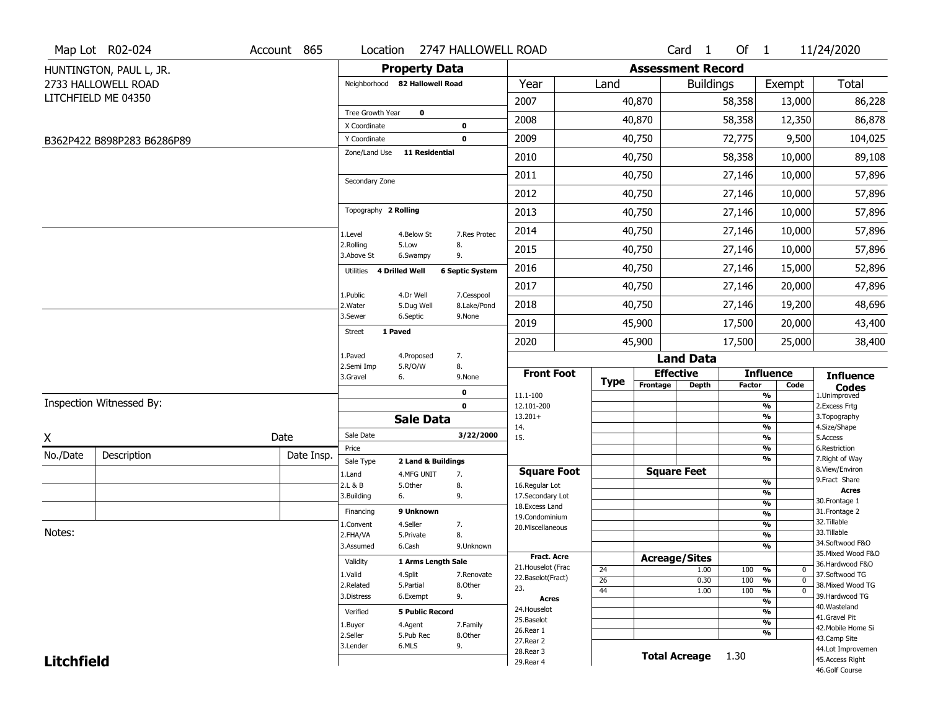|                   | Map Lot R02-024            | Account 865 |                                |                                  | Location 2747 HALLOWELL ROAD |                                         |                       |                          | Card 1             | Of 1          |                               | 11/24/2020                            |
|-------------------|----------------------------|-------------|--------------------------------|----------------------------------|------------------------------|-----------------------------------------|-----------------------|--------------------------|--------------------|---------------|-------------------------------|---------------------------------------|
|                   | HUNTINGTON, PAUL L, JR.    |             |                                | <b>Property Data</b>             |                              |                                         |                       | <b>Assessment Record</b> |                    |               |                               |                                       |
|                   | 2733 HALLOWELL ROAD        |             | Neighborhood 82 Hallowell Road |                                  |                              | Year                                    | Land                  |                          | <b>Buildings</b>   |               | Exempt                        | Total                                 |
|                   | LITCHFIELD ME 04350        |             |                                |                                  |                              | 2007                                    |                       | 40,870                   |                    | 58,358        | 13,000                        | 86,228                                |
|                   |                            |             | Tree Growth Year               | $\mathbf 0$                      |                              | 2008                                    |                       | 40,870                   |                    | 58,358        | 12,350                        | 86,878                                |
|                   |                            |             | X Coordinate<br>Y Coordinate   |                                  | $\pmb{0}$<br>$\mathbf 0$     | 2009                                    |                       | 40,750                   |                    | 72,775        | 9,500                         | 104,025                               |
|                   | B362P422 B898P283 B6286P89 |             | Zone/Land Use                  | <b>11 Residential</b>            |                              | 2010                                    |                       |                          |                    |               |                               | 89,108                                |
|                   |                            |             |                                |                                  |                              |                                         |                       | 40,750                   |                    | 58,358        | 10,000                        |                                       |
|                   |                            |             | Secondary Zone                 |                                  |                              | 2011                                    |                       | 40,750                   |                    | 27,146        | 10,000                        | 57,896                                |
|                   |                            |             |                                |                                  |                              | 2012                                    |                       | 40,750                   |                    | 27,146        | 10,000                        | 57,896                                |
|                   |                            |             | Topography 2 Rolling           |                                  |                              | 2013                                    |                       | 40,750                   |                    | 27,146        | 10,000                        | 57,896                                |
|                   |                            |             | 1.Level                        | 4.Below St                       | 7.Res Protec                 | 2014                                    |                       | 40,750                   |                    | 27,146        | 10,000                        | 57,896                                |
|                   |                            |             | 2.Rolling<br>3.Above St        | 5.Low<br>6.Swampy                | 8.<br>9.                     | 2015                                    |                       | 40,750                   |                    | 27,146        | 10,000                        | 57,896                                |
|                   |                            |             | Utilities 4 Drilled Well       |                                  | <b>6 Septic System</b>       | 2016                                    |                       | 40,750                   |                    | 27,146        | 15,000                        | 52,896                                |
|                   |                            |             | 1.Public                       | 4.Dr Well                        | 7.Cesspool                   | 2017                                    |                       | 40,750                   |                    | 27,146        | 20,000                        | 47,896                                |
|                   |                            |             | 2. Water                       | 5.Dug Well                       | 8.Lake/Pond                  | 2018                                    |                       | 40,750                   |                    | 27,146        | 19,200                        | 48,696                                |
|                   |                            |             | 3.Sewer                        | 6.Septic                         | 9.None                       | 2019                                    |                       | 45,900                   |                    | 17,500        | 20,000                        | 43,400                                |
|                   |                            |             | 1 Paved<br><b>Street</b>       |                                  |                              | 2020                                    |                       | 45,900                   |                    | 17,500        | 25,000                        | 38,400                                |
|                   |                            |             | 1.Paved<br>2.Semi Imp          | 4.Proposed<br>5.R/O/W            | 7.                           |                                         |                       |                          | <b>Land Data</b>   |               |                               |                                       |
|                   |                            |             | 3.Gravel                       | 6.                               | 8.<br>9.None                 | <b>Front Foot</b>                       | Type                  | <b>Effective</b>         |                    |               | <b>Influence</b>              | <b>Influence</b>                      |
|                   |                            |             |                                |                                  | $\mathbf 0$                  | 11.1-100                                |                       | Frontage                 | <b>Depth</b>       | <b>Factor</b> | Code<br>$\frac{9}{6}$         | <b>Codes</b><br>1.Unimproved          |
|                   | Inspection Witnessed By:   |             |                                |                                  | $\mathbf 0$                  | 12.101-200                              |                       |                          |                    |               | $\frac{9}{6}$                 | 2.Excess Frtg                         |
|                   |                            |             |                                | <b>Sale Data</b>                 |                              | $13.201+$<br>14.                        |                       |                          |                    |               | $\frac{9}{6}$<br>%            | 3. Topography<br>4.Size/Shape         |
| X                 |                            | Date        | Sale Date                      |                                  | 3/22/2000                    | 15.                                     |                       |                          |                    |               | $\frac{9}{6}$                 | 5.Access                              |
| No./Date          | Description                | Date Insp.  | Price                          |                                  |                              |                                         |                       |                          |                    |               | %<br>$\frac{9}{6}$            | 6.Restriction<br>7. Right of Way      |
|                   |                            |             | Sale Type<br>1.Land            | 2 Land & Buildings<br>4.MFG UNIT | 7.                           | <b>Square Foot</b>                      |                       | <b>Square Feet</b>       |                    |               |                               | 8.View/Environ                        |
|                   |                            |             | 2.L & B                        | 5.0ther                          | 8.                           | 16.Regular Lot                          |                       |                          |                    |               | %                             | 9.Fract Share                         |
|                   |                            |             | 3.Building                     | 6.                               | 9.                           | 17.Secondary Lot                        |                       |                          |                    |               | %                             | <b>Acres</b><br>30. Frontage 1        |
|                   |                            |             | Financing                      | 9 Unknown                        |                              | 18.Excess Land                          |                       |                          |                    |               | %<br>%                        | 31. Frontage 2                        |
|                   |                            |             | 1.Convent                      | 4.Seller                         | 7.                           | 19.Condominium<br>20.Miscellaneous      |                       |                          |                    |               | %                             | 32. Tillable                          |
| Notes:            |                            |             | 2.FHA/VA                       | 5.Private                        | 8.                           |                                         |                       |                          |                    |               | %                             | 33.Tillable                           |
|                   |                            |             | 3.Assumed                      | 6.Cash                           | 9.Unknown                    |                                         |                       |                          |                    |               | %                             | 34.Softwood F&O                       |
|                   |                            |             | Validity                       | 1 Arms Length Sale               |                              | <b>Fract. Acre</b>                      |                       | <b>Acreage/Sites</b>     |                    |               |                               | 35. Mixed Wood F&O<br>36.Hardwood F&O |
|                   |                            |             | 1.Valid                        | 4.Split                          | 7.Renovate                   | 21. Houselot (Frac<br>22.Baselot(Fract) | 24                    |                          | 1.00               | 100 %         | 0                             | 37.Softwood TG                        |
|                   |                            |             | 2.Related                      | 5.Partial                        | 8.Other                      | 23.                                     | $\overline{26}$<br>44 |                          | 0.30               | 100<br>100    | %<br>$\mathbf{0}$<br>$\Omega$ | 38. Mixed Wood TG                     |
|                   |                            |             | 3.Distress                     | 6.Exempt                         | 9.                           | Acres                                   |                       |                          | 1.00               |               | %<br>$\frac{9}{6}$            | 39.Hardwood TG                        |
|                   |                            |             | Verified                       | <b>5 Public Record</b>           |                              | 24. Houselot                            |                       |                          |                    |               | $\frac{9}{6}$                 | 40. Wasteland                         |
|                   |                            |             | 1.Buyer                        | 4.Agent                          | 7.Family                     | 25.Baselot                              |                       |                          |                    |               | $\frac{9}{6}$                 | 41.Gravel Pit                         |
|                   |                            |             | 2.Seller                       | 5.Pub Rec                        | 8.Other                      | 26.Rear 1                               |                       |                          |                    |               | $\frac{9}{6}$                 | 42. Mobile Home Si<br>43.Camp Site    |
|                   |                            |             | 3.Lender                       | 6.MLS                            | 9.                           | 27. Rear 2                              |                       |                          |                    |               |                               | 44.Lot Improvemen                     |
| <b>Litchfield</b> |                            |             |                                |                                  |                              | 28. Rear 3<br>29. Rear 4                |                       |                          | Total Acreage 1.30 |               |                               | 45.Access Right                       |
|                   |                            |             |                                |                                  |                              |                                         |                       |                          |                    |               |                               | 46.Golf Course                        |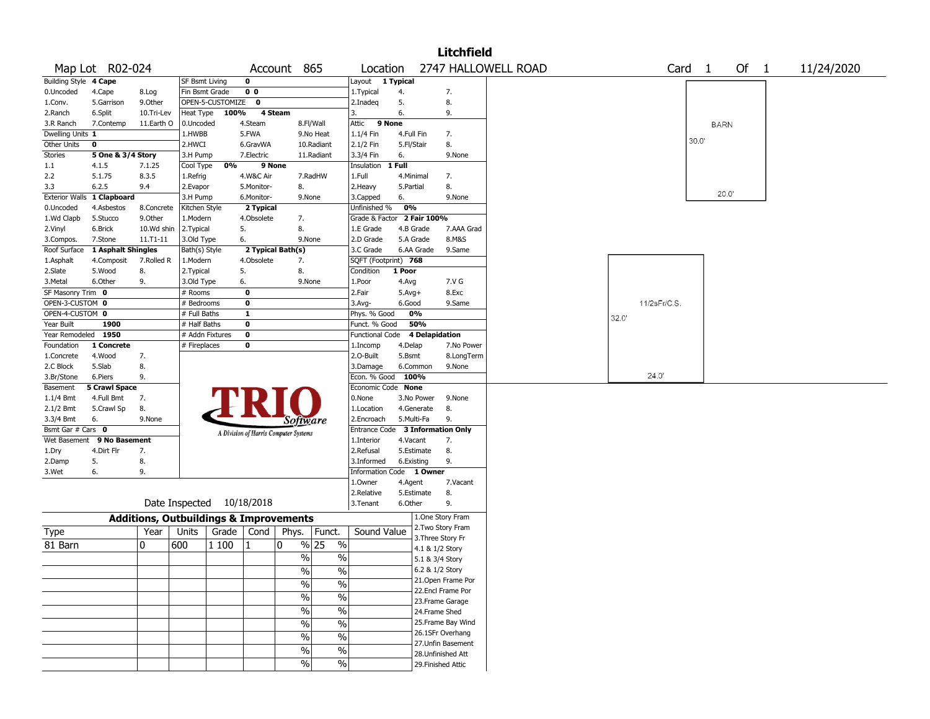|                       |                      |                                                   |                           |                  |                                       |               |               |                          |              |                 | <b>Litchfield</b>  |                     |       |       |             |                   |             |      |            |  |
|-----------------------|----------------------|---------------------------------------------------|---------------------------|------------------|---------------------------------------|---------------|---------------|--------------------------|--------------|-----------------|--------------------|---------------------|-------|-------|-------------|-------------------|-------------|------|------------|--|
|                       | Map Lot R02-024      |                                                   |                           |                  |                                       | Account 865   |               | Location                 |              |                 |                    | 2747 HALLOWELL ROAD |       |       |             | Card <sub>1</sub> |             | Of 1 | 11/24/2020 |  |
| Building Style 4 Cape |                      |                                                   | <b>SF Bsmt Living</b>     |                  | $\mathbf 0$                           |               |               | Layout 1 Typical         |              |                 |                    |                     |       |       |             |                   |             |      |            |  |
| 0.Uncoded             | 4.Cape               | 8.Log                                             | Fin Bsmt Grade            |                  | 0 <sub>0</sub>                        |               |               | 1. Typical               | 4.           |                 | 7.                 |                     |       |       |             |                   |             |      |            |  |
| 1.Conv.               | 5.Garrison           | 9.0ther                                           |                           | OPEN-5-CUSTOMIZE | 0                                     |               |               | 2.Inadeq                 | 5.           |                 | 8.                 |                     |       |       |             |                   |             |      |            |  |
| 2.Ranch               | 6.Split              | 10.Tri-Lev                                        | Heat Type                 | 100%             | 4 Steam                               |               |               | 3.                       | 6.           |                 | 9.                 |                     |       |       |             |                   |             |      |            |  |
| 3.R Ranch             | 7.Contemp            | 11.Earth O                                        | 0.Uncoded                 |                  | 4.Steam                               |               | 8.Fl/Wall     | Attic                    | 9 None       |                 |                    |                     |       |       |             |                   | <b>BARN</b> |      |            |  |
| Dwelling Units 1      |                      |                                                   | 1.HWBB                    |                  | 5.FWA                                 |               | 9.No Heat     | 1.1/4 Fin                | 4.Full Fin   |                 | 7.                 |                     |       |       |             |                   |             |      |            |  |
| <b>Other Units</b>    | 0                    |                                                   | 2.HWCI                    |                  | 6.GravWA                              |               | 10.Radiant    | 2.1/2 Fin                | 5.Fl/Stair   |                 | 8.                 |                     |       |       |             | 30.0'             |             |      |            |  |
| Stories               | 5 One & 3/4 Story    |                                                   | 3.H Pump                  |                  | 7.Electric                            |               | 11.Radiant    | 3.3/4 Fin                | 6.           |                 | 9.None             |                     |       |       |             |                   |             |      |            |  |
| 1.1                   | 4.1.5                | 7.1.25                                            | Cool Type                 | 0%               | 9 None                                |               |               | Insulation               | $1$ Full     |                 |                    |                     |       |       |             |                   |             |      |            |  |
| 2.2                   | 5.1.75               | 8.3.5                                             | 1.Refrig                  |                  | 4.W&C Air                             |               | 7.RadHW       | 1.Full                   | 4.Minimal    |                 | 7.                 |                     |       |       |             |                   |             |      |            |  |
| 3.3                   | 6.2.5                | 9.4                                               | 2.Evapor                  |                  | 5.Monitor-                            | 8.            |               | 2.Heavy                  | 5.Partial    |                 | 8.                 |                     |       |       |             |                   |             |      |            |  |
| <b>Exterior Walls</b> | 1 Clapboard          |                                                   | 3.H Pump                  |                  | 6.Monitor-                            |               | 9.None        | 3.Capped                 | 6.           |                 | 9.None             |                     |       |       |             |                   | 20.0        |      |            |  |
| 0.Uncoded             | 4.Asbestos           | 8.Concrete                                        | Kitchen Style             |                  | 2 Typical                             |               |               | Unfinished %             | 0%           |                 |                    |                     |       |       |             |                   |             |      |            |  |
| 1.Wd Clapb            | 5.Stucco             | 9.0ther                                           | 1.Modern                  |                  | 4.Obsolete                            | 7.            |               | Grade & Factor           |              | 2 Fair 100%     |                    |                     |       |       |             |                   |             |      |            |  |
| 2.Vinyl               | 6.Brick              | 10.Wd shin                                        | 2. Typical                | 5.               |                                       | 8.            |               | 1.E Grade                | 4.B Grade    |                 | 7.AAA Grad         |                     |       |       |             |                   |             |      |            |  |
| 3.Compos.             | 7.Stone              | $11.71 - 11$                                      | 3.Old Type                |                  | 6.                                    |               | 9.None        | 2.D Grade                | 5.A Grade    |                 | 8.M&S              |                     |       |       |             |                   |             |      |            |  |
| Roof Surface          | 1 Asphalt Shingles   |                                                   | Bath(s) Style             |                  | 2 Typical Bath(s)                     |               |               | 3.C Grade                |              | 6.AA Grade      | 9.Same             |                     |       |       |             |                   |             |      |            |  |
| 1.Asphalt             | 4.Composit           | 7.Rolled R                                        | 1.Modern                  |                  | 4.Obsolete                            | 7.            |               | SQFT (Footprint) 768     |              |                 |                    |                     |       |       |             |                   |             |      |            |  |
| 2.Slate               | 5.Wood               | 8.                                                | 2. Typical                | 5.               |                                       | 8.            |               | Condition                | 1 Poor       |                 |                    |                     |       |       |             |                   |             |      |            |  |
| 3.Metal               | 6.Other              | 9.                                                | 3.Old Type                |                  | 6.                                    |               | 9.None        | 1.Poor                   | 4.Avg        |                 | 7.V G              |                     |       |       |             |                   |             |      |            |  |
| SF Masonry Trim 0     |                      |                                                   | # Rooms                   |                  | $\mathbf 0$                           |               |               | 2.Fair                   | $5.$ Avg $+$ |                 | 8.Exc              |                     |       |       |             |                   |             |      |            |  |
| OPEN-3-CUSTOM 0       |                      |                                                   | # Bedrooms                |                  | $\mathbf 0$                           |               |               | 3.Avg-                   | 6.Good       |                 | 9.Same             |                     |       |       | 11/2sFr/C.S |                   |             |      |            |  |
| OPEN-4-CUSTOM 0       |                      |                                                   | # Full Baths              |                  | $\mathbf{1}$                          |               |               | Phys. % Good             | 0%           |                 |                    |                     |       |       |             |                   |             |      |            |  |
| Year Built            | 1900                 |                                                   | # Half Baths              |                  | $\mathbf 0$                           |               |               | Funct. % Good            |              | 50%             |                    |                     | 32.0' |       |             |                   |             |      |            |  |
| Year Remodeled 1950   |                      |                                                   | # Addn Fixtures           |                  | $\bf{0}$                              |               |               | <b>Functional Code</b>   |              | 4 Delapidation  |                    |                     |       |       |             |                   |             |      |            |  |
| Foundation            | 1 Concrete           |                                                   | # Fireplaces              |                  | 0                                     |               |               | 1.Incomp                 | 4.Delap      |                 | 7.No Power         |                     |       |       |             |                   |             |      |            |  |
| 1.Concrete            | 4.Wood               | 7.                                                |                           |                  |                                       |               |               | 2.O-Built                | 5.Bsmt       |                 | 8.LongTerm         |                     |       |       |             |                   |             |      |            |  |
| 2.C Block             | 5.Slab               | 8.                                                |                           |                  |                                       |               |               | 3.Damage                 | 6.Common     |                 | 9.None             |                     |       |       |             |                   |             |      |            |  |
| 3.Br/Stone            | 6.Piers              | 9.                                                |                           |                  |                                       |               |               | Econ. % Good             | 100%         |                 |                    |                     |       | 24.0' |             |                   |             |      |            |  |
| Basement              | <b>5 Crawl Space</b> |                                                   |                           |                  |                                       |               |               | Economic Code None       |              |                 |                    |                     |       |       |             |                   |             |      |            |  |
| 1.1/4 Bmt             | 4.Full Bmt           | 7.                                                |                           |                  |                                       |               |               | 0.None                   |              | 3.No Power      | 9.None             |                     |       |       |             |                   |             |      |            |  |
| 2.1/2 Bmt             | 5.Crawl Sp           | 8.                                                |                           |                  |                                       |               |               | 1.Location               |              | 4.Generate      | 8.                 |                     |       |       |             |                   |             |      |            |  |
| 3.3/4 Bmt             | 6.                   | 9.None                                            |                           |                  |                                       | Software      |               | 2.Encroach               | 5.Multi-Fa   |                 | 9.                 |                     |       |       |             |                   |             |      |            |  |
| Bsmt Gar # Cars 0     |                      |                                                   |                           |                  |                                       |               |               | Entrance Code            |              |                 | 3 Information Only |                     |       |       |             |                   |             |      |            |  |
| Wet Basement          | 9 No Basement        |                                                   |                           |                  | A Division of Harris Computer Systems |               |               | 1.Interior               | 4.Vacant     |                 | 7.                 |                     |       |       |             |                   |             |      |            |  |
| 1.Dry                 | 4.Dirt Flr           | 7.                                                |                           |                  |                                       |               |               | 2.Refusal                |              | 5.Estimate      | 8.                 |                     |       |       |             |                   |             |      |            |  |
| 2.Damp                | 5.                   | 8.                                                |                           |                  |                                       |               |               | 3.Informed               | 6.Existing   |                 | 9.                 |                     |       |       |             |                   |             |      |            |  |
| 3.Wet                 | 6.                   | 9.                                                |                           |                  |                                       |               |               | Information Code 1 Owner |              |                 |                    |                     |       |       |             |                   |             |      |            |  |
|                       |                      |                                                   |                           |                  |                                       |               |               | 1.Owner                  | 4.Agent      |                 | 7.Vacant           |                     |       |       |             |                   |             |      |            |  |
|                       |                      |                                                   |                           |                  |                                       |               |               | 2.Relative               | 5.Estimate   |                 | 8.                 |                     |       |       |             |                   |             |      |            |  |
|                       |                      |                                                   | Date Inspected 10/18/2018 |                  |                                       |               |               | 3.Tenant                 | 6.Other      |                 | 9.                 |                     |       |       |             |                   |             |      |            |  |
|                       |                      | <b>Additions, Outbuildings &amp; Improvements</b> |                           |                  |                                       |               |               |                          |              |                 | 1.One Story Fram   |                     |       |       |             |                   |             |      |            |  |
|                       |                      | Year                                              | Units                     |                  | Cond                                  |               |               | Sound Value              |              |                 | 2. Two Story Fram  |                     |       |       |             |                   |             |      |            |  |
| Type                  |                      |                                                   |                           | Grade            |                                       | Phys.         | Funct.        |                          |              |                 | 3. Three Story Fr  |                     |       |       |             |                   |             |      |            |  |
| 81 Barn               |                      | 0                                                 | 600                       | 1 100            |                                       | 0             | % 25<br>$\%$  |                          |              | 4.1 & 1/2 Story |                    |                     |       |       |             |                   |             |      |            |  |
|                       |                      |                                                   |                           |                  |                                       | $\frac{0}{0}$ | $\%$          |                          |              | 5.1 & 3/4 Story |                    |                     |       |       |             |                   |             |      |            |  |
|                       |                      |                                                   |                           |                  |                                       | $\frac{1}{2}$ | $\%$          |                          |              | 6.2 & 1/2 Story |                    |                     |       |       |             |                   |             |      |            |  |
|                       |                      |                                                   |                           |                  |                                       |               |               |                          |              |                 | 21. Open Frame Por |                     |       |       |             |                   |             |      |            |  |
|                       |                      |                                                   |                           |                  |                                       | $\sqrt{2}$    | $\frac{0}{0}$ |                          |              |                 | 22.Encl Frame Por  |                     |       |       |             |                   |             |      |            |  |
|                       |                      |                                                   |                           |                  |                                       | $\frac{9}{6}$ | $\%$          |                          |              |                 | 23.Frame Garage    |                     |       |       |             |                   |             |      |            |  |
|                       |                      |                                                   |                           |                  |                                       | $\sqrt{6}$    | $\%$          |                          |              | 24.Frame Shed   |                    |                     |       |       |             |                   |             |      |            |  |
|                       |                      |                                                   |                           |                  |                                       |               |               |                          |              |                 | 25. Frame Bay Wind |                     |       |       |             |                   |             |      |            |  |
|                       |                      |                                                   |                           |                  |                                       | $\sqrt{6}$    | $\frac{0}{0}$ |                          |              |                 | 26.1SFr Overhang   |                     |       |       |             |                   |             |      |            |  |
|                       |                      |                                                   |                           |                  |                                       | $\%$          | $\frac{0}{0}$ |                          |              |                 | 27.Unfin Basement  |                     |       |       |             |                   |             |      |            |  |
|                       |                      |                                                   |                           |                  |                                       | %             | $\%$          |                          |              |                 |                    |                     |       |       |             |                   |             |      |            |  |
|                       |                      |                                                   |                           |                  |                                       | $\sqrt{2}$    | $\frac{1}{2}$ |                          |              |                 | 28. Unfinished Att |                     |       |       |             |                   |             |      |            |  |
|                       |                      |                                                   |                           |                  |                                       |               |               |                          |              |                 | 29. Finished Attic |                     |       |       |             |                   |             |      |            |  |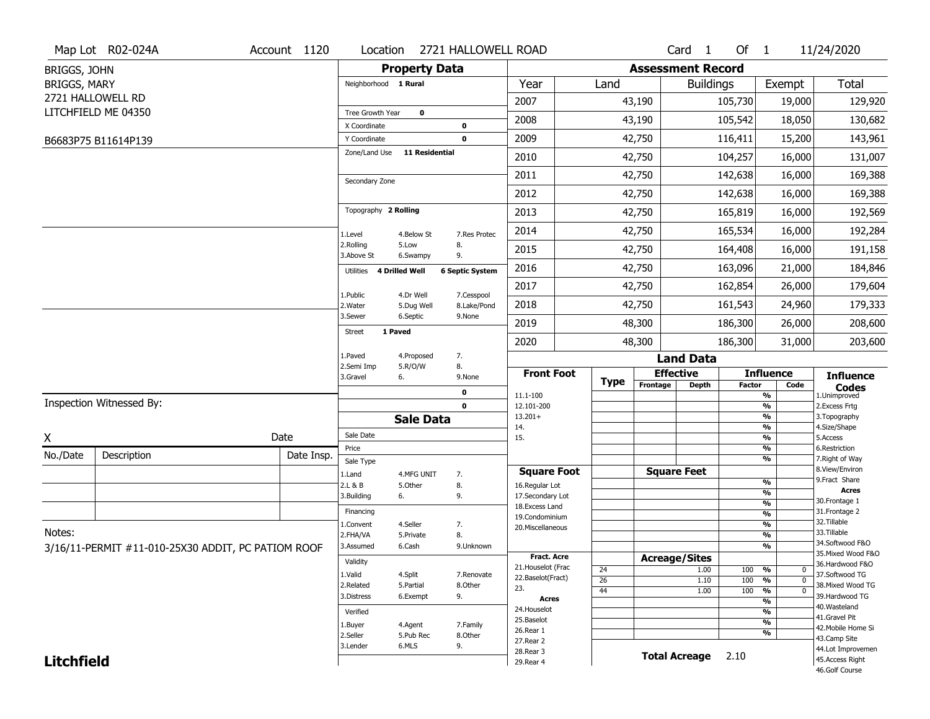|                     | Map Lot R02-024A                                   | Account 1120 | Location                            |                       | 2721 HALLOWELL ROAD    |                                     |                 |                          | Card <sub>1</sub>    | Of $1$        |                          | 11/24/2020                           |
|---------------------|----------------------------------------------------|--------------|-------------------------------------|-----------------------|------------------------|-------------------------------------|-----------------|--------------------------|----------------------|---------------|--------------------------|--------------------------------------|
| BRIGGS, JOHN        |                                                    |              |                                     | <b>Property Data</b>  |                        |                                     |                 | <b>Assessment Record</b> |                      |               |                          |                                      |
| <b>BRIGGS, MARY</b> |                                                    |              | Neighborhood 1 Rural                |                       |                        | Year                                | Land            |                          | <b>Buildings</b>     |               | Exempt                   | <b>Total</b>                         |
|                     | 2721 HALLOWELL RD                                  |              |                                     |                       |                        | 2007                                |                 | 43,190                   |                      | 105,730       | 19,000                   | 129,920                              |
|                     | LITCHFIELD ME 04350                                |              | Tree Growth Year                    | $\mathbf 0$           |                        | 2008                                |                 | 43,190                   |                      | 105,542       | 18,050                   | 130,682                              |
|                     |                                                    |              | X Coordinate                        |                       | 0                      |                                     |                 |                          |                      |               |                          |                                      |
|                     | B6683P75 B11614P139                                |              | Y Coordinate                        | <b>11 Residential</b> | 0                      | 2009                                |                 | 42,750                   |                      | 116,411       | 15,200                   | 143,961                              |
|                     |                                                    |              | Zone/Land Use                       |                       |                        | 2010                                |                 | 42,750                   |                      | 104,257       | 16,000                   | 131,007                              |
|                     |                                                    |              | Secondary Zone                      |                       |                        | 2011                                |                 | 42,750                   |                      | 142,638       | 16,000                   | 169,388                              |
|                     |                                                    |              |                                     |                       |                        | 2012                                |                 | 42,750                   |                      | 142,638       | 16,000                   | 169,388                              |
|                     |                                                    |              | Topography 2 Rolling                |                       |                        | 2013                                |                 | 42,750                   |                      | 165,819       | 16,000                   | 192,569                              |
|                     |                                                    |              | 1.Level                             | 4.Below St            | 7.Res Protec           | 2014                                |                 | 42,750                   |                      | 165,534       | 16,000                   | 192,284                              |
|                     |                                                    |              | 2.Rolling<br>3.Above St             | 5.Low<br>6.Swampy     | 8.<br>9.               | 2015                                |                 | 42,750                   |                      | 164,408       | 16,000                   | 191,158                              |
|                     |                                                    |              | 4 Drilled Well<br>Utilities         |                       | <b>6 Septic System</b> | 2016                                |                 | 42,750                   |                      | 163,096       | 21,000                   | 184,846                              |
|                     |                                                    |              | 1.Public                            | 4.Dr Well             | 7.Cesspool             | 2017                                |                 | 42,750                   |                      | 162,854       | 26,000                   | 179,604                              |
|                     |                                                    |              | 2. Water                            | 5.Dug Well            | 8.Lake/Pond            | 2018                                |                 | 42,750                   |                      | 161,543       | 24,960                   | 179,333                              |
|                     |                                                    |              | 3.Sewer<br>1 Paved<br><b>Street</b> | 6.Septic              | 9.None                 | 2019                                |                 | 48,300                   |                      | 186,300       | 26,000                   | 208,600                              |
|                     |                                                    |              |                                     |                       |                        | 2020                                |                 | 48,300                   |                      | 186,300       | 31,000                   | 203,600                              |
|                     |                                                    |              | 1.Paved<br>2.Semi Imp               | 4.Proposed<br>5.R/O/W | 7.<br>8.               |                                     |                 |                          | <b>Land Data</b>     |               |                          |                                      |
|                     |                                                    |              | 3.Gravel                            | 6.                    | 9.None                 | <b>Front Foot</b>                   | <b>Type</b>     |                          | <b>Effective</b>     |               | <b>Influence</b>         | <b>Influence</b>                     |
|                     |                                                    |              |                                     |                       | 0                      | 11.1-100                            |                 | Frontage                 | Depth                | <b>Factor</b> | Code<br>%                | <b>Codes</b><br>1.Unimproved         |
|                     | Inspection Witnessed By:                           |              |                                     |                       | $\mathbf 0$            | 12.101-200                          |                 |                          |                      |               | $\frac{9}{6}$            | 2. Excess Frtg                       |
|                     |                                                    |              |                                     | <b>Sale Data</b>      |                        | $13.201+$<br>14.                    |                 |                          |                      |               | %<br>$\frac{9}{6}$       | 3. Topography<br>4.Size/Shape        |
| X                   |                                                    | Date         | Sale Date                           |                       |                        | 15.                                 |                 |                          |                      |               | %                        | 5.Access                             |
| No./Date            | Description                                        | Date Insp.   | Price<br>Sale Type                  |                       |                        |                                     |                 |                          |                      |               | %<br>%                   | 6.Restriction<br>7. Right of Way     |
|                     |                                                    |              | 1.Land                              | 4.MFG UNIT            | 7.                     | <b>Square Foot</b>                  |                 |                          | <b>Square Feet</b>   |               |                          | 8.View/Environ                       |
|                     |                                                    |              | 2.L & B                             | 5.Other               | 8.                     | 16.Regular Lot                      |                 |                          |                      |               | $\frac{9}{6}$            | 9.Fract Share<br><b>Acres</b>        |
|                     |                                                    |              | 3.Building                          | 6.                    | 9.                     | 17.Secondary Lot<br>18. Excess Land |                 |                          |                      |               | %<br>$\frac{9}{6}$       | 30. Frontage 1                       |
|                     |                                                    |              | Financing                           |                       |                        | 19.Condominium                      |                 |                          |                      |               | $\overline{\frac{9}{6}}$ | 31. Frontage 2                       |
| Notes:              |                                                    |              | 1.Convent                           | 4.Seller              | 7.                     | 20.Miscellaneous                    |                 |                          |                      |               | $\frac{9}{6}$            | 32.Tillable<br>33.Tillable           |
|                     |                                                    |              | 2.FHA/VA                            | 5.Private             | 8.                     |                                     |                 |                          |                      |               | $\overline{\frac{9}{6}}$ | 34.Softwood F&O                      |
|                     | 3/16/11-PERMIT #11-010-25X30 ADDIT, PC PATIOM ROOF |              | 3.Assumed                           | 6.Cash                | 9.Unknown              | <b>Fract. Acre</b>                  |                 |                          |                      |               | %                        | 35. Mixed Wood F&O                   |
|                     |                                                    |              | Validity                            |                       |                        | 21. Houselot (Frac                  | 24              | <b>Acreage/Sites</b>     | 1.00                 | 100           | %<br>0                   | 36.Hardwood F&O                      |
|                     |                                                    |              | 1.Valid                             | 4.Split               | 7.Renovate             | 22.Baselot(Fract)                   | $\overline{26}$ |                          | 1.10                 | 100           | $\overline{0}$<br>%      | 37.Softwood TG                       |
|                     |                                                    |              | 2.Related                           | 5.Partial             | 8.Other                | 23.                                 | 44              |                          | 1.00                 | 100           | $\overline{0}$<br>%      | 38. Mixed Wood TG                    |
|                     |                                                    |              | 3.Distress                          | 6.Exempt              | 9.                     | <b>Acres</b>                        |                 |                          |                      |               | $\frac{9}{6}$            | 39.Hardwood TG<br>40. Wasteland      |
|                     |                                                    |              | Verified                            |                       |                        | 24. Houselot                        |                 |                          |                      |               | %                        | 41.Gravel Pit                        |
|                     |                                                    |              |                                     |                       |                        |                                     |                 |                          |                      |               |                          |                                      |
|                     |                                                    |              | 1.Buyer                             | 4.Agent               | 7.Family               | 25.Baselot                          |                 |                          |                      |               | $\frac{9}{6}$            | 42. Mobile Home Si                   |
|                     |                                                    |              | 2.Seller                            | 5.Pub Rec             | 8.Other                | 26.Rear 1<br>27.Rear 2              |                 |                          |                      |               | %                        | 43.Camp Site                         |
| <b>Litchfield</b>   |                                                    |              | 3.Lender                            | 6.MLS                 | 9.                     | 28.Rear 3                           |                 |                          | <b>Total Acreage</b> | 2.10          |                          | 44.Lot Improvemen<br>45.Access Right |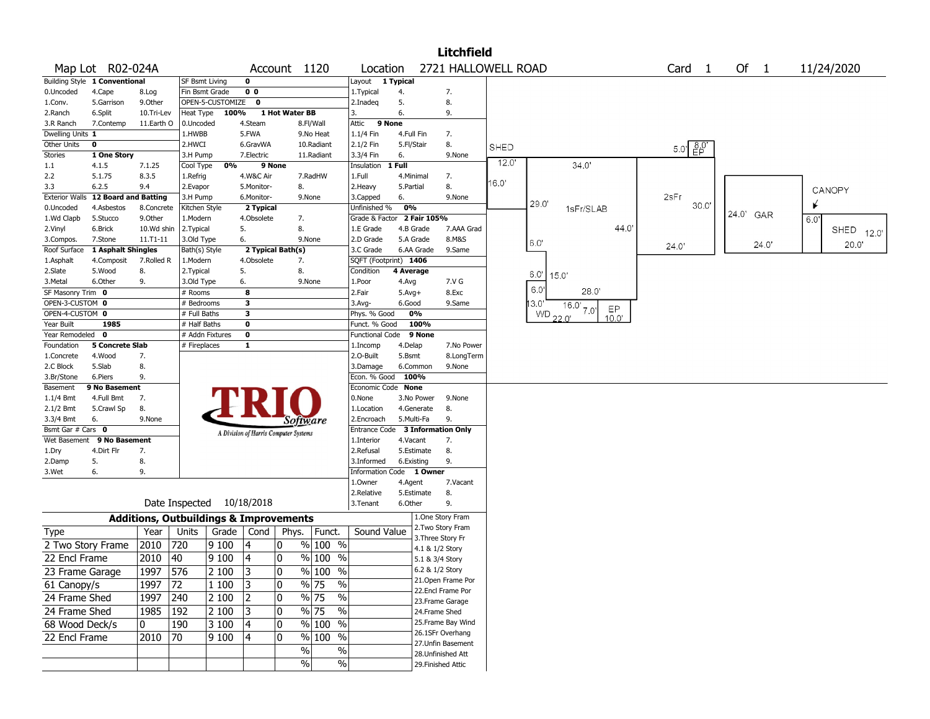|                       |                               |                                                   |                |                  |                                       |                |                       |                          |              |                 | <b>Litchfield</b>   |      |          |                |                          |              |            |
|-----------------------|-------------------------------|---------------------------------------------------|----------------|------------------|---------------------------------------|----------------|-----------------------|--------------------------|--------------|-----------------|---------------------|------|----------|----------------|--------------------------|--------------|------------|
|                       | Map Lot R02-024A              |                                                   |                |                  |                                       |                | Account 1120          | Location                 |              |                 | 2721 HALLOWELL ROAD |      |          |                | Card 1                   | Of $1$       | 11/24/2020 |
|                       | Building Style 1 Conventional |                                                   | SF Bsmt Living |                  | 0                                     |                |                       | Layout                   | 1 Typical    |                 |                     |      |          |                |                          |              |            |
| 0.Uncoded             | 4.Cape                        | 8.Log                                             | Fin Bsmt Grade |                  | 0 <sub>0</sub>                        |                |                       | 1.Typical                | 4.           |                 | 7.                  |      |          |                |                          |              |            |
| 1.Conv.               | 5.Garrison                    | 9.0ther                                           |                | OPEN-5-CUSTOMIZE | $\mathbf 0$                           |                |                       | 2.Inadeq                 | 5.           |                 | 8.                  |      |          |                |                          |              |            |
| 2.Ranch               | 6.Split                       | 10.Tri-Lev                                        | Heat Type      | 100%             |                                       | 1 Hot Water BB |                       | 3.                       | 6.           |                 | 9.                  |      |          |                |                          |              |            |
| 3.R Ranch             | 7.Contemp                     | 11.Earth O                                        | 0.Uncoded      |                  | 4.Steam                               |                | 8.Fl/Wall             | Attic                    | 9 None       |                 |                     |      |          |                |                          |              |            |
| Dwelling Units 1      |                               |                                                   | 1.HWBB         |                  | 5.FWA                                 |                | 9.No Heat             | 1.1/4 Fin                | 4.Full Fin   |                 | 7.                  |      |          |                |                          |              |            |
| Other Units           | $\mathbf 0$                   |                                                   | 2.HWCI         |                  | 6.GravWA                              |                | 10.Radiant            | 2.1/2 Fin                | 5.Fl/Stair   |                 | 8.                  | SHED |          |                | $5.0'$ $\frac{8.0'}{EP}$ |              |            |
| <b>Stories</b>        | 1 One Story                   |                                                   | 3.H Pump       |                  | 7.Electric                            |                | 11.Radiant            | 3.3/4 Fin                | 6.           |                 | 9.None              |      |          |                |                          |              |            |
| 1.1                   | 4.1.5                         | 7.1.25                                            | Cool Type      | 0%               |                                       | 9 None         |                       | Insulation               | $1$ Full     |                 |                     | 12.0 |          | 34.0'          |                          |              |            |
| 2.2                   | 5.1.75                        | 8.3.5                                             | 1.Refrig       |                  | 4.W&C Air                             |                | 7.RadHW               | 1.Full                   | 4.Minimal    |                 | 7.                  |      |          |                |                          |              |            |
| 3.3                   | 6.2.5                         | 9.4                                               | 2.Evapor       |                  | 5.Monitor-                            |                | 8.                    | 2.Heavy                  | 5.Partial    |                 | 8.                  | 6.0' |          |                |                          |              | CANOPY     |
| <b>Exterior Walls</b> | <b>12 Board and Batting</b>   |                                                   | 3.H Pump       |                  | 6.Monitor-                            |                | 9.None                | 3.Capped                 | 6.           |                 | 9.None              |      |          |                | 2sFr                     |              |            |
| 0.Uncoded             | 4.Asbestos                    | 8.Concrete                                        | Kitchen Style  |                  | 2 Typical                             |                |                       | Unfinished %             | 0%           |                 |                     |      | 29.0     | 1sFr/SLAB      | 30.0                     |              |            |
| 1.Wd Clapb            | 5.Stucco                      | 9.0ther                                           | 1.Modern       |                  | 4.Obsolete                            |                | 7.                    | Grade & Factor           |              | 2 Fair 105%     |                     |      |          |                |                          | 24.0'<br>GAR | 6.0'       |
| 2.Vinyl               | 6.Brick                       | 10.Wd shin                                        | 2. Typical     |                  | 5.                                    |                | 8.                    | 1.E Grade                | 4.B Grade    |                 | 7.AAA Grad          |      |          | 44.0           |                          |              | SHED 12.0' |
| 3.Compos.             | 7.Stone                       | 11.T1-11                                          | 3.Old Type     |                  | 6.                                    |                | 9.None                | 2.D Grade                | 5.A Grade    |                 | 8.M&S               |      | 6.0      |                |                          | 24.0"        | 20.0       |
| Roof Surface          | 1 Asphalt Shingles            |                                                   | Bath(s) Style  |                  | 2 Typical Bath(s)                     |                |                       | 3.C Grade                |              | 6.AA Grade      | 9.Same              |      |          |                | 24.0'                    |              |            |
| 1.Asphalt             | 4.Composit                    | 7.Rolled R                                        | 1.Modern       |                  | 4.Obsolete                            |                | 7.                    | SQFT (Footprint) 1406    |              |                 |                     |      |          |                |                          |              |            |
| 2.Slate               | 5.Wood                        | 8.                                                | 2. Typical     |                  | 5.                                    |                | 8.                    | Condition                | 4 Average    |                 |                     |      | 6.0"     | 15.0           |                          |              |            |
| 3.Metal               | 6.Other                       | 9.                                                | 3.Old Type     |                  | 6.                                    |                | 9.None                | 1.Poor                   | 4.Avg        |                 | 7.V G               |      |          |                |                          |              |            |
| SF Masonry Trim       | 0                             |                                                   | # Rooms        |                  | 8                                     |                |                       | 2.Fair                   | $5.$ Avg $+$ |                 | 8.Exc               |      | 6.0      | 28.0'          |                          |              |            |
| OPEN-3-CUSTOM 0       |                               |                                                   | # Bedrooms     |                  | $\overline{\mathbf{3}}$               |                |                       | 3.Avg-                   | 6.Good       |                 | 9.Same              |      | 13.0     | $16.0'$ $7.0'$ |                          |              |            |
| OPEN-4-CUSTOM 0       |                               |                                                   | # Full Baths   |                  | $\overline{\mathbf{3}}$               |                |                       | Phys. % Good             |              | 0%              |                     |      | WD 22.0' | EP             |                          |              |            |
| Year Built            | 1985                          |                                                   | # Half Baths   |                  | 0                                     |                |                       | Funct. % Good            |              | 100%            |                     |      |          | 10.0'          |                          |              |            |
| Year Remodeled        | $\mathbf 0$                   |                                                   |                | # Addn Fixtures  | $\bf{0}$                              |                |                       | <b>Functional Code</b>   |              | 9 None          |                     |      |          |                |                          |              |            |
| Foundation            | <b>5 Concrete Slab</b>        |                                                   | # Fireplaces   |                  | 1                                     |                |                       | 1.Incomp                 | 4.Delap      |                 | 7.No Power          |      |          |                |                          |              |            |
| 1.Concrete            | 4.Wood                        | 7.                                                |                |                  |                                       |                |                       | 2.O-Built                | 5.Bsmt       |                 | 8.LongTerm          |      |          |                |                          |              |            |
| 2.C Block             | 5.Slab                        | 8.                                                |                |                  |                                       |                |                       | 3.Damage                 | 6.Common     |                 | 9.None              |      |          |                |                          |              |            |
| 3.Br/Stone            | 6.Piers                       | 9.                                                |                |                  |                                       |                |                       | Econ. % Good             | 100%         |                 |                     |      |          |                |                          |              |            |
| Basement              | 9 No Basement                 |                                                   |                |                  |                                       |                |                       | Economic Code None       |              |                 |                     |      |          |                |                          |              |            |
| 1.1/4 Bmt             | 4.Full Bmt                    | 7.                                                |                |                  |                                       |                |                       | 0.None                   |              | 3.No Power      | 9.None              |      |          |                |                          |              |            |
| 2.1/2 Bmt             | 5.Crawl Sp                    | 8.                                                |                |                  |                                       |                |                       | 1.Location               |              | 4.Generate      | 8.                  |      |          |                |                          |              |            |
| 3.3/4 Bmt             | 6.                            | 9.None                                            |                |                  |                                       |                | Software              | 2.Encroach               | 5.Multi-Fa   |                 | 9.                  |      |          |                |                          |              |            |
| Bsmt Gar # Cars 0     |                               |                                                   |                |                  | A Division of Harris Computer Systems |                |                       | Entrance Code            |              |                 | 3 Information Only  |      |          |                |                          |              |            |
| Wet Basement          | 9 No Basement                 |                                                   |                |                  |                                       |                |                       | 1.Interior               | 4.Vacant     |                 | 7.                  |      |          |                |                          |              |            |
| 1.Dry                 | 4.Dirt Flr                    | 7.                                                |                |                  |                                       |                |                       | 2.Refusal                |              | 5.Estimate      | 8.                  |      |          |                |                          |              |            |
| 2.Damp                | 5.                            | 8.                                                |                |                  |                                       |                |                       | 3.Informed               | 6.Existing   |                 | 9.                  |      |          |                |                          |              |            |
| 3.Wet                 | 6.                            | 9.                                                |                |                  |                                       |                |                       | Information Code 1 Owner |              |                 |                     |      |          |                |                          |              |            |
|                       |                               |                                                   |                |                  |                                       |                |                       | 1.Owner                  | 4.Agent      |                 | 7.Vacant            |      |          |                |                          |              |            |
|                       |                               |                                                   |                |                  |                                       |                |                       | 2.Relative               | 5.Estimate   |                 | 8.                  |      |          |                |                          |              |            |
|                       |                               |                                                   | Date Inspected |                  | 10/18/2018                            |                |                       | 3.Tenant                 | 6.Other      |                 | 9.                  |      |          |                |                          |              |            |
|                       |                               | <b>Additions, Outbuildings &amp; Improvements</b> |                |                  |                                       |                |                       |                          |              |                 | 1.One Story Fram    |      |          |                |                          |              |            |
| Type                  |                               | Year                                              | Units          | Grade            | Cond                                  | Phys.          | Funct.                | Sound Value              |              |                 | 2. Two Story Fram   |      |          |                |                          |              |            |
|                       |                               |                                                   |                |                  |                                       |                |                       |                          |              |                 | 3. Three Story Fr   |      |          |                |                          |              |            |
|                       | 2 Two Story Frame             | 2010                                              | 720            | 9 100            | 4                                     | 0              | % 100 %               |                          |              | 4.1 & 1/2 Story |                     |      |          |                |                          |              |            |
| 22 Encl Frame         |                               | 2010                                              | 40             | 9 100            | 4                                     | 0              | % 100 %               |                          |              | 5.1 & 3/4 Story |                     |      |          |                |                          |              |            |
| 23 Frame Garage       |                               | 1997                                              | 576            | 2 100            | 3                                     | 0              | % 100 %               |                          |              | 6.2 & 1/2 Story |                     |      |          |                |                          |              |            |
| 61 Canopy/s           |                               | 1997                                              | 72             | 1 100            | 3                                     | 0              | % 75<br>$\frac{0}{0}$ |                          |              |                 | 21. Open Frame Por  |      |          |                |                          |              |            |
|                       |                               |                                                   |                |                  |                                       |                |                       |                          |              |                 | 22.Encl Frame Por   |      |          |                |                          |              |            |
| 24 Frame Shed         |                               | 1997                                              | 240            | 2 100            | 2                                     | 0              | % 75<br>$\%$          |                          |              |                 | 23. Frame Garage    |      |          |                |                          |              |            |
| 24 Frame Shed         |                               | 1985                                              | 192            | 2 100            | 3                                     | 0              | % 75<br>$\%$          |                          |              | 24.Frame Shed   |                     |      |          |                |                          |              |            |
| 68 Wood Deck/s        |                               | 0                                                 | 190            | 3 100            | 4                                     | 0              | % 100 %               |                          |              |                 | 25. Frame Bay Wind  |      |          |                |                          |              |            |
|                       |                               |                                                   |                |                  |                                       |                |                       |                          |              |                 | 26.1SFr Overhang    |      |          |                |                          |              |            |
| 22 Encl Frame         |                               | 2010                                              | 70             | 9100             | 14                                    | 0              | % 100 %               |                          |              |                 | 27.Unfin Basement   |      |          |                |                          |              |            |
|                       |                               |                                                   |                |                  |                                       |                | $\%$<br>$\%$          |                          |              |                 | 28.Unfinished Att   |      |          |                |                          |              |            |
|                       |                               |                                                   |                |                  |                                       |                | $\%$<br>$\%$          |                          |              |                 | 29. Finished Attic  |      |          |                |                          |              |            |
|                       |                               |                                                   |                |                  |                                       |                |                       |                          |              |                 |                     |      |          |                |                          |              |            |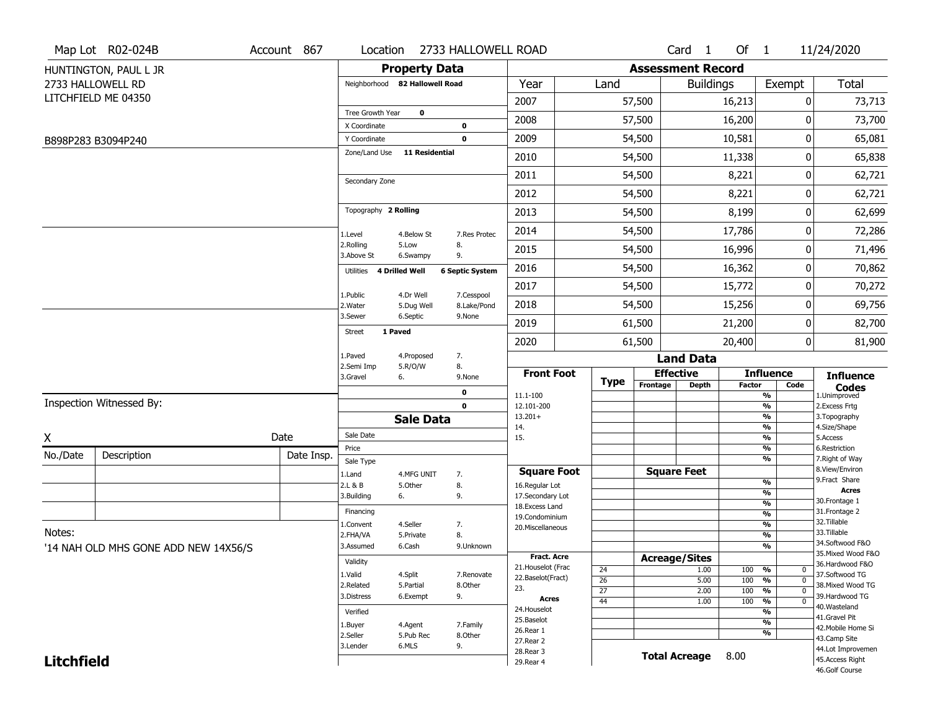|                   | Map Lot R02-024B                     | Account 867 | Location                       |                         | 2733 HALLOWELL ROAD       |                                      |                 |                          | Card <sub>1</sub>    | Of $1$        |                                                      | 11/24/2020                           |
|-------------------|--------------------------------------|-------------|--------------------------------|-------------------------|---------------------------|--------------------------------------|-----------------|--------------------------|----------------------|---------------|------------------------------------------------------|--------------------------------------|
|                   | HUNTINGTON, PAUL L JR                |             |                                | <b>Property Data</b>    |                           |                                      |                 | <b>Assessment Record</b> |                      |               |                                                      |                                      |
|                   | 2733 HALLOWELL RD                    |             | Neighborhood 82 Hallowell Road |                         |                           | Year                                 | Land            |                          | <b>Buildings</b>     |               | Exempt                                               | <b>Total</b>                         |
|                   | LITCHFIELD ME 04350                  |             |                                |                         |                           | 2007                                 |                 | 57,500                   |                      | 16,213        | 0                                                    | 73,713                               |
|                   |                                      |             | Tree Growth Year               | $\mathbf 0$             |                           | 2008                                 |                 | 57,500                   |                      | 16,200        | 0                                                    | 73,700                               |
|                   | B898P283 B3094P240                   |             | X Coordinate<br>Y Coordinate   |                         | 0<br>$\mathbf 0$          | 2009                                 |                 | 54,500                   |                      | 10,581        | 0                                                    | 65,081                               |
|                   |                                      |             | Zone/Land Use                  | <b>11 Residential</b>   |                           | 2010                                 |                 | 54,500                   |                      | 11,338        | 0                                                    | 65,838                               |
|                   |                                      |             |                                |                         |                           | 2011                                 |                 | 54,500                   |                      | 8,221         | 0                                                    | 62,721                               |
|                   |                                      |             | Secondary Zone                 |                         |                           | 2012                                 |                 | 54,500                   |                      | 8,221         | 0                                                    | 62,721                               |
|                   |                                      |             | Topography 2 Rolling           |                         |                           | 2013                                 |                 | 54,500                   |                      | 8,199         | 0                                                    | 62,699                               |
|                   |                                      |             |                                |                         |                           | 2014                                 |                 | 54,500                   |                      | 17,786        | 0                                                    | 72,286                               |
|                   |                                      |             | 1.Level<br>2.Rolling           | 4.Below St<br>5.Low     | 7.Res Protec<br>8.        | 2015                                 |                 | 54,500                   |                      | 16,996        | 0                                                    | 71,496                               |
|                   |                                      |             | 3.Above St                     | 6.Swampy                | 9.                        | 2016                                 |                 | 54,500                   |                      | 16,362        | 0                                                    | 70,862                               |
|                   |                                      |             | 4 Drilled Well<br>Utilities    |                         | <b>6 Septic System</b>    | 2017                                 |                 | 54,500                   |                      | 15,772        | 0                                                    | 70,272                               |
|                   |                                      |             | 1.Public<br>2. Water           | 4.Dr Well<br>5.Dug Well | 7.Cesspool<br>8.Lake/Pond | 2018                                 |                 | 54,500                   |                      | 15,256        | 0                                                    | 69,756                               |
|                   |                                      |             | 3.Sewer                        | 6.Septic                | 9.None                    | 2019                                 |                 | 61,500                   |                      | 21,200        | 0                                                    | 82,700                               |
|                   |                                      |             | 1 Paved<br><b>Street</b>       |                         |                           | 2020                                 |                 | 61,500                   |                      | 20,400        | $\overline{0}$                                       |                                      |
|                   |                                      |             | 1.Paved                        | 4.Proposed              | 7.                        |                                      |                 |                          | <b>Land Data</b>     |               |                                                      | 81,900                               |
|                   |                                      |             | 2.Semi Imp                     | 5.R/O/W                 | 8.                        | <b>Front Foot</b>                    |                 |                          | <b>Effective</b>     |               | <b>Influence</b>                                     | <b>Influence</b>                     |
|                   |                                      |             | 3.Gravel<br>6.                 |                         | 9.None<br>$\mathbf 0$     |                                      | <b>Type</b>     | Frontage                 | <b>Depth</b>         | <b>Factor</b> | Code                                                 | <b>Codes</b><br>1.Unimproved         |
|                   | Inspection Witnessed By:             |             |                                |                         | $\mathbf 0$               | 11.1-100<br>12.101-200               |                 |                          |                      |               | $\frac{9}{6}$<br>$\overline{\frac{9}{6}}$            | 2. Excess Frtg                       |
|                   |                                      |             |                                | <b>Sale Data</b>        |                           | $13.201+$                            |                 |                          |                      |               | $\overline{\frac{9}{6}}$                             | 3. Topography                        |
| X                 |                                      | Date        | Sale Date                      |                         |                           | 14.<br>15.                           |                 |                          |                      |               | $\overline{\frac{9}{6}}$<br>$\overline{\frac{9}{6}}$ | 4.Size/Shape<br>5.Access             |
|                   | Description                          |             | Price                          |                         |                           |                                      |                 |                          |                      |               | %                                                    | 6.Restriction                        |
| No./Date          |                                      | Date Insp.  | Sale Type                      |                         |                           |                                      |                 |                          |                      |               | $\overline{\frac{9}{6}}$                             | 7. Right of Way<br>8.View/Environ    |
|                   |                                      |             | 1.Land<br>2.L & B              | 4.MFG UNIT<br>5.Other   | 7.<br>8.                  | <b>Square Foot</b><br>16.Regular Lot |                 |                          | <b>Square Feet</b>   |               | %                                                    | 9.Fract Share                        |
|                   |                                      |             | 6.<br>3.Building               |                         | 9.                        | 17.Secondary Lot                     |                 |                          |                      |               | %                                                    | <b>Acres</b>                         |
|                   |                                      |             |                                |                         |                           | 18. Excess Land                      |                 |                          |                      |               | %                                                    | 30. Frontage 1                       |
|                   |                                      |             | Financing                      |                         |                           | 19.Condominium                       |                 |                          |                      |               | %                                                    | 31. Frontage 2<br>32.Tillable        |
| Notes:            |                                      |             | 1.Convent<br>2.FHA/VA          | 4.Seller<br>5.Private   | 7.<br>8.                  | 20.Miscellaneous                     |                 |                          |                      |               | %<br>%                                               | 33.Tillable                          |
|                   | '14 NAH OLD MHS GONE ADD NEW 14X56/S |             | 3.Assumed                      | 6.Cash                  | 9.Unknown                 |                                      |                 |                          |                      |               | %                                                    | 34.Softwood F&O                      |
|                   |                                      |             |                                |                         |                           | <b>Fract. Acre</b>                   |                 | <b>Acreage/Sites</b>     |                      |               |                                                      | 35. Mixed Wood F&O                   |
|                   |                                      |             | Validity                       |                         |                           | 21. Houselot (Frac                   | 24              |                          | 1.00                 | 100           | %<br>0                                               | 36.Hardwood F&O                      |
|                   |                                      |             | 1.Valid<br>2.Related           | 4.Split<br>5.Partial    | 7.Renovate<br>8.Other     | 22.Baselot(Fract)                    | 26              |                          | 5.00                 | 100           | $\frac{9}{6}$<br>$\mathbf 0$                         | 37.Softwood TG<br>38. Mixed Wood TG  |
|                   |                                      |             | 3.Distress                     | 6.Exempt                | 9.                        | 23.                                  | $\overline{27}$ |                          | 2.00                 | 100           | $\frac{9}{6}$<br>$\mathbf 0$                         | 39.Hardwood TG                       |
|                   |                                      |             |                                |                         |                           | Acres<br>24. Houselot                | 44              |                          | 1.00                 | 100           | $\frac{9}{6}$<br>0                                   | 40. Wasteland                        |
|                   |                                      |             | Verified                       |                         |                           | 25.Baselot                           |                 |                          |                      |               | %                                                    | 41.Gravel Pit                        |
|                   |                                      |             | 1.Buyer                        | 4.Agent                 | 7.Family                  | 26.Rear 1                            |                 |                          |                      |               | %<br>%                                               | 42. Mobile Home Si                   |
|                   |                                      |             | 2.Seller<br>3.Lender           | 5.Pub Rec<br>6.MLS      | 8.Other<br>9.             | 27. Rear 2                           |                 |                          |                      |               |                                                      | 43.Camp Site                         |
| <b>Litchfield</b> |                                      |             |                                |                         |                           | 28. Rear 3                           |                 |                          | <b>Total Acreage</b> | 8.00          |                                                      | 44.Lot Improvemen<br>45.Access Right |
|                   |                                      |             |                                |                         |                           | 29. Rear 4                           |                 |                          |                      |               |                                                      |                                      |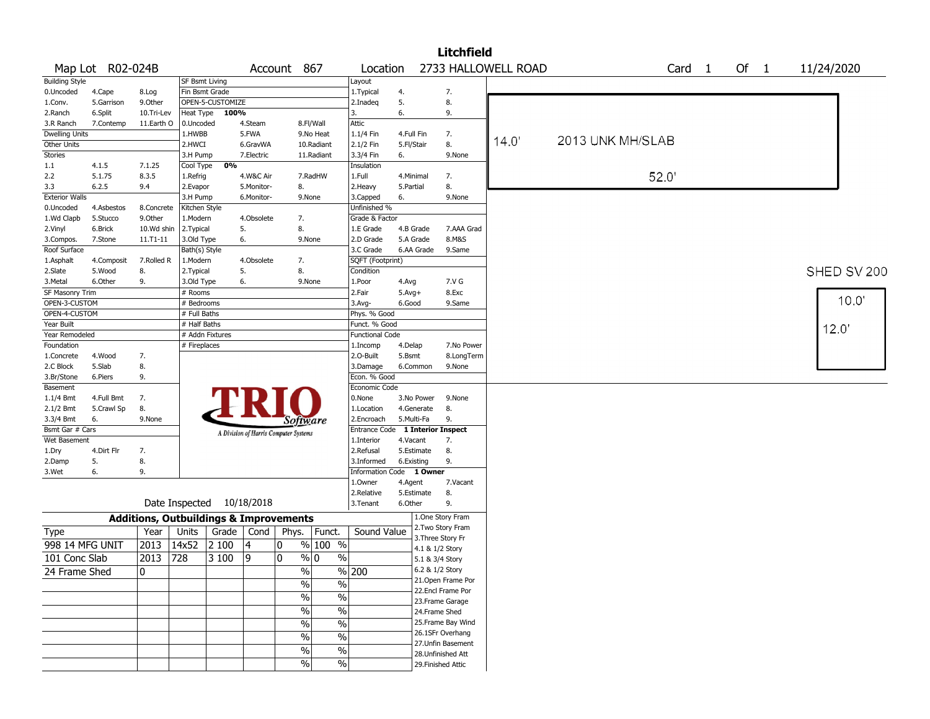|                       |                  |            |               |                           |            |                                                   |                         |                                  |              |                 | <b>Litchfield</b>  |                     |                  |                   |        |             |
|-----------------------|------------------|------------|---------------|---------------------------|------------|---------------------------------------------------|-------------------------|----------------------------------|--------------|-----------------|--------------------|---------------------|------------------|-------------------|--------|-------------|
|                       | Map Lot R02-024B |            |               |                           | Account    |                                                   | 867                     | Location                         |              |                 |                    | 2733 HALLOWELL ROAD |                  | Card <sub>1</sub> | Of $1$ | 11/24/2020  |
| <b>Building Style</b> |                  |            |               | SF Bsmt Living            |            |                                                   |                         | Layout                           |              |                 |                    |                     |                  |                   |        |             |
| 0.Uncoded             | 4.Cape           | 8.Log      |               | Fin Bsmt Grade            |            |                                                   |                         | 1.Typical                        | 4.           |                 | 7.                 |                     |                  |                   |        |             |
| 1.Conv.               | 5.Garrison       | 9.Other    |               | OPEN-5-CUSTOMIZE          |            |                                                   |                         | 2.Inadeq                         | 5.           |                 | 8.                 |                     |                  |                   |        |             |
| 2.Ranch               | 6.Split          | 10.Tri-Lev | Heat Type     | 100%                      |            |                                                   |                         | 3.                               | 6.           |                 | 9.                 |                     |                  |                   |        |             |
| 3.R Ranch             | 7.Contemp        | 11.Earth O | 0.Uncoded     |                           | 4.Steam    |                                                   | 8.Fl/Wall               | Attic                            |              |                 |                    |                     |                  |                   |        |             |
| Dwelling Units        |                  |            | 1.HWBB        |                           | 5.FWA      |                                                   | 9.No Heat               | 1.1/4 Fin                        | 4.Full Fin   |                 | 7.                 | 14.0'               | 2013 UNK MH/SLAB |                   |        |             |
| Other Units           |                  |            | 2.HWCI        |                           | 6.GravWA   |                                                   | 10.Radiant              | 2.1/2 Fin                        | 5.Fl/Stair   |                 | 8.                 |                     |                  |                   |        |             |
| <b>Stories</b>        |                  |            | 3.H Pump      |                           | 7.Electric |                                                   | 11.Radiant              | 3.3/4 Fin                        | 6.           |                 | 9.None             |                     |                  |                   |        |             |
| 1.1                   | 4.1.5            | 7.1.25     | Cool Type     | 0%                        |            |                                                   |                         | Insulation                       |              |                 |                    |                     |                  |                   |        |             |
| 2.2                   | 5.1.75           | 8.3.5      | 1.Refrig      |                           | 4.W&C Air  |                                                   | 7.RadHW                 | 1.Full                           | 4.Minimal    |                 | 7.                 |                     | 52.0'            |                   |        |             |
| 3.3                   | 6.2.5            | 9.4        | 2.Evapor      |                           | 5.Monitor- | 8.                                                |                         | 2.Heavy                          | 5.Partial    |                 | 8.                 |                     |                  |                   |        |             |
| <b>Exterior Walls</b> |                  |            | 3.H Pump      |                           | 6.Monitor- | 9.None                                            |                         | 3.Capped                         | 6.           |                 | 9.None             |                     |                  |                   |        |             |
| 0.Uncoded             | 4.Asbestos       | 8.Concrete | Kitchen Style |                           |            |                                                   |                         | Unfinished %                     |              |                 |                    |                     |                  |                   |        |             |
| 1.Wd Clapb            | 5.Stucco         | 9.Other    | 1.Modern      |                           | 4.Obsolete | 7.                                                |                         | Grade & Factor                   |              |                 |                    |                     |                  |                   |        |             |
| 2.Vinyl               | 6.Brick          | 10.Wd shin | 2.Typical     |                           | 5.         | 8.                                                |                         | 1.E Grade                        | 4.B Grade    |                 | 7.AAA Grad         |                     |                  |                   |        |             |
| 3.Compos.             | 7.Stone          | 11.T1-11   | 3.Old Type    |                           | 6.         | 9.None                                            |                         | 2.D Grade                        | 5.A Grade    |                 | 8.M&S              |                     |                  |                   |        |             |
| Roof Surface          |                  |            | Bath(s) Style |                           |            |                                                   |                         | 3.C Grade                        |              | 6.AA Grade      | 9.Same             |                     |                  |                   |        |             |
| 1.Asphalt             | 4.Composit       | 7.Rolled R | 1.Modern      |                           | 4.Obsolete | 7.                                                |                         | SQFT (Footprint)                 |              |                 |                    |                     |                  |                   |        |             |
| 2.Slate               | 5.Wood           | 8.         | 2. Typical    |                           | 5.         | 8.                                                |                         | Condition                        |              |                 |                    |                     |                  |                   |        | SHED SV 200 |
| 3. Metal              | 6.Other          | 9.         | 3.Old Type    |                           | 6.         | 9.None                                            |                         | 1.Poor                           | 4.Avg        |                 | 7.V G              |                     |                  |                   |        |             |
| SF Masonry Trim       |                  |            | # Rooms       |                           |            |                                                   |                         | 2.Fair                           | $5.$ Avg $+$ |                 | 8.Exc              |                     |                  |                   |        |             |
| OPEN-3-CUSTOM         |                  |            | # Bedrooms    |                           |            |                                                   |                         | 3.Avg-                           | 6.Good       |                 | 9.Same             |                     |                  |                   |        | 10.0'       |
| OPEN-4-CUSTOM         |                  |            | # Full Baths  |                           |            |                                                   |                         | Phys. % Good                     |              |                 |                    |                     |                  |                   |        |             |
| Year Built            |                  |            | # Half Baths  |                           |            |                                                   |                         | Funct. % Good                    |              |                 |                    |                     |                  |                   |        | 12.0'       |
| Year Remodeled        |                  |            |               | # Addn Fixtures           |            |                                                   |                         | <b>Functional Code</b>           |              |                 |                    |                     |                  |                   |        |             |
| Foundation            |                  |            | # Fireplaces  |                           |            |                                                   |                         | 1.Incomp                         | 4.Delap      |                 | 7.No Power         |                     |                  |                   |        |             |
| 1.Concrete            | 4.Wood           | 7.         |               |                           |            |                                                   |                         | 2.0-Built                        | 5.Bsmt       |                 | 8.LongTerm         |                     |                  |                   |        |             |
| 2.C Block             | 5.Slab           | 8.         |               |                           |            |                                                   |                         | 3.Damage                         | 6.Common     |                 | 9.None             |                     |                  |                   |        |             |
| 3.Br/Stone            | 6.Piers          | 9.         |               |                           |            |                                                   |                         | Econ. % Good                     |              |                 |                    |                     |                  |                   |        |             |
| Basement              |                  |            |               |                           |            |                                                   |                         | Economic Code                    |              |                 |                    |                     |                  |                   |        |             |
| 1.1/4 Bmt             | 4.Full Bmt       | 7.         |               |                           |            |                                                   |                         | 0.None                           |              | 3.No Power      | 9.None             |                     |                  |                   |        |             |
| 2.1/2 Bmt             | 5.Crawl Sp       | 8.         |               |                           |            |                                                   |                         | 1.Location                       | 4.Generate   |                 | 8.                 |                     |                  |                   |        |             |
| 3.3/4 Bmt             | 6.               | 9.None     |               |                           |            | <b>Software</b>                                   |                         | 2.Encroach                       | 5.Multi-Fa   |                 | 9.                 |                     |                  |                   |        |             |
| Bsmt Gar # Cars       |                  |            |               |                           |            | A Division of Harris Computer Systems             |                         | Entrance Code 1 Interior Inspect |              |                 |                    |                     |                  |                   |        |             |
| Wet Basement          |                  |            |               |                           |            |                                                   |                         | 1.Interior                       | 4.Vacant     |                 | 7.                 |                     |                  |                   |        |             |
| 1.Dry                 | 4.Dirt Flr       | 7.         |               |                           |            |                                                   |                         | 2.Refusal                        | 5.Estimate   |                 | 8.                 |                     |                  |                   |        |             |
| 2.Damp                | 5.               | 8.         |               |                           |            |                                                   |                         | 3.Informed                       | 6.Existing   |                 | 9.                 |                     |                  |                   |        |             |
| 3.Wet                 | 6.               | 9.         |               |                           |            |                                                   |                         | <b>Information Code</b>          |              | 1 Owner         |                    |                     |                  |                   |        |             |
|                       |                  |            |               |                           |            |                                                   |                         | 1.Owner                          | 4.Agent      |                 | 7.Vacant           |                     |                  |                   |        |             |
|                       |                  |            |               |                           |            |                                                   |                         | 2.Relative                       | 5.Estimate   |                 | 8.                 |                     |                  |                   |        |             |
|                       |                  |            |               | Date Inspected 10/18/2018 |            |                                                   |                         | 3.Tenant                         | 6.Other      |                 | 9.                 |                     |                  |                   |        |             |
|                       |                  |            |               |                           |            | <b>Additions, Outbuildings &amp; Improvements</b> |                         |                                  |              |                 | 1.One Story Fram   |                     |                  |                   |        |             |
| <b>Type</b>           |                  | Year       | Units         | Grade                     | Cond       | Phys.                                             | Funct.                  | Sound Value                      |              |                 | 2. Two Story Fram  |                     |                  |                   |        |             |
| 998 14 MFG UNIT       |                  | 2013       | 14x52         | 2 100                     | 4          | 0                                                 | % 100 %                 |                                  |              | 4.1 & 1/2 Story | 3. Three Story Fr  |                     |                  |                   |        |             |
| 101 Conc Slab         |                  | 2013       | 728           | 3 100                     | 9          | 0                                                 | $\frac{9}{0}$ 0<br>$\%$ |                                  |              | 5.1 & 3/4 Story |                    |                     |                  |                   |        |             |
| 24 Frame Shed         |                  | 0          |               |                           |            | $\%$                                              |                         | $\sqrt{8}$ 200                   |              |                 | 6.2 & 1/2 Story    |                     |                  |                   |        |             |
|                       |                  |            |               |                           |            |                                                   |                         |                                  |              |                 | 21. Open Frame Por |                     |                  |                   |        |             |
|                       |                  |            |               |                           |            | $\frac{1}{2}$                                     | $\frac{1}{2}$           |                                  |              |                 | 22.Encl Frame Por  |                     |                  |                   |        |             |
|                       |                  |            |               |                           |            | $\%$                                              | $\frac{1}{2}$           |                                  |              |                 | 23. Frame Garage   |                     |                  |                   |        |             |
|                       |                  |            |               |                           |            | $\frac{0}{0}$                                     | $\frac{1}{2}$           |                                  |              |                 | 24.Frame Shed      |                     |                  |                   |        |             |
|                       |                  |            |               |                           |            | $\%$                                              | $\frac{1}{2}$           |                                  |              |                 | 25. Frame Bay Wind |                     |                  |                   |        |             |
|                       |                  |            |               |                           |            |                                                   |                         |                                  |              |                 | 26.1SFr Overhang   |                     |                  |                   |        |             |
|                       |                  |            |               |                           |            | $\frac{1}{2}$                                     | $\frac{0}{6}$           |                                  |              |                 | 27.Unfin Basement  |                     |                  |                   |        |             |
|                       |                  |            |               |                           |            | $\%$                                              | $\frac{0}{6}$           |                                  |              |                 | 28. Unfinished Att |                     |                  |                   |        |             |
|                       |                  |            |               |                           |            | $\%$                                              | $\frac{0}{6}$           |                                  |              |                 | 29. Finished Attic |                     |                  |                   |        |             |
|                       |                  |            |               |                           |            |                                                   |                         |                                  |              |                 |                    |                     |                  |                   |        |             |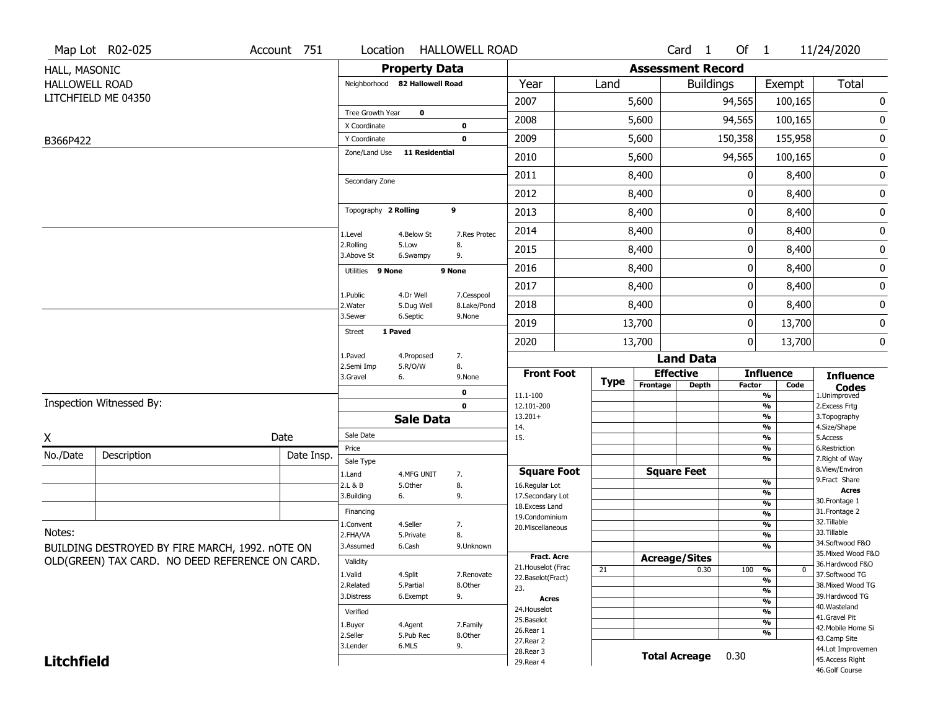|                       | Map Lot R02-025                                 | Account 751 | Location                     |                                | <b>HALLOWELL ROAD</b>     |                                  |             |                          | Card <sub>1</sub>    | Of $1$        |                          | 11/24/2020                           |
|-----------------------|-------------------------------------------------|-------------|------------------------------|--------------------------------|---------------------------|----------------------------------|-------------|--------------------------|----------------------|---------------|--------------------------|--------------------------------------|
| HALL, MASONIC         |                                                 |             |                              | <b>Property Data</b>           |                           |                                  |             | <b>Assessment Record</b> |                      |               |                          |                                      |
| <b>HALLOWELL ROAD</b> |                                                 |             |                              | Neighborhood 82 Hallowell Road |                           | Year                             | Land        |                          | <b>Buildings</b>     |               | Exempt                   | Total                                |
|                       | LITCHFIELD ME 04350                             |             |                              |                                |                           | 2007                             |             | 5,600                    |                      | 94,565        | 100,165                  | 0                                    |
|                       |                                                 |             | Tree Growth Year             | $\mathbf 0$                    |                           | 2008                             |             | 5,600                    |                      | 94,565        | 100,165                  | 0                                    |
| B366P422              |                                                 |             | X Coordinate<br>Y Coordinate |                                | $\bf{0}$<br>$\mathbf 0$   | 2009                             |             | 5,600                    |                      | 150,358       | 155,958                  | $\bf{0}$                             |
|                       |                                                 |             | Zone/Land Use                | <b>11 Residential</b>          |                           | 2010                             |             | 5,600                    |                      | 94,565        | 100,165                  | 0                                    |
|                       |                                                 |             |                              |                                |                           | 2011                             |             | 8,400                    |                      | 0             |                          |                                      |
|                       |                                                 |             | Secondary Zone               |                                |                           |                                  |             |                          |                      |               | 8,400                    | 0                                    |
|                       |                                                 |             |                              |                                |                           | 2012                             |             | 8,400                    |                      | 0             | 8,400                    | $\pmb{0}$                            |
|                       |                                                 |             | Topography 2 Rolling         |                                | 9                         | 2013                             |             | 8,400                    |                      | 0             | 8,400                    | $\pmb{0}$                            |
|                       |                                                 |             | 1.Level                      | 4.Below St                     | 7.Res Protec              | 2014                             |             | 8,400                    |                      | 0             | 8,400                    | 0                                    |
|                       |                                                 |             | 2.Rolling<br>3.Above St      | 5.Low<br>6.Swampy              | 8.<br>9.                  | 2015                             |             | 8,400                    |                      | $\pmb{0}$     | 8,400                    | 0                                    |
|                       |                                                 |             | Utilities 9 None             |                                | 9 None                    | 2016                             |             | 8,400                    |                      | 0             | 8,400                    | $\bf{0}$                             |
|                       |                                                 |             |                              |                                |                           | 2017                             |             | 8,400                    |                      | 0             | 8,400                    | 0                                    |
|                       |                                                 |             | 1.Public<br>2.Water          | 4.Dr Well<br>5.Dug Well        | 7.Cesspool<br>8.Lake/Pond | 2018                             |             | 8,400                    |                      | 0             | 8,400                    | $\bf{0}$                             |
|                       |                                                 |             | 3.Sewer                      | 6.Septic                       | 9.None                    | 2019                             |             | 13,700                   |                      | $\pmb{0}$     | 13,700                   | 0                                    |
|                       |                                                 |             | Street                       | 1 Paved                        |                           | 2020                             |             | 13,700                   |                      | 0             | 13,700                   | 0                                    |
|                       |                                                 |             | 1.Paved                      | 4.Proposed                     | 7.                        |                                  |             |                          | <b>Land Data</b>     |               |                          |                                      |
|                       |                                                 |             | 2.Semi Imp<br>3.Gravel       | 5.R/O/W<br>6.                  | 8.<br>9.None              | <b>Front Foot</b>                |             | <b>Effective</b>         |                      |               | <b>Influence</b>         | <b>Influence</b>                     |
|                       |                                                 |             |                              |                                | $\bf{0}$                  | 11.1-100                         | <b>Type</b> | Frontage                 | <b>Depth</b>         | <b>Factor</b> | Code<br>%                | <b>Codes</b><br>1.Unimproved         |
|                       | Inspection Witnessed By:                        |             |                              |                                | $\mathbf 0$               | 12.101-200                       |             |                          |                      |               | %                        | 2. Excess Frtg                       |
|                       |                                                 |             |                              | <b>Sale Data</b>               |                           | $13.201+$<br>14.                 |             |                          |                      |               | %<br>%                   | 3. Topography<br>4.Size/Shape        |
| X                     |                                                 | Date        | Sale Date                    |                                |                           | 15.                              |             |                          |                      |               | %                        | 5.Access                             |
| No./Date              | Description                                     | Date Insp.  | Price                        |                                |                           |                                  |             |                          |                      |               | %<br>%                   | 6.Restriction<br>7. Right of Way     |
|                       |                                                 |             | Sale Type<br>1.Land          | 4.MFG UNIT                     | 7.                        | <b>Square Foot</b>               |             |                          | <b>Square Feet</b>   |               |                          | 8.View/Environ                       |
|                       |                                                 |             | 2.L & B                      | 5.Other                        | 8.                        | 16.Regular Lot                   |             |                          |                      |               | %                        | 9. Fract Share<br><b>Acres</b>       |
|                       |                                                 |             | 3.Building                   | 6.                             | 9.                        | 17.Secondary Lot                 |             |                          |                      |               | %<br>$\frac{9}{6}$       | 30. Frontage 1                       |
|                       |                                                 |             | Financing                    |                                |                           | 18.Excess Land<br>19.Condominium |             |                          |                      |               | $\overline{\frac{9}{6}}$ | 31. Frontage 2                       |
|                       |                                                 |             | 1.Convent                    | 4.Seller                       | 7.                        | 20.Miscellaneous                 |             |                          |                      |               | $\overline{\frac{9}{6}}$ | 32.Tillable                          |
| Notes:                |                                                 |             | 2.FHA/VA                     | 5.Private                      | 8.                        |                                  |             |                          |                      |               | $\overline{\frac{9}{6}}$ | 33.Tillable<br>34.Softwood F&O       |
|                       | BUILDING DESTROYED BY FIRE MARCH, 1992. nOTE ON |             | 3.Assumed                    | 6.Cash                         | 9.Unknown                 | <b>Fract. Acre</b>               |             |                          |                      |               | %                        | 35. Mixed Wood F&O                   |
|                       | OLD(GREEN) TAX CARD. NO DEED REFERENCE ON CARD. |             | Validity                     |                                |                           | 21. Houselot (Frac               | 21          | <b>Acreage/Sites</b>     | 0.30                 | 100           | %<br>$\mathbf 0$         | 36.Hardwood F&O                      |
|                       |                                                 |             | 1.Valid                      | 4.Split                        | 7.Renovate                | 22.Baselot(Fract)                |             |                          |                      |               | $\frac{9}{6}$            | 37.Softwood TG                       |
|                       |                                                 |             | 2.Related<br>3.Distress      | 5.Partial                      | 8.Other                   | 23.                              |             |                          |                      |               | %                        | 38. Mixed Wood TG<br>39.Hardwood TG  |
|                       |                                                 |             |                              | 6.Exempt                       | 9.                        | <b>Acres</b>                     |             |                          |                      |               | $\frac{9}{6}$            | 40. Wasteland                        |
|                       |                                                 |             | Verified                     |                                |                           | 24. Houselot<br>25.Baselot       |             |                          |                      |               | %                        | 41.Gravel Pit                        |
|                       |                                                 |             | 1.Buyer                      | 4.Agent                        | 7.Family                  | 26.Rear 1                        |             |                          |                      |               | %<br>%                   | 42. Mobile Home Si                   |
|                       |                                                 |             | 2.Seller<br>3.Lender         | 5.Pub Rec<br>6.MLS             | 8.Other<br>9.             | 27.Rear 2                        |             |                          |                      |               |                          | 43.Camp Site                         |
|                       |                                                 |             |                              |                                |                           | 28. Rear 3                       |             |                          | <b>Total Acreage</b> | 0.30          |                          | 44.Lot Improvemen<br>45.Access Right |
| <b>Litchfield</b>     |                                                 |             |                              |                                |                           | 29. Rear 4                       |             |                          |                      |               |                          | 46.Golf Course                       |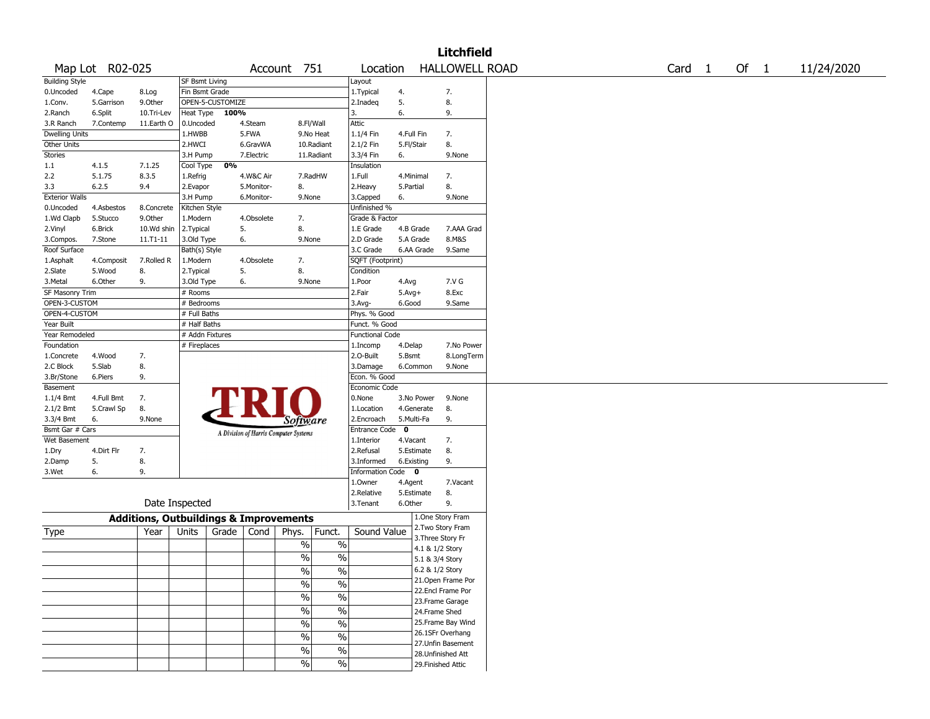|                       |                 |                                                   |                       |                  |            |                                       |                          |                        |              |            | <b>Litchfield</b>     |  |                   |        |            |
|-----------------------|-----------------|---------------------------------------------------|-----------------------|------------------|------------|---------------------------------------|--------------------------|------------------------|--------------|------------|-----------------------|--|-------------------|--------|------------|
|                       | Map Lot R02-025 |                                                   |                       |                  |            | Account 751                           |                          | Location               |              |            | <b>HALLOWELL ROAD</b> |  | Card <sub>1</sub> | Of $1$ | 11/24/2020 |
| <b>Building Style</b> |                 |                                                   | <b>SF Bsmt Living</b> |                  |            |                                       |                          | Layout                 |              |            |                       |  |                   |        |            |
| 0.Uncoded             | 4.Cape          | 8.Log                                             | Fin Bsmt Grade        |                  |            |                                       |                          | 1.Typical              | 4.           |            | 7.                    |  |                   |        |            |
| 1.Conv.               | 5.Garrison      | 9.0ther                                           |                       | OPEN-5-CUSTOMIZE |            |                                       |                          | 2.Inadeg               | 5.           |            | 8.                    |  |                   |        |            |
| 2.Ranch               | 6.Split         | 10.Tri-Lev                                        | Heat Type             | 100%             |            |                                       |                          | 3.                     | 6.           |            | 9.                    |  |                   |        |            |
| 3.R Ranch             | 7.Contemp       | 11.Earth O                                        | 0.Uncoded             |                  | 4.Steam    | 8.Fl/Wall                             |                          | Attic                  |              |            |                       |  |                   |        |            |
| <b>Dwelling Units</b> |                 |                                                   | 1.HWBB                |                  | 5.FWA      |                                       | 9.No Heat                | 1.1/4 Fin              | 4.Full Fin   |            | 7.                    |  |                   |        |            |
| Other Units           |                 |                                                   | 2.HWCI                |                  | 6.GravWA   |                                       | 10.Radiant               | 2.1/2 Fin              | 5.Fl/Stair   |            | 8.                    |  |                   |        |            |
| Stories               |                 |                                                   | 3.H Pump              |                  | 7.Electric |                                       | 11.Radiant               | 3.3/4 Fin              | 6.           |            | 9.None                |  |                   |        |            |
| 1.1                   | 4.1.5           | 7.1.25                                            | Cool Type             | 0%               |            |                                       |                          | Insulation             |              |            |                       |  |                   |        |            |
| 2.2                   | 5.1.75          | 8.3.5                                             | 1.Refrig              |                  | 4.W&C Air  |                                       | 7.RadHW                  | 1.Full                 | 4.Minimal    |            | 7.                    |  |                   |        |            |
| 3.3                   | 6.2.5           | 9.4                                               | 2.Evapor              |                  | 5.Monitor- | 8.                                    |                          | 2. Heavy               | 5.Partial    |            | 8.                    |  |                   |        |            |
| <b>Exterior Walls</b> |                 |                                                   | 3.H Pump              |                  | 6.Monitor- | 9.None                                |                          | 3.Capped               | 6.           |            | 9.None                |  |                   |        |            |
| 0.Uncoded             | 4.Asbestos      | 8.Concrete                                        | Kitchen Style         |                  |            |                                       |                          | Unfinished %           |              |            |                       |  |                   |        |            |
| 1.Wd Clapb            | 5.Stucco        | 9.Other                                           | 1.Modern              |                  | 4.Obsolete | 7.                                    |                          | Grade & Factor         |              |            |                       |  |                   |        |            |
| 2.Vinyl               | 6.Brick         | 10.Wd shin                                        | 2.Typical             | 5.               |            | 8.                                    |                          | 1.E Grade              | 4.B Grade    |            | 7.AAA Grad            |  |                   |        |            |
| 3.Compos.             | 7.Stone         | 11.T1-11                                          | 3.Old Type            | 6.               |            | 9.None                                |                          | 2.D Grade              | 5.A Grade    |            | 8.M&S                 |  |                   |        |            |
| Roof Surface          |                 |                                                   | Bath(s) Style         |                  |            |                                       |                          | 3.C Grade              |              | 6.AA Grade | 9.Same                |  |                   |        |            |
| 1.Asphalt             | 4.Composit      | 7.Rolled R                                        | 1.Modern              |                  | 4.Obsolete | 7.                                    |                          | SQFT (Footprint)       |              |            |                       |  |                   |        |            |
| 2.Slate               | 5.Wood          | 8.                                                | 2.Typical             | 5.               |            | 8.                                    |                          | Condition              |              |            |                       |  |                   |        |            |
| 3. Metal              | 6.Other         | 9.                                                | 3.Old Type            | 6.               |            | 9.None                                |                          | 1.Poor                 | 4.Avg        |            | 7.V G                 |  |                   |        |            |
| SF Masonry Trim       |                 |                                                   | $#$ Rooms             |                  |            |                                       |                          | 2.Fair                 | $5.Avg+$     |            | 8.Exc                 |  |                   |        |            |
| OPEN-3-CUSTOM         |                 |                                                   | # Bedrooms            |                  |            |                                       |                          | 3.Avg-                 | 6.Good       |            | 9.Same                |  |                   |        |            |
| OPEN-4-CUSTOM         |                 |                                                   | # Full Baths          |                  |            |                                       |                          | Phys. % Good           |              |            |                       |  |                   |        |            |
| Year Built            |                 |                                                   | # Half Baths          |                  |            |                                       |                          | Funct. % Good          |              |            |                       |  |                   |        |            |
| Year Remodeled        |                 |                                                   | # Addn Fixtures       |                  |            |                                       |                          | <b>Functional Code</b> |              |            |                       |  |                   |        |            |
| Foundation            |                 |                                                   | # Fireplaces          |                  |            |                                       |                          | 1.Incomp               | 4.Delap      |            | 7.No Power            |  |                   |        |            |
| 1.Concrete            | 4.Wood          | 7.                                                |                       |                  |            |                                       |                          | 2.O-Built              | 5.Bsmt       |            | 8.LongTerm            |  |                   |        |            |
| 2.C Block             | 5.Slab          | 8.                                                |                       |                  |            |                                       |                          | 3.Damage               |              | 6.Common   | 9.None                |  |                   |        |            |
| 3.Br/Stone            | 6.Piers         | 9.                                                |                       |                  |            |                                       |                          | Econ. % Good           |              |            |                       |  |                   |        |            |
| Basement              |                 |                                                   |                       |                  |            |                                       |                          | Economic Code          |              |            |                       |  |                   |        |            |
| 1.1/4 Bmt             | 4.Full Bmt      | 7.                                                |                       |                  |            |                                       |                          | 0.None                 |              | 3.No Power | 9.None                |  |                   |        |            |
| 2.1/2 Bmt             | 5.Crawl Sp      | 8.                                                |                       |                  |            |                                       |                          | 1.Location             |              | 4.Generate | 8.                    |  |                   |        |            |
| 3.3/4 Bmt             | 6.              | 9.None                                            |                       |                  |            | Software                              |                          | 2.Encroach             | 5.Multi-Fa   |            | 9.                    |  |                   |        |            |
| Bsmt Gar # Cars       |                 |                                                   |                       |                  |            | A Division of Harris Computer Systems |                          | <b>Entrance Code</b>   | $\mathbf{o}$ |            |                       |  |                   |        |            |
| Wet Basement          |                 |                                                   |                       |                  |            |                                       |                          | 1.Interior             | 4.Vacant     |            | 7.                    |  |                   |        |            |
| 1.Dry                 | 4.Dirt Flr      | 7.                                                |                       |                  |            |                                       |                          | 2.Refusal              |              | 5.Estimate | 8.                    |  |                   |        |            |
| 2.Damp                | 5.              | 8.                                                |                       |                  |            |                                       |                          | 3.Informed             | 6.Existing   |            | 9.                    |  |                   |        |            |
| 3.Wet                 | 6.              | 9.                                                |                       |                  |            |                                       |                          | Information Code 0     |              |            |                       |  |                   |        |            |
|                       |                 |                                                   |                       |                  |            |                                       |                          | 1.Owner                | 4.Agent      |            | 7.Vacant              |  |                   |        |            |
|                       |                 |                                                   |                       |                  |            |                                       |                          | 2.Relative             |              | 5.Estimate | 8.                    |  |                   |        |            |
|                       |                 | Date Inspected                                    |                       |                  |            |                                       |                          | 3.Tenant               | 6.Other      |            | 9.                    |  |                   |        |            |
|                       |                 | <b>Additions, Outbuildings &amp; Improvements</b> |                       |                  |            |                                       |                          |                        |              |            | 1.One Story Fram      |  |                   |        |            |
| Type                  |                 | Year                                              | Units                 | Grade            | Cond       | Phys.                                 | Funct.                   | Sound Value            |              |            | 2. Two Story Fram     |  |                   |        |            |
|                       |                 |                                                   |                       |                  |            |                                       |                          |                        |              |            | 3. Three Story Fr     |  |                   |        |            |
|                       |                 |                                                   |                       |                  |            | $\%$                                  | $\%$                     |                        |              |            | 4.1 & 1/2 Story       |  |                   |        |            |
|                       |                 |                                                   |                       |                  |            | %                                     | $\%$                     |                        |              |            | 5.1 & 3/4 Story       |  |                   |        |            |
|                       |                 |                                                   |                       |                  |            | %                                     | $\%$                     |                        |              |            | 6.2 & 1/2 Story       |  |                   |        |            |
|                       |                 |                                                   |                       |                  |            | $\frac{1}{2}$                         | $\overline{\frac{0}{6}}$ |                        |              |            | 21. Open Frame Por    |  |                   |        |            |
|                       |                 |                                                   |                       |                  |            |                                       |                          |                        |              |            | 22.Encl Frame Por     |  |                   |        |            |
|                       |                 |                                                   |                       |                  |            | $\frac{1}{2}$                         | $\overline{\frac{0}{6}}$ |                        |              |            | 23. Frame Garage      |  |                   |        |            |
|                       |                 |                                                   |                       |                  |            | $\sqrt{6}$                            | $\%$                     |                        |              |            | 24.Frame Shed         |  |                   |        |            |
|                       |                 |                                                   |                       |                  |            | $\sqrt{6}$                            | $\%$                     |                        |              |            | 25. Frame Bay Wind    |  |                   |        |            |
|                       |                 |                                                   |                       |                  |            |                                       |                          |                        |              |            | 26.1SFr Overhang      |  |                   |        |            |
|                       |                 |                                                   |                       |                  |            | $\%$                                  | $\overline{\frac{0}{0}}$ |                        |              |            | 27. Unfin Basement    |  |                   |        |            |
|                       |                 |                                                   |                       |                  |            | $\%$                                  | $\%$                     |                        |              |            | 28.Unfinished Att     |  |                   |        |            |
|                       |                 |                                                   |                       |                  |            | $\sqrt{6}$                            | $\frac{1}{2}$            |                        |              |            | 29. Finished Attic    |  |                   |        |            |
|                       |                 |                                                   |                       |                  |            |                                       |                          |                        |              |            |                       |  |                   |        |            |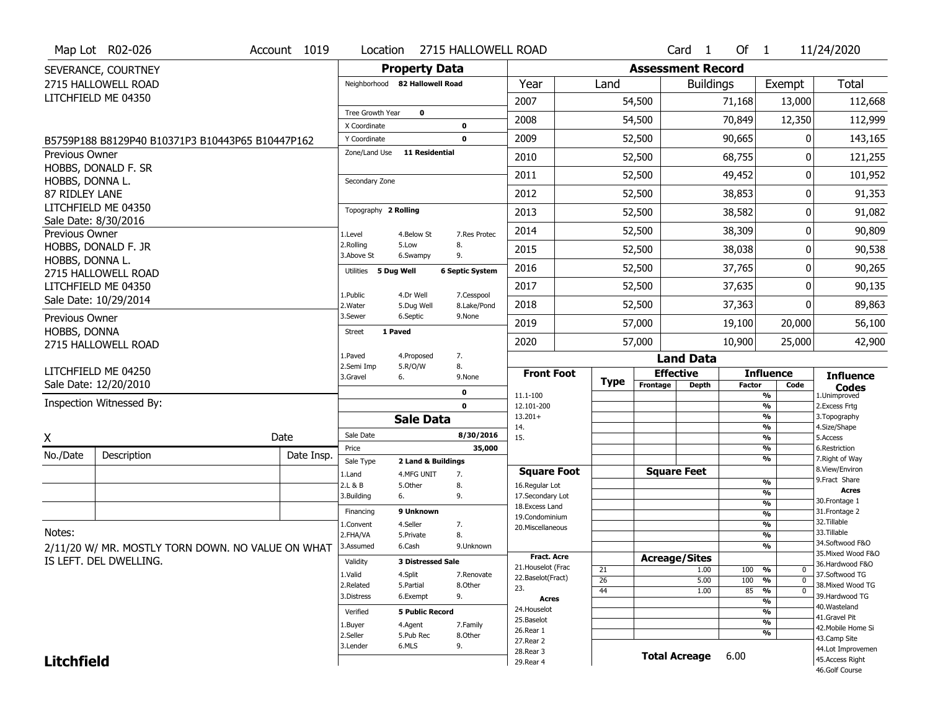|                   | Map Lot R02-026                                   | Account 1019 | Location                     |                                | 2715 HALLOWELL ROAD       |                                      |             |                          | Card <sub>1</sub>    | Of 1          |                                | 11/24/2020                           |
|-------------------|---------------------------------------------------|--------------|------------------------------|--------------------------------|---------------------------|--------------------------------------|-------------|--------------------------|----------------------|---------------|--------------------------------|--------------------------------------|
|                   | SEVERANCE, COURTNEY                               |              |                              | <b>Property Data</b>           |                           |                                      |             | <b>Assessment Record</b> |                      |               |                                |                                      |
|                   | 2715 HALLOWELL ROAD                               |              |                              | Neighborhood 82 Hallowell Road |                           | Year                                 | Land        |                          | <b>Buildings</b>     |               | Exempt                         | Total                                |
|                   | LITCHFIELD ME 04350                               |              |                              |                                |                           | 2007                                 |             | 54,500                   |                      | 71,168        | 13,000                         | 112,668                              |
|                   |                                                   |              | Tree Growth Year             | $\mathbf 0$                    |                           | 2008                                 |             | 54,500                   |                      | 70,849        | 12,350                         | 112,999                              |
|                   | B5759P188 B8129P40 B10371P3 B10443P65 B10447P162  |              | X Coordinate<br>Y Coordinate |                                | 0<br>$\mathbf 0$          | 2009                                 |             | 52,500                   |                      | 90,665        | $\Omega$                       | 143,165                              |
| Previous Owner    |                                                   |              | Zone/Land Use                | <b>11 Residential</b>          |                           | 2010                                 |             | 52,500                   |                      | 68,755        | 0                              | 121,255                              |
|                   | HOBBS, DONALD F. SR                               |              |                              |                                |                           | 2011                                 |             | 52,500                   |                      | 49,452        | 0                              | 101,952                              |
| HOBBS, DONNA L.   |                                                   |              | Secondary Zone               |                                |                           |                                      |             |                          |                      |               |                                |                                      |
| 87 RIDLEY LANE    | LITCHFIELD ME 04350                               |              |                              |                                |                           | 2012                                 |             | 52,500                   |                      | 38,853        | $\overline{0}$                 | 91,353                               |
|                   | Sale Date: 8/30/2016                              |              | Topography 2 Rolling         |                                |                           | 2013                                 |             | 52,500                   |                      | 38,582        | 0                              | 91,082                               |
| Previous Owner    |                                                   |              | 1.Level                      | 4.Below St                     | 7.Res Protec              | 2014                                 |             | 52,500                   |                      | 38,309        | $\Omega$                       | 90,809                               |
|                   | HOBBS, DONALD F. JR                               |              | 2.Rolling<br>3.Above St      | 5.Low<br>6.Swampy              | 8.<br>9.                  | 2015                                 |             | 52,500                   |                      | 38,038        | $\Omega$                       | 90,538                               |
| HOBBS, DONNA L.   | 2715 HALLOWELL ROAD                               |              | Utilities 5 Dug Well         |                                | <b>6 Septic System</b>    | 2016                                 |             | 52,500                   |                      | 37,765        | 0                              | 90,265                               |
|                   | LITCHFIELD ME 04350                               |              | 1.Public                     |                                |                           | 2017                                 |             | 52,500                   |                      | 37,635        | $\overline{0}$                 | 90,135                               |
|                   | Sale Date: 10/29/2014                             |              | 2. Water                     | 4.Dr Well<br>5.Dug Well        | 7.Cesspool<br>8.Lake/Pond | 2018                                 |             | 52,500                   |                      | 37,363        | $\Omega$                       | 89,863                               |
| Previous Owner    |                                                   |              | 3.Sewer                      | 6.Septic                       | 9.None                    | 2019                                 |             | 57,000                   |                      | 19,100        | 20,000                         | 56,100                               |
| HOBBS, DONNA      | 2715 HALLOWELL ROAD                               |              | <b>Street</b>                | 1 Paved                        |                           | 2020                                 |             | 57,000                   |                      | 10,900        | 25,000                         | 42,900                               |
|                   |                                                   |              | 1.Paved                      | 4.Proposed                     | 7.                        |                                      |             |                          | <b>Land Data</b>     |               |                                |                                      |
|                   | LITCHFIELD ME 04250                               |              | 2.Semi Imp                   | 5.R/O/W                        | 8.                        |                                      |             |                          |                      |               |                                |                                      |
|                   |                                                   |              | 3.Gravel                     |                                | 9.None                    | <b>Front Foot</b>                    |             |                          | <b>Effective</b>     |               | <b>Influence</b>               |                                      |
|                   | Sale Date: 12/20/2010                             |              |                              | 6.                             |                           |                                      | <b>Type</b> | Frontage                 | <b>Depth</b>         | <b>Factor</b> | Code                           | <b>Influence</b><br><b>Codes</b>     |
|                   | Inspection Witnessed By:                          |              |                              |                                | 0<br>$\mathbf 0$          | 11.1-100<br>12.101-200               |             |                          |                      |               | %<br>$\frac{9}{6}$             | 1.Unimproved<br>2.Excess Frtg        |
|                   |                                                   |              |                              | <b>Sale Data</b>               |                           | $13.201+$                            |             |                          |                      |               | %                              | 3. Topography                        |
|                   |                                                   | Date         | Sale Date                    |                                | 8/30/2016                 | 14.<br>15.                           |             |                          |                      |               | %<br>%                         | 4.Size/Shape<br>5.Access             |
| X                 |                                                   |              | Price                        |                                | 35,000                    |                                      |             |                          |                      |               | %                              | 6.Restriction                        |
| No./Date          | Description                                       | Date Insp.   | Sale Type                    | 2 Land & Buildings             |                           |                                      |             |                          |                      |               | %                              | 7. Right of Way<br>8.View/Environ    |
|                   |                                                   |              | 1.Land<br>2.L & B            | 4.MFG UNIT<br>5.Other          | 7.<br>8.                  | <b>Square Foot</b><br>16.Regular Lot |             |                          | <b>Square Feet</b>   |               | %                              | 9. Fract Share                       |
|                   |                                                   |              | 3.Building                   | 6.                             | 9.                        | 17.Secondary Lot                     |             |                          |                      |               | $\frac{9}{6}$                  | <b>Acres</b>                         |
|                   |                                                   |              | Financing                    | 9 Unknown                      |                           | 18. Excess Land                      |             |                          |                      |               | $\frac{9}{6}$                  | 30.Frontage 1<br>31. Frontage 2      |
|                   |                                                   |              | 1.Convent                    | 4.Seller                       |                           | 19.Condominium                       |             |                          |                      |               | $\frac{9}{6}$<br>$\frac{9}{6}$ | 32.Tillable                          |
| Notes:            |                                                   |              | 2.FHA/VA                     | 5.Private                      | 7.<br>8.                  | 20.Miscellaneous                     |             |                          |                      |               | $\frac{9}{6}$                  | 33.Tillable                          |
|                   |                                                   |              | 3.Assumed                    | 6.Cash                         | 9.Unknown                 |                                      |             |                          |                      |               | $\frac{9}{6}$                  | 34.Softwood F&O                      |
|                   | 2/11/20 W/ MR. MOSTLY TORN DOWN. NO VALUE ON WHAT |              |                              | <b>3 Distressed Sale</b>       |                           | <b>Fract. Acre</b>                   |             |                          | <b>Acreage/Sites</b> |               |                                | 35. Mixed Wood F&O                   |
|                   | IS LEFT. DEL DWELLING.                            |              | Validity                     |                                |                           | 21. Houselot (Frac                   | 21          |                          | 1.00                 | 100           | %<br>0                         | 36.Hardwood F&O                      |
|                   |                                                   |              | 1.Valid                      | 4.Split                        | 7.Renovate                | 22.Baselot(Fract)                    | 26          |                          | 5.00                 | 100           | $\frac{9}{6}$<br>$\mathbf{0}$  | 37.Softwood TG                       |
|                   |                                                   |              | 2.Related<br>3.Distress      | 5.Partial<br>6.Exempt          | 8.Other<br>9.             | 23.                                  | 44          |                          | 1.00                 | 85            | $\frac{9}{6}$<br>$\mathbf{0}$  | 38. Mixed Wood TG<br>39.Hardwood TG  |
|                   |                                                   |              |                              |                                |                           | <b>Acres</b>                         |             |                          |                      |               | $\frac{9}{6}$                  | 40. Wasteland                        |
|                   |                                                   |              | Verified                     | <b>5 Public Record</b>         |                           | 24. Houselot<br>25.Baselot           |             |                          |                      |               | %                              | 41.Gravel Pit                        |
|                   |                                                   |              | 1.Buyer                      | 4.Agent                        | 7.Family                  | 26.Rear 1                            |             |                          |                      |               | $\frac{9}{6}$                  | 42. Mobile Home Si                   |
|                   |                                                   |              | 2.Seller                     | 5.Pub Rec                      | 8.Other                   | 27. Rear 2                           |             |                          |                      |               | %                              | 43.Camp Site                         |
| <b>Litchfield</b> |                                                   |              | 3.Lender                     | 6.MLS                          | 9.                        | 28.Rear 3<br>29. Rear 4              |             |                          | <b>Total Acreage</b> | 6.00          |                                | 44.Lot Improvemen<br>45.Access Right |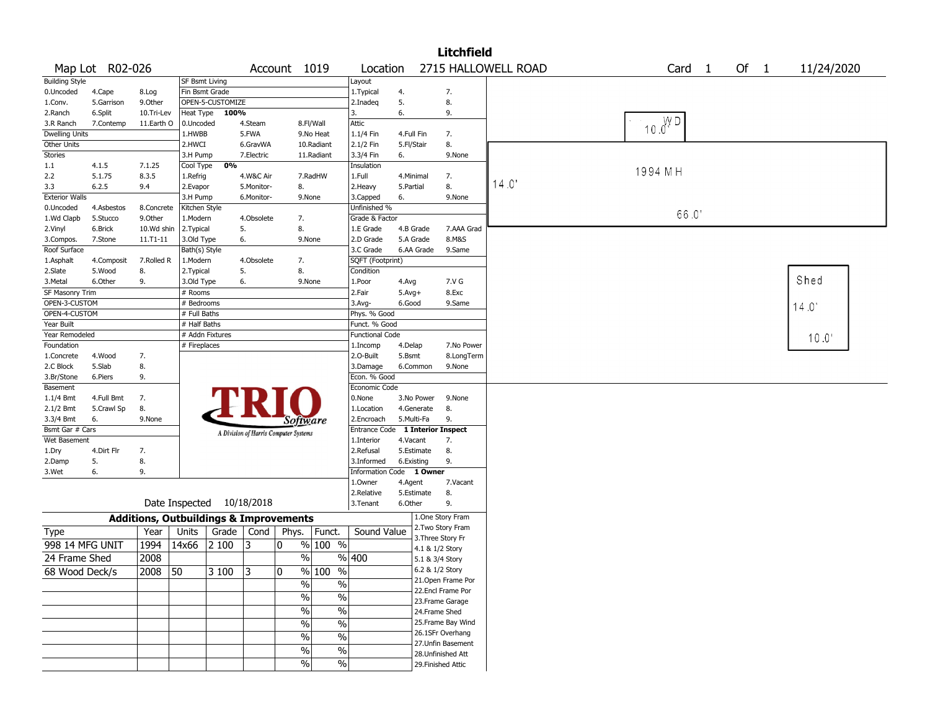| 2715 HALLOWELL ROAD<br>Map Lot R02-026<br>Of 1<br>11/24/2020<br>Account 1019<br>Location<br>Card 1<br><b>Building Style</b><br>SF Bsmt Living<br>Layout<br>Fin Bsmt Grade<br>4.<br>7.<br>0.Uncoded<br>4.Cape<br>1. Typical<br>8.Log<br>OPEN-5-CUSTOMIZE<br>5.<br>8.<br>5.Garrison<br>9.0ther<br>1.Conv.<br>2.Inadeg<br>Heat Type<br>100%<br>9.<br>6.Split<br>10.Tri-Lev<br>6.<br>2.Ranch<br>3.<br>$10.0^{WD}$<br>8.Fl/Wall<br>Attic<br>3.R Ranch<br>7.Contemp<br>11.Earth O<br>0.Uncoded<br>4.Steam<br><b>Dwelling Units</b><br>5.FWA<br>9.No Heat<br>1.HWBB<br>1.1/4 Fin<br>4.Full Fin<br>7.<br>Other Units<br>2.HWCI<br>10.Radiant<br>2.1/2 Fin<br>5.Fl/Stair<br>8.<br>6.GravWA<br>Stories<br>3.H Pump<br>7.Electric<br>11.Radiant<br>3.3/4 Fin<br>6.<br>9.None<br>Cool Type<br>0%<br>Insulation<br>1.1<br>4.1.5<br>7.1.25<br>1994 MH<br>5.1.75<br>8.3.5<br>1.Full<br>2.2<br>1.Refrig<br>4.W&C Air<br>7.RadHW<br>4.Minimal<br>7.<br>14.0 |  |
|--------------------------------------------------------------------------------------------------------------------------------------------------------------------------------------------------------------------------------------------------------------------------------------------------------------------------------------------------------------------------------------------------------------------------------------------------------------------------------------------------------------------------------------------------------------------------------------------------------------------------------------------------------------------------------------------------------------------------------------------------------------------------------------------------------------------------------------------------------------------------------------------------------------------------------------------|--|
|                                                                                                                                                                                                                                                                                                                                                                                                                                                                                                                                                                                                                                                                                                                                                                                                                                                                                                                                            |  |
|                                                                                                                                                                                                                                                                                                                                                                                                                                                                                                                                                                                                                                                                                                                                                                                                                                                                                                                                            |  |
|                                                                                                                                                                                                                                                                                                                                                                                                                                                                                                                                                                                                                                                                                                                                                                                                                                                                                                                                            |  |
|                                                                                                                                                                                                                                                                                                                                                                                                                                                                                                                                                                                                                                                                                                                                                                                                                                                                                                                                            |  |
|                                                                                                                                                                                                                                                                                                                                                                                                                                                                                                                                                                                                                                                                                                                                                                                                                                                                                                                                            |  |
|                                                                                                                                                                                                                                                                                                                                                                                                                                                                                                                                                                                                                                                                                                                                                                                                                                                                                                                                            |  |
|                                                                                                                                                                                                                                                                                                                                                                                                                                                                                                                                                                                                                                                                                                                                                                                                                                                                                                                                            |  |
|                                                                                                                                                                                                                                                                                                                                                                                                                                                                                                                                                                                                                                                                                                                                                                                                                                                                                                                                            |  |
|                                                                                                                                                                                                                                                                                                                                                                                                                                                                                                                                                                                                                                                                                                                                                                                                                                                                                                                                            |  |
|                                                                                                                                                                                                                                                                                                                                                                                                                                                                                                                                                                                                                                                                                                                                                                                                                                                                                                                                            |  |
|                                                                                                                                                                                                                                                                                                                                                                                                                                                                                                                                                                                                                                                                                                                                                                                                                                                                                                                                            |  |
| 8.<br>6.2.5<br>2.Heavy<br>3.3<br>9.4<br>2.Evapor<br>5.Monitor-<br>8.<br>5.Partial                                                                                                                                                                                                                                                                                                                                                                                                                                                                                                                                                                                                                                                                                                                                                                                                                                                          |  |
| <b>Exterior Walls</b><br>3.H Pump<br>6.Monitor-<br>9.None<br>3.Capped<br>6.<br>9.None                                                                                                                                                                                                                                                                                                                                                                                                                                                                                                                                                                                                                                                                                                                                                                                                                                                      |  |
| Unfinished %<br>0.Uncoded<br>4.Asbestos<br>8.Concrete<br>Kitchen Style<br>66.0'                                                                                                                                                                                                                                                                                                                                                                                                                                                                                                                                                                                                                                                                                                                                                                                                                                                            |  |
| 9.Other<br>Grade & Factor<br>1.Wd Clapb<br>5.Stucco<br>1.Modern<br>4.Obsolete<br>7.                                                                                                                                                                                                                                                                                                                                                                                                                                                                                                                                                                                                                                                                                                                                                                                                                                                        |  |
| 10.Wd shin<br>5.<br>2.Vinyl<br>6.Brick<br>2.Typical<br>8.<br>1.E Grade<br>4.B Grade<br>7.AAA Grad                                                                                                                                                                                                                                                                                                                                                                                                                                                                                                                                                                                                                                                                                                                                                                                                                                          |  |
| 5.A Grade<br>8.M&S<br>7.Stone<br>$11.71 - 11$<br>3.Old Type<br>6.<br>9.None<br>2.D Grade<br>3.Compos.                                                                                                                                                                                                                                                                                                                                                                                                                                                                                                                                                                                                                                                                                                                                                                                                                                      |  |
| Roof Surface<br>Bath(s) Style<br>6.AA Grade<br>9.Same<br>3.C Grade                                                                                                                                                                                                                                                                                                                                                                                                                                                                                                                                                                                                                                                                                                                                                                                                                                                                         |  |
| SQFT (Footprint)<br>7.Rolled R<br>1.Modern<br>4.Obsolete<br>7.<br>1.Asphalt<br>4.Composit                                                                                                                                                                                                                                                                                                                                                                                                                                                                                                                                                                                                                                                                                                                                                                                                                                                  |  |
| 2.Slate<br>5.Wood<br>8.<br>2. Typical<br>5.<br>8.<br>Condition                                                                                                                                                                                                                                                                                                                                                                                                                                                                                                                                                                                                                                                                                                                                                                                                                                                                             |  |
| Shed<br>7.V G<br>3.Metal<br>6.Other<br>9.<br>3.Old Type<br>6.<br>9.None<br>1.Poor<br>4.Avg                                                                                                                                                                                                                                                                                                                                                                                                                                                                                                                                                                                                                                                                                                                                                                                                                                                 |  |
| <b>SF Masonry Trim</b><br>2.Fair<br>8.Exc<br># Rooms<br>$5.$ Avg $+$                                                                                                                                                                                                                                                                                                                                                                                                                                                                                                                                                                                                                                                                                                                                                                                                                                                                       |  |
| OPEN-3-CUSTOM<br># Bedrooms<br>6.Good<br>9.Same<br>3.Avg-<br>14.0                                                                                                                                                                                                                                                                                                                                                                                                                                                                                                                                                                                                                                                                                                                                                                                                                                                                          |  |
| OPEN-4-CUSTOM<br># Full Baths<br>Phys. % Good                                                                                                                                                                                                                                                                                                                                                                                                                                                                                                                                                                                                                                                                                                                                                                                                                                                                                              |  |
| Year Built<br># Half Baths<br>Funct. % Good                                                                                                                                                                                                                                                                                                                                                                                                                                                                                                                                                                                                                                                                                                                                                                                                                                                                                                |  |
| Year Remodeled<br># Addn Fixtures<br><b>Functional Code</b><br>10.0'                                                                                                                                                                                                                                                                                                                                                                                                                                                                                                                                                                                                                                                                                                                                                                                                                                                                       |  |
| # Fireplaces<br>Foundation<br>4.Delap<br>7.No Power<br>1.Incomp                                                                                                                                                                                                                                                                                                                                                                                                                                                                                                                                                                                                                                                                                                                                                                                                                                                                            |  |
| 2.0-Built<br>5.Bsmt<br>1.Concrete<br>4.Wood<br>7.<br>8.LongTerm                                                                                                                                                                                                                                                                                                                                                                                                                                                                                                                                                                                                                                                                                                                                                                                                                                                                            |  |
| 5.Slab<br>8.<br>2.C Block<br>3.Damage<br>6.Common<br>9.None                                                                                                                                                                                                                                                                                                                                                                                                                                                                                                                                                                                                                                                                                                                                                                                                                                                                                |  |
| Econ. % Good<br>3.Br/Stone<br>6.Piers<br>9.                                                                                                                                                                                                                                                                                                                                                                                                                                                                                                                                                                                                                                                                                                                                                                                                                                                                                                |  |
| Economic Code<br>Basement                                                                                                                                                                                                                                                                                                                                                                                                                                                                                                                                                                                                                                                                                                                                                                                                                                                                                                                  |  |
| $1.1/4$ Bmt<br>4.Full Bmt<br>7.<br>0.None<br>3.No Power<br>9.None                                                                                                                                                                                                                                                                                                                                                                                                                                                                                                                                                                                                                                                                                                                                                                                                                                                                          |  |
| 5.Crawl Sp<br>8.<br>8.<br>$2.1/2$ Bmt<br>1.Location<br>4.Generate                                                                                                                                                                                                                                                                                                                                                                                                                                                                                                                                                                                                                                                                                                                                                                                                                                                                          |  |
| 9.None<br>5.Multi-Fa<br>9.<br>3.3/4 Bmt<br>6.<br>2.Encroach<br>Software                                                                                                                                                                                                                                                                                                                                                                                                                                                                                                                                                                                                                                                                                                                                                                                                                                                                    |  |
| Bsmt Gar # Cars<br>Entrance Code 1 Interior Inspect<br>A Division of Harris Computer Systems                                                                                                                                                                                                                                                                                                                                                                                                                                                                                                                                                                                                                                                                                                                                                                                                                                               |  |
| Wet Basement<br>1.Interior<br>4.Vacant<br>7.                                                                                                                                                                                                                                                                                                                                                                                                                                                                                                                                                                                                                                                                                                                                                                                                                                                                                               |  |
| 4.Dirt Flr<br>5.Estimate<br>8.<br>7.<br>2.Refusal<br>1.Dry                                                                                                                                                                                                                                                                                                                                                                                                                                                                                                                                                                                                                                                                                                                                                                                                                                                                                 |  |
| 5.<br>9.<br>2.Damp<br>8.<br>3.Informed<br>6.Existing                                                                                                                                                                                                                                                                                                                                                                                                                                                                                                                                                                                                                                                                                                                                                                                                                                                                                       |  |
| Information Code 1 Owner<br>3.Wet<br>6.<br>9.                                                                                                                                                                                                                                                                                                                                                                                                                                                                                                                                                                                                                                                                                                                                                                                                                                                                                              |  |
| 1.0wner<br>4.Agent<br>7.Vacant                                                                                                                                                                                                                                                                                                                                                                                                                                                                                                                                                                                                                                                                                                                                                                                                                                                                                                             |  |
| 8.<br>2.Relative<br>5.Estimate<br>Date Inspected 10/18/2018                                                                                                                                                                                                                                                                                                                                                                                                                                                                                                                                                                                                                                                                                                                                                                                                                                                                                |  |
| 6.Other<br>9.<br>3.Tenant                                                                                                                                                                                                                                                                                                                                                                                                                                                                                                                                                                                                                                                                                                                                                                                                                                                                                                                  |  |
| 1.One Story Fram<br><b>Additions, Outbuildings &amp; Improvements</b>                                                                                                                                                                                                                                                                                                                                                                                                                                                                                                                                                                                                                                                                                                                                                                                                                                                                      |  |
| 2. Two Story Fram<br>Sound Value<br>Funct.<br>Type<br>Year<br>Units<br>Grade<br>Cond<br>Phys.                                                                                                                                                                                                                                                                                                                                                                                                                                                                                                                                                                                                                                                                                                                                                                                                                                              |  |
| 3. Three Story Fr<br>% 100 %<br>998 14 MFG UNIT<br>1994<br>14x66<br>2 100<br> 3<br>$\mathbf{0}$                                                                                                                                                                                                                                                                                                                                                                                                                                                                                                                                                                                                                                                                                                                                                                                                                                            |  |
| 4.1 & 1/2 Story                                                                                                                                                                                                                                                                                                                                                                                                                                                                                                                                                                                                                                                                                                                                                                                                                                                                                                                            |  |
| $\%$<br>%  400<br>24 Frame Shed<br>2008<br>5.1 & 3/4 Story                                                                                                                                                                                                                                                                                                                                                                                                                                                                                                                                                                                                                                                                                                                                                                                                                                                                                 |  |
| $\frac{9}{6}$ 100 %<br>6.2 & 1/2 Story<br>$2008$ 50<br>3100<br>$\overline{3}$<br>10<br>68 Wood Deck/s                                                                                                                                                                                                                                                                                                                                                                                                                                                                                                                                                                                                                                                                                                                                                                                                                                      |  |
| 21. Open Frame Por<br>$\sqrt{2}$<br>$\%$                                                                                                                                                                                                                                                                                                                                                                                                                                                                                                                                                                                                                                                                                                                                                                                                                                                                                                   |  |
| 22.Encl Frame Por<br>$\sqrt{2}$<br>$\%$                                                                                                                                                                                                                                                                                                                                                                                                                                                                                                                                                                                                                                                                                                                                                                                                                                                                                                    |  |
| 23. Frame Garage                                                                                                                                                                                                                                                                                                                                                                                                                                                                                                                                                                                                                                                                                                                                                                                                                                                                                                                           |  |
| $\sqrt{6}$<br>$\%$<br>24.Frame Shed                                                                                                                                                                                                                                                                                                                                                                                                                                                                                                                                                                                                                                                                                                                                                                                                                                                                                                        |  |
| 25. Frame Bay Wind<br>%<br>$\frac{0}{0}$                                                                                                                                                                                                                                                                                                                                                                                                                                                                                                                                                                                                                                                                                                                                                                                                                                                                                                   |  |
| 26.1SFr Overhang<br>%<br>$\%$                                                                                                                                                                                                                                                                                                                                                                                                                                                                                                                                                                                                                                                                                                                                                                                                                                                                                                              |  |
| 27.Unfin Basement<br>$\frac{1}{2}$<br>%                                                                                                                                                                                                                                                                                                                                                                                                                                                                                                                                                                                                                                                                                                                                                                                                                                                                                                    |  |
| 28. Unfinished Att                                                                                                                                                                                                                                                                                                                                                                                                                                                                                                                                                                                                                                                                                                                                                                                                                                                                                                                         |  |
| $\sqrt{6}$<br>$\%$<br>29. Finished Attic                                                                                                                                                                                                                                                                                                                                                                                                                                                                                                                                                                                                                                                                                                                                                                                                                                                                                                   |  |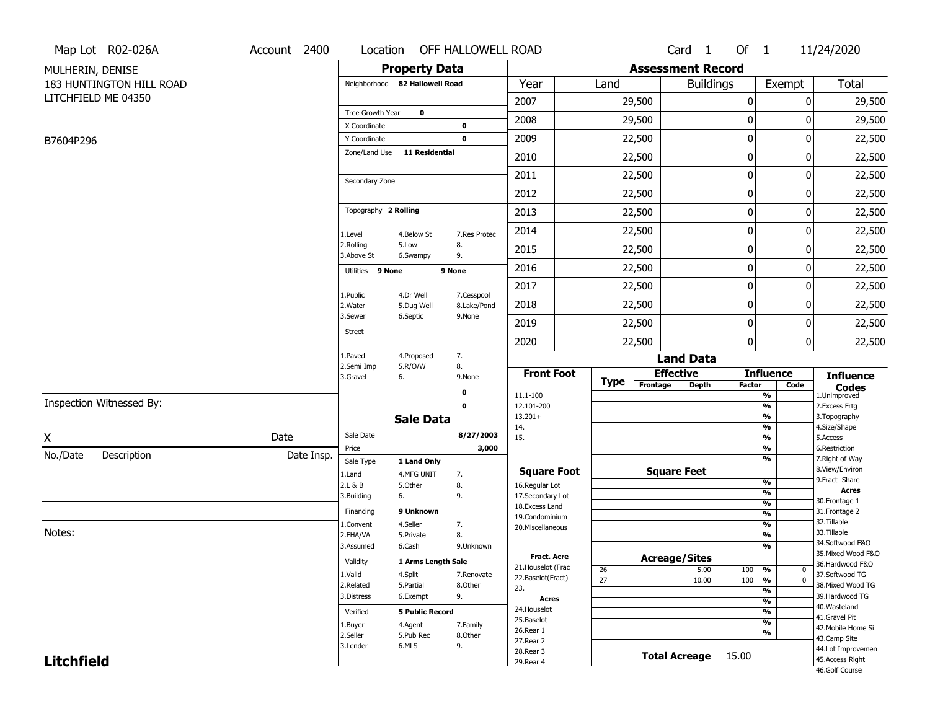|                   | Map Lot R02-026A         | Account 2400 | Location                      |                                | OFF HALLOWELL ROAD |                                         |                 |                          | Card 1               | Of 1          |                                | 11/24/2020                            |
|-------------------|--------------------------|--------------|-------------------------------|--------------------------------|--------------------|-----------------------------------------|-----------------|--------------------------|----------------------|---------------|--------------------------------|---------------------------------------|
| MULHERIN, DENISE  |                          |              |                               | <b>Property Data</b>           |                    |                                         |                 | <b>Assessment Record</b> |                      |               |                                |                                       |
|                   | 183 HUNTINGTON HILL ROAD |              |                               | Neighborhood 82 Hallowell Road |                    | Year                                    | Land            |                          | <b>Buildings</b>     |               | Exempt                         | <b>Total</b>                          |
|                   | LITCHFIELD ME 04350      |              |                               |                                |                    | 2007                                    |                 | 29,500                   |                      | 0             | 0                              | 29,500                                |
|                   |                          |              | Tree Growth Year              | $\mathbf 0$                    |                    | 2008                                    |                 | 29,500                   |                      | 0             | $\Omega$                       | 29,500                                |
|                   |                          |              | X Coordinate                  |                                | $\pmb{0}$          |                                         |                 |                          |                      |               |                                |                                       |
| B7604P296         |                          |              | Y Coordinate<br>Zone/Land Use | <b>11 Residential</b>          | $\mathbf 0$        | 2009                                    |                 | 22,500                   |                      | 0             | 0                              | 22,500                                |
|                   |                          |              |                               |                                |                    | 2010                                    |                 | 22,500                   |                      | 0             | 0                              | 22,500                                |
|                   |                          |              | Secondary Zone                |                                |                    | 2011                                    |                 | 22,500                   |                      | 0             | 0                              | 22,500                                |
|                   |                          |              |                               |                                |                    | 2012                                    |                 | 22,500                   |                      | 0             | 0                              | 22,500                                |
|                   |                          |              | Topography 2 Rolling          |                                |                    | 2013                                    |                 | 22,500                   |                      | 0             | 0                              | 22,500                                |
|                   |                          |              | 1.Level                       | 4.Below St                     | 7.Res Protec       | 2014                                    |                 | 22,500                   |                      | 0             | 0                              | 22,500                                |
|                   |                          |              | 2.Rolling<br>3.Above St       | 5.Low<br>6.Swampy              | 8.<br>9.           | 2015                                    |                 | 22,500                   |                      | 0             | 0                              | 22,500                                |
|                   |                          |              | Utilities 9 None              |                                | 9 None             | 2016                                    |                 | 22,500                   |                      | 0             | $\Omega$                       | 22,500                                |
|                   |                          |              | 1.Public                      | 4.Dr Well                      | 7.Cesspool         | 2017                                    |                 | 22,500                   |                      | 0             | 0                              | 22,500                                |
|                   |                          |              | 2. Water                      | 5.Dug Well                     | 8.Lake/Pond        | 2018                                    |                 | 22,500                   |                      | 0             | 0                              | 22,500                                |
|                   |                          |              | 3.Sewer<br><b>Street</b>      | 6.Septic                       | 9.None             | 2019                                    |                 | 22,500                   |                      | 0             | 0                              | 22,500                                |
|                   |                          |              |                               |                                |                    | 2020                                    |                 | 22,500                   |                      | 0             | $\mathbf 0$                    | 22,500                                |
|                   |                          |              | 1.Paved<br>2.Semi Imp         | 4.Proposed<br>5.R/O/W          | 7.<br>8.           |                                         |                 |                          | <b>Land Data</b>     |               |                                |                                       |
|                   |                          |              | 3.Gravel                      | 6.                             | 9.None             | <b>Front Foot</b>                       | <b>Type</b>     | <b>Effective</b>         |                      |               | <b>Influence</b>               | <b>Influence</b>                      |
|                   |                          |              |                               |                                | 0                  | 11.1-100                                |                 | Frontage                 | <b>Depth</b>         | <b>Factor</b> | Code<br>%                      | <b>Codes</b><br>1.Unimproved          |
|                   | Inspection Witnessed By: |              |                               |                                | $\mathbf 0$        | 12.101-200                              |                 |                          |                      |               | %                              | 2.Excess Frtg                         |
|                   |                          |              |                               | <b>Sale Data</b>               |                    | $13.201+$<br>14.                        |                 |                          |                      |               | %<br>%                         | 3. Topography<br>4.Size/Shape         |
| X                 |                          | Date         | Sale Date                     |                                | 8/27/2003          | 15.                                     |                 |                          |                      |               | %                              | 5.Access                              |
| No./Date          | Description              | Date Insp.   | Price                         |                                | 3,000              |                                         |                 |                          |                      |               | %<br>%                         | 6.Restriction<br>7. Right of Way      |
|                   |                          |              | Sale Type<br>1.Land           | 1 Land Only<br>4.MFG UNIT      | 7.                 | <b>Square Foot</b>                      |                 | <b>Square Feet</b>       |                      |               |                                | 8.View/Environ                        |
|                   |                          |              | 2.L & B                       | 5.Other                        | 8.                 | 16.Regular Lot                          |                 |                          |                      |               | %                              | 9.Fract Share                         |
|                   |                          |              | 3.Building                    | 6.                             | 9.                 | 17.Secondary Lot                        |                 |                          |                      |               | %                              | <b>Acres</b><br>30.Frontage 1         |
|                   |                          |              | Financing                     | 9 Unknown                      |                    | 18. Excess Land                         |                 |                          |                      |               | $\frac{9}{6}$<br>$\frac{9}{6}$ | 31. Frontage 2                        |
|                   |                          |              | 1.Convent                     | 4.Seller                       | 7.                 | 19.Condominium<br>20.Miscellaneous      |                 |                          |                      |               | $\frac{9}{6}$                  | 32.Tillable                           |
| Notes:            |                          |              | 2.FHA/VA                      | 5.Private                      | 8.                 |                                         |                 |                          |                      |               | $\frac{9}{6}$                  | 33.Tillable                           |
|                   |                          |              | 3.Assumed                     | 6.Cash                         | 9.Unknown          |                                         |                 |                          |                      |               | %                              | 34.Softwood F&O                       |
|                   |                          |              | Validity                      | 1 Arms Length Sale             |                    | <b>Fract. Acre</b>                      |                 | <b>Acreage/Sites</b>     |                      |               |                                | 35. Mixed Wood F&O<br>36.Hardwood F&O |
|                   |                          |              | 1.Valid                       | 4.Split                        | 7.Renovate         | 21. Houselot (Frac<br>22.Baselot(Fract) | 26              |                          | 5.00                 | 100           | %<br>$\mathbf 0$               | 37.Softwood TG                        |
|                   |                          |              | 2.Related                     | 5.Partial                      | 8.Other            | 23.                                     | $\overline{27}$ |                          | 10.00                | 100           | %<br>$\mathbf{0}$              | 38. Mixed Wood TG                     |
|                   |                          |              | 3.Distress                    | 6.Exempt                       | 9.                 | <b>Acres</b>                            |                 |                          |                      |               | $\frac{9}{6}$<br>$\frac{9}{6}$ | 39.Hardwood TG                        |
|                   |                          |              | Verified                      | <b>5 Public Record</b>         |                    | 24. Houselot                            |                 |                          |                      |               | $\frac{9}{6}$                  | 40. Wasteland                         |
|                   |                          |              | 1.Buyer                       | 4.Agent                        | 7.Family           | 25.Baselot                              |                 |                          |                      |               | $\frac{9}{6}$                  | 41.Gravel Pit                         |
|                   |                          |              | 2.Seller                      | 5.Pub Rec                      | 8.Other            | 26.Rear 1                               |                 |                          |                      |               | %                              | 42. Mobile Home Si<br>43.Camp Site    |
|                   |                          |              | 3.Lender                      | 6.MLS                          | 9.                 | 27.Rear 2                               |                 |                          |                      |               |                                | 44.Lot Improvemen                     |
| <b>Litchfield</b> |                          |              |                               |                                |                    | 28. Rear 3<br>29. Rear 4                |                 |                          | <b>Total Acreage</b> | 15.00         |                                | 45.Access Right                       |
|                   |                          |              |                               |                                |                    |                                         |                 |                          |                      |               |                                | 46.Golf Course                        |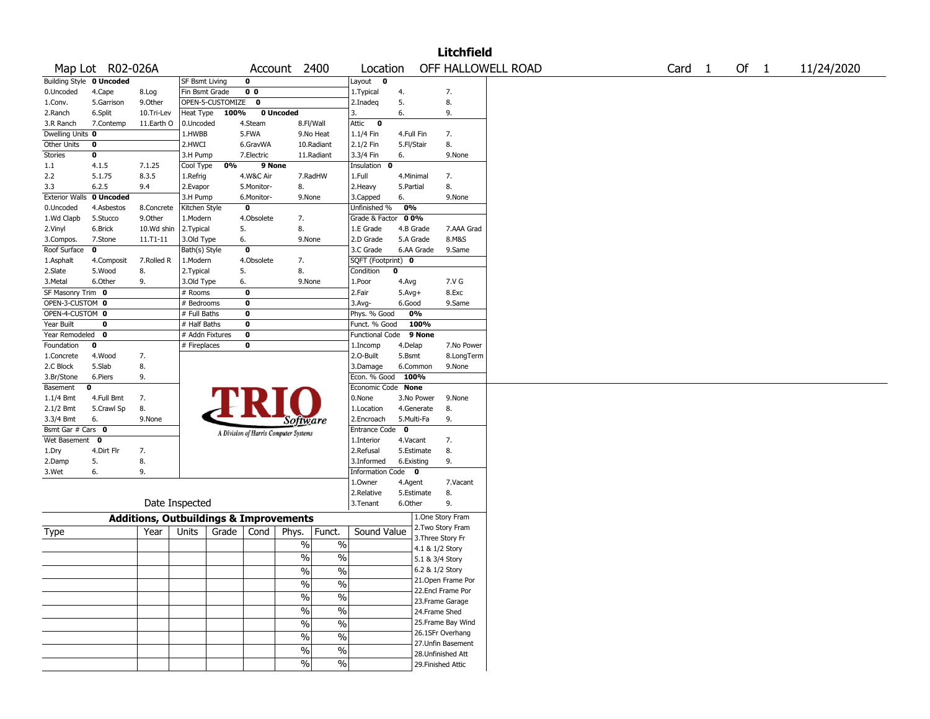|                                    |                                 |                                                   |                           |                  |                           |                                       |               |                             |                           |            | <b>Litchfield</b>  |                    |                   |  |      |            |
|------------------------------------|---------------------------------|---------------------------------------------------|---------------------------|------------------|---------------------------|---------------------------------------|---------------|-----------------------------|---------------------------|------------|--------------------|--------------------|-------------------|--|------|------------|
|                                    | Map Lot R02-026A                |                                                   |                           |                  |                           | Account 2400                          |               | Location                    |                           |            |                    | OFF HALLOWELL ROAD | Card <sub>1</sub> |  | Of 1 | 11/24/2020 |
|                                    | <b>Building Style 0 Uncoded</b> |                                                   | SF Bsmt Living            |                  | $\mathbf 0$               |                                       |               | Layout $\mathbf 0$          |                           |            |                    |                    |                   |  |      |            |
| 0.Uncoded                          | 4.Cape                          | 8.Log                                             | Fin Bsmt Grade            |                  | 0 <sub>0</sub>            |                                       |               | 1. Typical                  | 4.                        |            | 7.                 |                    |                   |  |      |            |
| 1.Conv.                            | 5.Garrison                      | 9.Other                                           |                           | OPEN-5-CUSTOMIZE | $\mathbf 0$               |                                       |               | 2.Inadeg                    | 5.                        |            | 8.                 |                    |                   |  |      |            |
| 2.Ranch                            | 6.Split                         | 10.Tri-Lev                                        | Heat Type                 | 100%             |                           | 0 Uncoded                             |               | 3.                          | 6.                        |            | 9.                 |                    |                   |  |      |            |
| 3.R Ranch                          | 7.Contemp                       | 11.Earth O                                        | 0.Uncoded                 |                  | 4.Steam                   |                                       | 8.Fl/Wall     | Attic<br>$\bf{0}$           |                           |            |                    |                    |                   |  |      |            |
| Dwelling Units 0                   |                                 |                                                   | 1.HWBB                    |                  | 5.FWA                     |                                       | 9.No Heat     | 1.1/4 Fin                   | 4.Full Fin                |            | 7.                 |                    |                   |  |      |            |
| Other Units                        | 0                               |                                                   | 2.HWCI                    |                  | 6.GravWA                  |                                       | 10.Radiant    | 2.1/2 Fin                   | 5.Fl/Stair                |            | 8.                 |                    |                   |  |      |            |
| Stories                            | 0                               |                                                   | 3.H Pump                  |                  | 7.Electric                |                                       | 11.Radiant    | 3.3/4 Fin                   | 6.                        |            | 9.None             |                    |                   |  |      |            |
| 1.1                                | 4.1.5                           | 7.1.25                                            | Cool Type                 | 0%               | 9 None                    |                                       |               | Insulation 0                |                           |            |                    |                    |                   |  |      |            |
| 2.2                                | 5.1.75                          | 8.3.5                                             | 1.Refrig                  |                  | 4.W&C Air                 |                                       | 7.RadHW       | 1.Full                      | 4.Minimal                 |            | 7.                 |                    |                   |  |      |            |
| 3.3                                | 6.2.5                           | 9.4                                               | 2.Evapor                  |                  | 5.Monitor-                | 8.                                    |               | 2. Heavy                    | 5.Partial                 |            | 8.                 |                    |                   |  |      |            |
| <b>Exterior Walls</b><br>0.Uncoded | 0 Uncoded<br>4.Asbestos         | 8.Concrete                                        | 3.H Pump<br>Kitchen Style |                  | 6.Monitor-<br>$\mathbf 0$ | 9.None                                |               | 3.Capped<br>Unfinished %    | 6.<br>0%                  |            | 9.None             |                    |                   |  |      |            |
| 1.Wd Clapb                         | 5.Stucco                        | 9.Other                                           | 1.Modern                  |                  | 4.Obsolete                | 7.                                    |               | Grade & Factor              | 0 0%                      |            |                    |                    |                   |  |      |            |
| 2.Vinyl                            | 6.Brick                         | 10.Wd shin                                        | 2. Typical                |                  | 5.                        | 8.                                    |               | 1.E Grade                   |                           | 4.B Grade  | 7.AAA Grad         |                    |                   |  |      |            |
| 3.Compos.                          | 7.Stone                         | 11.T1-11                                          | 3.Old Type                |                  | 6.                        | 9.None                                |               | 2.D Grade                   | 5.A Grade                 |            | 8.M&S              |                    |                   |  |      |            |
| Roof Surface                       | 0                               |                                                   | Bath(s) Style             |                  | $\mathbf 0$               |                                       |               | 3.C Grade                   |                           | 6.AA Grade | 9.Same             |                    |                   |  |      |            |
| 1.Asphalt                          | 4.Composit                      | 7.Rolled R                                        | 1.Modern                  |                  | 4.Obsolete                | 7.                                    |               | SQFT (Footprint) 0          |                           |            |                    |                    |                   |  |      |            |
| 2.Slate                            | 5.Wood                          | 8.                                                | 2. Typical                |                  | 5.                        | 8.                                    |               | Condition                   | 0                         |            |                    |                    |                   |  |      |            |
| 3. Metal                           | 6.Other                         | 9.                                                | 3.Old Type                |                  | 6.                        | 9.None                                |               | 1.Poor                      | 4.Avg                     |            | 7.V G              |                    |                   |  |      |            |
| SF Masonry Trim 0                  |                                 |                                                   | # Rooms                   |                  | $\mathbf 0$               |                                       |               | 2.Fair                      | $5.Avg+$                  |            | 8.Exc              |                    |                   |  |      |            |
| OPEN-3-CUSTOM 0                    |                                 |                                                   | # Bedrooms                |                  | 0                         |                                       |               | 3.Avg-                      | 6.Good                    |            | 9.Same             |                    |                   |  |      |            |
| OPEN-4-CUSTOM 0                    |                                 |                                                   | # Full Baths              |                  | 0                         |                                       |               | Phys. % Good                |                           | 0%         |                    |                    |                   |  |      |            |
| Year Built                         | 0                               |                                                   | # Half Baths              |                  | $\mathbf 0$               |                                       |               | Funct. % Good               |                           | 100%       |                    |                    |                   |  |      |            |
| Year Remodeled 0                   |                                 |                                                   | # Addn Fixtures           |                  | $\mathbf 0$               |                                       |               | Functional Code 9 None      |                           |            |                    |                    |                   |  |      |            |
| Foundation                         | 0                               |                                                   | # Fireplaces              |                  | 0                         |                                       |               | 1.Incomp                    | 4.Delap                   |            | 7.No Power         |                    |                   |  |      |            |
| 1.Concrete                         | 4.Wood                          | 7.                                                |                           |                  |                           |                                       |               | 2.O-Built                   | 5.Bsmt                    |            | 8.LongTerm         |                    |                   |  |      |            |
| 2.C Block                          | 5.Slab                          | 8.                                                |                           |                  |                           |                                       |               | 3.Damage                    |                           | 6.Common   | 9.None             |                    |                   |  |      |            |
| 3.Br/Stone                         | 6.Piers                         | 9.                                                |                           |                  |                           |                                       |               | Econ. % Good                | 100%                      |            |                    |                    |                   |  |      |            |
| Basement                           | 0                               |                                                   |                           |                  |                           |                                       |               | Economic Code None          |                           |            |                    |                    |                   |  |      |            |
| $1.1/4$ Bmt                        | 4.Full Bmt                      | 7.                                                |                           |                  |                           |                                       |               | 0.None                      |                           | 3.No Power | 9.None             |                    |                   |  |      |            |
| 2.1/2 Bmt                          | 5.Crawl Sp                      | 8.                                                |                           |                  |                           |                                       |               | 1.Location                  |                           | 4.Generate | 8.                 |                    |                   |  |      |            |
| 3.3/4 Bmt<br>Bsmt Gar # Cars 0     | 6.                              | 9.None                                            |                           |                  |                           | <i>Software</i>                       |               | 2.Encroach<br>Entrance Code | 5.Multi-Fa<br>$\mathbf 0$ |            | 9.                 |                    |                   |  |      |            |
| Wet Basement                       | 0                               |                                                   |                           |                  |                           | A Division of Harris Computer Systems |               | 1.Interior                  | 4.Vacant                  |            | 7.                 |                    |                   |  |      |            |
| 1.Dry                              | 4.Dirt Flr                      | 7.                                                |                           |                  |                           |                                       |               | 2.Refusal                   |                           | 5.Estimate | 8.                 |                    |                   |  |      |            |
| 2.Damp                             | 5.                              | 8.                                                |                           |                  |                           |                                       |               | 3.Informed                  | 6.Existing                |            | 9.                 |                    |                   |  |      |            |
| 3.Wet                              | 6.                              | 9.                                                |                           |                  |                           |                                       |               | Information Code 0          |                           |            |                    |                    |                   |  |      |            |
|                                    |                                 |                                                   |                           |                  |                           |                                       |               | 1.0wner                     | 4.Agent                   |            | 7.Vacant           |                    |                   |  |      |            |
|                                    |                                 |                                                   |                           |                  |                           |                                       |               | 2.Relative                  |                           | 5.Estimate | 8.                 |                    |                   |  |      |            |
|                                    |                                 | Date Inspected                                    |                           |                  |                           |                                       |               | 3. Tenant                   | 6.Other                   |            | 9.                 |                    |                   |  |      |            |
|                                    |                                 | <b>Additions, Outbuildings &amp; Improvements</b> |                           |                  |                           |                                       |               |                             |                           |            | 1.One Story Fram   |                    |                   |  |      |            |
|                                    |                                 | Year                                              | Units                     | Grade            | Cond                      | Phys.                                 | Funct.        | Sound Value                 |                           |            | 2. Two Story Fram  |                    |                   |  |      |            |
| Type                               |                                 |                                                   |                           |                  |                           |                                       |               |                             |                           |            | 3. Three Story Fr  |                    |                   |  |      |            |
|                                    |                                 |                                                   |                           |                  |                           | $\%$                                  | $\%$          |                             |                           |            | 4.1 & 1/2 Story    |                    |                   |  |      |            |
|                                    |                                 |                                                   |                           |                  |                           | $\frac{0}{0}$                         | $\%$          |                             |                           |            | 5.1 & 3/4 Story    |                    |                   |  |      |            |
|                                    |                                 |                                                   |                           |                  |                           | $\frac{1}{2}$                         | $\frac{0}{6}$ |                             |                           |            | 6.2 & 1/2 Story    |                    |                   |  |      |            |
|                                    |                                 |                                                   |                           |                  |                           | $\frac{1}{2}$                         | $\frac{1}{2}$ |                             |                           |            | 21. Open Frame Por |                    |                   |  |      |            |
|                                    |                                 |                                                   |                           |                  |                           | $\frac{0}{0}$                         | $\frac{1}{2}$ |                             |                           |            | 22.Encl Frame Por  |                    |                   |  |      |            |
|                                    |                                 |                                                   |                           |                  |                           |                                       |               |                             |                           |            | 23. Frame Garage   |                    |                   |  |      |            |
|                                    |                                 |                                                   |                           |                  |                           | $\%$                                  | $\%$          |                             |                           |            | 24.Frame Shed      |                    |                   |  |      |            |
|                                    |                                 |                                                   |                           |                  |                           | $\frac{0}{0}$                         | $\%$          |                             |                           |            | 25. Frame Bay Wind |                    |                   |  |      |            |
|                                    |                                 |                                                   |                           |                  |                           | $\%$                                  | $\%$          |                             |                           |            | 26.1SFr Overhang   |                    |                   |  |      |            |
|                                    |                                 |                                                   |                           |                  |                           | $\%$                                  | $\frac{1}{2}$ |                             |                           |            | 27. Unfin Basement |                    |                   |  |      |            |
|                                    |                                 |                                                   |                           |                  |                           |                                       |               |                             |                           |            | 28. Unfinished Att |                    |                   |  |      |            |
|                                    |                                 |                                                   |                           |                  |                           | $\%$                                  | $\%$          |                             |                           |            | 29. Finished Attic |                    |                   |  |      |            |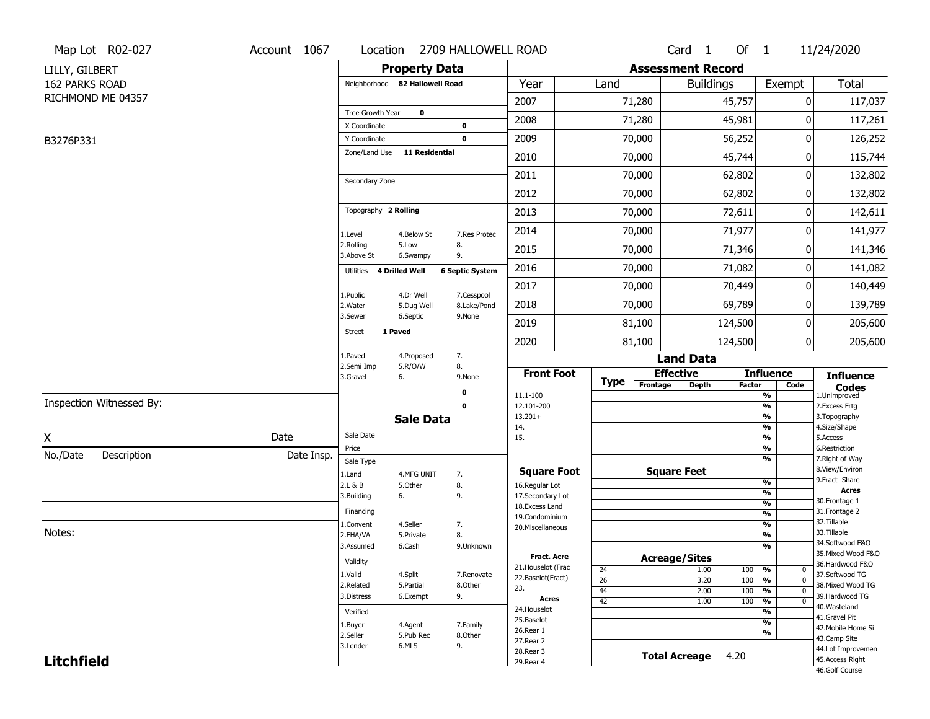|                   | Map Lot R02-027          | Account 1067 | Location                       | 2709 HALLOWELL ROAD                                  |                              |                 |                      | Card <sub>1</sub>        | Of $1$        |                                | 11/24/2020                            |
|-------------------|--------------------------|--------------|--------------------------------|------------------------------------------------------|------------------------------|-----------------|----------------------|--------------------------|---------------|--------------------------------|---------------------------------------|
| LILLY, GILBERT    |                          |              |                                | <b>Property Data</b>                                 |                              |                 |                      | <b>Assessment Record</b> |               |                                |                                       |
| 162 PARKS ROAD    |                          |              | Neighborhood 82 Hallowell Road |                                                      | Year                         | Land            |                      | <b>Buildings</b>         |               | Exempt                         | <b>Total</b>                          |
|                   | RICHMOND ME 04357        |              |                                |                                                      | 2007                         |                 | 71,280               |                          | 45,757        | 0                              | 117,037                               |
|                   |                          |              | Tree Growth Year               | $\mathbf 0$                                          | 2008                         |                 | 71,280               |                          | 45,981        | 0                              | 117,261                               |
| B3276P331         |                          |              | X Coordinate<br>Y Coordinate   | $\mathbf 0$<br>$\mathbf 0$                           | 2009                         |                 | 70,000               |                          | 56,252        | 0                              | 126,252                               |
|                   |                          |              | Zone/Land Use                  | <b>11 Residential</b>                                | 2010                         |                 | 70,000               |                          | 45,744        | 0                              | 115,744                               |
|                   |                          |              |                                |                                                      | 2011                         |                 |                      |                          |               | 0                              |                                       |
|                   |                          |              | Secondary Zone                 |                                                      |                              |                 | 70,000               |                          | 62,802        |                                | 132,802                               |
|                   |                          |              |                                |                                                      | 2012                         |                 | 70,000               |                          | 62,802        | 0                              | 132,802                               |
|                   |                          |              | Topography 2 Rolling           |                                                      | 2013                         |                 | 70,000               |                          | 72,611        | 0                              | 142,611                               |
|                   |                          |              | 1.Level                        | 4.Below St<br>7.Res Protec                           | 2014                         |                 | 70,000               |                          | 71,977        | 0                              | 141,977                               |
|                   |                          |              | 2.Rolling<br>3.Above St        | 5.Low<br>8.<br>9.<br>6.Swampy                        | 2015                         |                 | 70,000               |                          | 71,346        | 0                              | 141,346                               |
|                   |                          |              | Utilities 4 Drilled Well       | <b>6 Septic System</b>                               | 2016                         |                 | 70,000               |                          | 71,082        | 0                              | 141,082                               |
|                   |                          |              |                                |                                                      | 2017                         |                 | 70,000               |                          | 70,449        | 0                              | 140,449                               |
|                   |                          |              | 1.Public<br>2. Water           | 4.Dr Well<br>7.Cesspool<br>5.Dug Well<br>8.Lake/Pond | 2018                         |                 | 70,000               |                          | 69,789        | 0                              | 139,789                               |
|                   |                          |              | 3.Sewer                        | 6.Septic<br>9.None                                   | 2019                         |                 | 81,100               |                          | 124,500       | 0                              | 205,600                               |
|                   |                          |              | 1 Paved<br><b>Street</b>       |                                                      | 2020                         |                 | 81,100               |                          | 124,500       | 0                              | 205,600                               |
|                   |                          |              | 1.Paved                        | 7.<br>4.Proposed                                     |                              |                 |                      | <b>Land Data</b>         |               |                                |                                       |
|                   |                          |              | 2.Semi Imp<br>3.Gravel<br>6.   | 8.<br>5.R/O/W<br>9.None                              | <b>Front Foot</b>            |                 |                      | <b>Effective</b>         |               | <b>Influence</b>               | <b>Influence</b>                      |
|                   |                          |              |                                | 0                                                    |                              | <b>Type</b>     | Frontage             | <b>Depth</b>             | <b>Factor</b> | Code                           | <b>Codes</b>                          |
|                   | Inspection Witnessed By: |              |                                | $\mathbf 0$                                          | 11.1-100<br>12.101-200       |                 |                      |                          |               | %<br>$\frac{9}{6}$             | 1.Unimproved<br>2. Excess Frtg        |
|                   |                          |              |                                | <b>Sale Data</b>                                     | $13.201+$                    |                 |                      |                          |               | %                              | 3. Topography                         |
| X                 |                          | Date         | Sale Date                      |                                                      | 14.<br>15.                   |                 |                      |                          |               | %<br>%                         | 4.Size/Shape<br>5.Access              |
| No./Date          | Description              | Date Insp.   | Price                          |                                                      |                              |                 |                      |                          |               | %                              | 6.Restriction                         |
|                   |                          |              | Sale Type                      |                                                      | <b>Square Foot</b>           |                 |                      | <b>Square Feet</b>       |               | %                              | 7. Right of Way<br>8.View/Environ     |
|                   |                          |              | 1.Land<br>2.L & B              | 4.MFG UNIT<br>7.<br>8.<br>5.Other                    | 16.Regular Lot               |                 |                      |                          |               | $\frac{9}{6}$                  | 9.Fract Share                         |
|                   |                          |              | 3.Building<br>6.               | 9.                                                   | 17.Secondary Lot             |                 |                      |                          |               | $\frac{9}{6}$                  | <b>Acres</b><br>30.Frontage 1         |
|                   |                          |              | Financing                      |                                                      | 18.Excess Land               |                 |                      |                          |               | $\frac{9}{6}$<br>$\frac{9}{6}$ | 31. Frontage 2                        |
|                   |                          |              |                                |                                                      |                              |                 |                      |                          |               |                                | 32.Tillable                           |
|                   |                          |              |                                |                                                      | 19.Condominium               |                 |                      |                          |               |                                |                                       |
| Notes:            |                          |              | 1.Convent<br>2.FHA/VA          | 4.Seller<br>7.<br>8.<br>5.Private                    | 20.Miscellaneous             |                 |                      |                          |               | $\frac{9}{6}$<br>$\frac{9}{6}$ | 33.Tillable                           |
|                   |                          |              | 3.Assumed                      | 6.Cash<br>9.Unknown                                  |                              |                 |                      |                          |               | $\frac{9}{6}$                  | 34.Softwood F&O                       |
|                   |                          |              |                                |                                                      | <b>Fract. Acre</b>           |                 | <b>Acreage/Sites</b> |                          |               |                                | 35. Mixed Wood F&O                    |
|                   |                          |              | Validity                       |                                                      | 21. Houselot (Frac           | 24              |                      | 1.00                     | 100           | %<br>0                         | 36.Hardwood F&O                       |
|                   |                          |              | 1.Valid<br>2.Related           | 4.Split<br>7.Renovate<br>5.Partial<br>8.Other        | 22.Baselot(Fract)            | $\overline{26}$ |                      | 3.20                     | 100           | $\frac{9}{6}$<br>$\mathbf 0$   | 37.Softwood TG<br>38. Mixed Wood TG   |
|                   |                          |              | 3.Distress                     | 6.Exempt<br>9.                                       | 23.                          | 44              |                      | 2.00                     | 100           | $\frac{9}{6}$<br>$\mathbf 0$   | 39.Hardwood TG                        |
|                   |                          |              |                                |                                                      | <b>Acres</b><br>24. Houselot | $\overline{42}$ |                      | 1.00                     | 100           | $\frac{9}{6}$<br>$\mathbf 0$   | 40. Wasteland                         |
|                   |                          |              | Verified                       |                                                      | 25.Baselot                   |                 |                      |                          |               | $\frac{9}{6}$<br>$\frac{9}{6}$ | 41.Gravel Pit                         |
|                   |                          |              | 1.Buyer                        | 4.Agent<br>7.Family                                  | 26.Rear 1                    |                 |                      |                          |               | %                              | 42. Mobile Home Si                    |
|                   |                          |              | 2.Seller<br>3.Lender           | 5.Pub Rec<br>8.Other<br>6.MLS<br>9.                  | 27.Rear 2                    |                 |                      |                          |               |                                | 43.Camp Site                          |
| <b>Litchfield</b> |                          |              |                                |                                                      | 28. Rear 3<br>29. Rear 4     |                 |                      | <b>Total Acreage</b>     | 4.20          |                                | 44.Lot Improvemen<br>45. Access Right |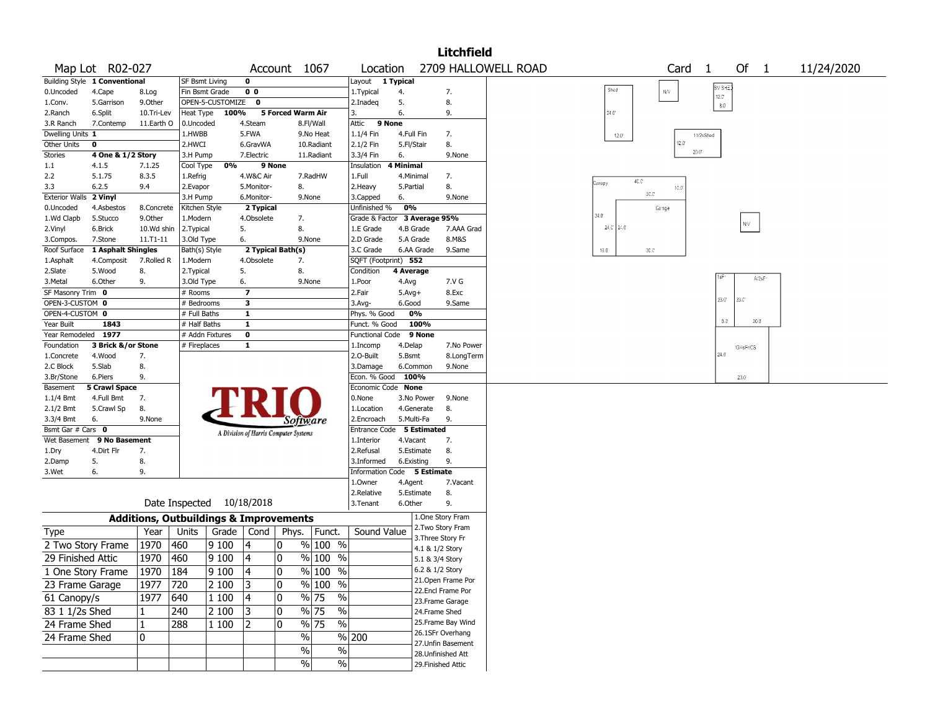|                                    |                               |                                                   |                            |                           |                          |                                       |                                   |                                           |                          | <b>Litchfield</b>                       |                     |                |                |                   |            |            |  |
|------------------------------------|-------------------------------|---------------------------------------------------|----------------------------|---------------------------|--------------------------|---------------------------------------|-----------------------------------|-------------------------------------------|--------------------------|-----------------------------------------|---------------------|----------------|----------------|-------------------|------------|------------|--|
|                                    | Map Lot R02-027               |                                                   |                            |                           |                          | Account 1067                          |                                   | Location                                  |                          |                                         | 2709 HALLOWELL ROAD |                |                | Card <sub>1</sub> | Of $1$     | 11/24/2020 |  |
|                                    | Building Style 1 Conventional |                                                   | SF Bsmt Living             |                           | 0                        |                                       |                                   | 1 Typical<br>Layout                       |                          |                                         |                     |                |                | SV SHED           |            |            |  |
| 0.Uncoded                          | 4.Cape                        | 8.Log                                             |                            | Fin Bsmt Grade            | 0 <sub>0</sub>           |                                       |                                   | 1. Typical                                | 4.                       | 7.                                      |                     | Shed           | ${\sf N\!N}$   | $12.3^{\circ}$    |            |            |  |
| 1.Conv.                            | 5.Garrison                    | 9.0ther                                           |                            | OPEN-5-CUSTOMIZE          | $\bullet$                |                                       |                                   | 2.Inadeg                                  | 5.                       | 8.                                      |                     |                |                | $8.0^\circ$       |            |            |  |
| 2.Ranch                            | 6.Split                       | 10.Tri-Lev                                        | Heat Type                  | 100%                      |                          | 5 Forced Warm Air                     |                                   | 3.                                        | 6.                       | 9.                                      |                     | $24.0^{\circ}$ |                |                   |            |            |  |
| 3.R Ranch                          | 7.Contemp                     | 11.Earth O                                        | 0.Uncoded                  |                           | 4.Steam                  |                                       | 8.Fl/Wall                         | 9 None<br>Attic                           |                          |                                         |                     |                |                |                   |            |            |  |
| Dwelling Units 1<br>Other Units    | $\mathbf{o}$                  |                                                   | 1.HWBB<br>2.HWCI           |                           | 5.FWA<br>6.GravWA        |                                       | 9.No Heat<br>10.Radiant           | $1.1/4$ Fin<br>2.1/2 Fin                  | 4.Full Fin<br>5.Fl/Stair | 7.<br>8.                                |                     | $12.0\,$       | 12.0           | 11/2sShed         |            |            |  |
| <b>Stories</b>                     | 4 One & 1/2 Story             |                                                   | 3.H Pump                   |                           | 7.Electric               |                                       | 11.Radiant                        | 3.3/4 Fin                                 | 6.                       | 9.None                                  |                     |                |                | 20.0"             |            |            |  |
| $1.1\,$                            | 4.1.5                         | 7.1.25                                            | Cool Type                  | 0%                        |                          | 9 None                                |                                   | Insulation                                | 4 Minimal                |                                         |                     |                |                |                   |            |            |  |
| 2.2                                | 5.1.75                        | 8.3.5                                             | 1.Refrig                   |                           | 4.W&C Air                |                                       | 7.RadHW                           | 1.Full                                    | 4.Minimal                | 7.                                      |                     |                |                |                   |            |            |  |
| 3.3                                | 6.2.5                         | 9.4                                               | 2.Evapor                   |                           | 5.Monitor-               | 8.                                    |                                   | 2. Heavy                                  | 5.Partial                | 8.                                      |                     | Canopy         | 40.0°<br>10.0  |                   |            |            |  |
| Exterior Walls 2 Vinyl             |                               |                                                   | 3.H Pump                   |                           | 6.Monitor-               | 9.None                                |                                   | 3.Capped                                  | 6.                       | 9.None                                  |                     |                | $30.3^{\circ}$ |                   |            |            |  |
| 0.Uncoded                          | 4.Asbestos                    | 8.Concrete                                        | Kitchen Style              |                           | 2 Typical                |                                       |                                   | Unfinished %                              | 0%                       |                                         |                     |                | Garage         |                   |            |            |  |
| 1.Wd Clapb                         | 5.Stucco                      | 9.Other                                           | 1.Modern                   |                           | 4.Obsolete               | 7.                                    |                                   | Grade & Factor 3 Average 95%              |                          |                                         |                     | 34.0'          |                |                   | NV.        |            |  |
| 2.Vinyl                            | 6.Brick                       | 10.Wd shin                                        | 2. Typical                 |                           | 5.                       | 8.                                    |                                   | 1.E Grade                                 | 4.B Grade                | 7.AAA Grad                              |                     | $24.0$ 24.0    |                |                   |            |            |  |
| 3.Compos.                          | 7.Stone                       | $11. T1 - 11$                                     | 3.Old Type                 |                           | 6.                       | 9.None                                |                                   | 2.D Grade                                 | 5.A Grade                | 8.M&S                                   |                     |                |                |                   |            |            |  |
| Roof Surface                       | <b>1 Asphalt Shingles</b>     |                                                   | Bath(s) Style              |                           |                          | 2 Typical Bath(s)                     |                                   | 3.C Grade                                 | 6.AA Grade               | 9.Same                                  |                     | $10.0^\circ$   | $30.0^\circ$   |                   |            |            |  |
| 1.Asphalt                          | 4.Composit                    | 7.Rolled R                                        | 1.Modern                   |                           | 4.Obsolete               | 7.                                    |                                   | SQFT (Footprint) 552                      |                          |                                         |                     |                |                |                   |            |            |  |
| 2.Slate                            | 5.Wood                        | 8.                                                | 2. Typical                 |                           | 5.                       | 8.                                    |                                   | Condition                                 | 4 Average                |                                         |                     |                |                |                   | A/25F      |            |  |
| 3.Metal                            | 6.Other                       | 9.                                                | 3.Old Type                 |                           | 6.                       | 9.None                                |                                   | 1.Poor                                    | 4.Avg                    | 7.V G                                   |                     |                |                |                   |            |            |  |
| SF Masonry Trim 0                  |                               |                                                   | # Rooms                    |                           | $\overline{\phantom{a}}$ |                                       |                                   | 2.Fair                                    | $5.Avg+$                 | 8.Exc                                   |                     |                |                | $23.0^{\circ}$    | 23.C       |            |  |
| OPEN-3-CUSTOM 0<br>OPEN-4-CUSTOM 0 |                               |                                                   | # Bedrooms<br># Full Baths |                           | 3<br>$\mathbf{1}$        |                                       |                                   | 3.Avg-                                    | 6.Good<br>0%             | 9.Same                                  |                     |                |                |                   |            |            |  |
| Year Built                         | 1843                          |                                                   | # Half Baths               |                           | $\mathbf{1}$             |                                       |                                   | Phys. % Good<br>Funct. % Good             | 100%                     |                                         |                     |                |                | $8.0^{\circ}$     | 20.0       |            |  |
| Year Remodeled 1977                |                               |                                                   |                            | # Addn Fixtures           | $\mathbf 0$              |                                       |                                   | Functional Code 9 None                    |                          |                                         |                     |                |                |                   |            |            |  |
| Foundation                         | 3 Brick &/or Stone            |                                                   | # Fireplaces               |                           | 1                        |                                       |                                   | 1.Incomp                                  | 4.Delap                  | 7.No Power                              |                     |                |                |                   | 13/4sFr/CS |            |  |
| 1.Concrete                         | 4.Wood                        | 7.                                                |                            |                           |                          |                                       |                                   | 2.O-Built                                 | 5.Bsmt                   | 8.LongTerm                              |                     |                |                | 24.0              |            |            |  |
| 2.C Block                          | 5.Slab                        | 8.                                                |                            |                           |                          |                                       |                                   | 3.Damage                                  | 6.Common                 | 9.None                                  |                     |                |                |                   |            |            |  |
| 3.Br/Stone                         | 6.Piers                       | 9.                                                |                            |                           |                          |                                       |                                   | Econ. % Good 100%                         |                          |                                         |                     |                |                |                   | 23.0       |            |  |
| Basement                           | <b>5 Crawl Space</b>          |                                                   |                            |                           |                          |                                       |                                   | Economic Code None                        |                          |                                         |                     |                |                |                   |            |            |  |
| 1.1/4 Bmt                          | 4.Full Bmt                    | 7.                                                |                            |                           |                          |                                       |                                   | 0.None                                    | 3.No Power               | 9.None                                  |                     |                |                |                   |            |            |  |
| 2.1/2 Bmt                          | 5.Crawl Sp                    | 8.                                                |                            |                           |                          |                                       |                                   | 1.Location                                | 4.Generate               | 8.                                      |                     |                |                |                   |            |            |  |
| 3.3/4 Bmt                          | 6.                            | 9.None                                            |                            |                           |                          | Software                              |                                   | 2.Encroach                                | 5.Multi-Fa               | 9.                                      |                     |                |                |                   |            |            |  |
| Bsmt Gar # Cars 0                  |                               |                                                   |                            |                           |                          | A Division of Harris Computer Systems |                                   | Entrance Code                             |                          | 5 Estimated                             |                     |                |                |                   |            |            |  |
| Wet Basement                       | 9 No Basement                 |                                                   |                            |                           |                          |                                       |                                   | 1.Interior                                | 4.Vacant                 | 7.                                      |                     |                |                |                   |            |            |  |
| 1.Dry                              | 4.Dirt Flr                    | 7.                                                |                            |                           |                          |                                       |                                   | 2.Refusal                                 | 5.Estimate               | 8.                                      |                     |                |                |                   |            |            |  |
| 2.Damp<br>3.Wet                    | 5.<br>6.                      | 8.<br>9.                                          |                            |                           |                          |                                       |                                   | 3.Informed<br>Information Code 5 Estimate | 6.Existing               | 9.                                      |                     |                |                |                   |            |            |  |
|                                    |                               |                                                   |                            |                           |                          |                                       |                                   | 1.0wner                                   | 4.Agent                  | 7.Vacant                                |                     |                |                |                   |            |            |  |
|                                    |                               |                                                   |                            |                           |                          |                                       |                                   | 2.Relative                                | 5.Estimate               | 8.                                      |                     |                |                |                   |            |            |  |
|                                    |                               |                                                   |                            | Date Inspected 10/18/2018 |                          |                                       |                                   | 3.Tenant                                  | 6.Other                  | 9.                                      |                     |                |                |                   |            |            |  |
|                                    |                               | <b>Additions, Outbuildings &amp; Improvements</b> |                            |                           |                          |                                       |                                   |                                           |                          | 1.One Story Fram                        |                     |                |                |                   |            |            |  |
|                                    |                               |                                                   | Units                      | Grade                     | Cond                     | Phys.                                 |                                   | Sound Value                               |                          | 2. Two Story Fram                       |                     |                |                |                   |            |            |  |
| Type<br>2 Two Story Frame          |                               | Year<br>1970                                      |                            |                           | 4                        | 0                                     | Funct.<br>% 100 %                 |                                           |                          | 3. Three Story Fr                       |                     |                |                |                   |            |            |  |
|                                    |                               |                                                   | 460                        | 9 100                     |                          |                                       |                                   |                                           |                          | 4.1 & 1/2 Story                         |                     |                |                |                   |            |            |  |
| 29 Finished Attic                  |                               | 1970                                              | 460                        | 9 1 0 0                   | 4                        | 0                                     | % 100 %                           |                                           |                          | 5.1 & 3/4 Story                         |                     |                |                |                   |            |            |  |
| 1 One Story Frame                  |                               | 1970  184                                         |                            | 9 100                     | 4                        | 10                                    | $% 100 \t%$                       |                                           |                          | 6.2 & 1/2 Story                         |                     |                |                |                   |            |            |  |
| 23 Frame Garage                    |                               | 1977                                              | 720                        | 2 100                     | 3                        | 10                                    | % 100 %                           |                                           |                          | 21. Open Frame Por<br>22.Encl Frame Por |                     |                |                |                   |            |            |  |
| 61 Canopy/s                        |                               | 1977                                              | 640                        | 1 100                     | 4                        | 0                                     | $\frac{9}{6}$ 75<br>$\sqrt{2}$    |                                           |                          | 23. Frame Garage                        |                     |                |                |                   |            |            |  |
| 83 1 1/2s Shed                     |                               | 1                                                 | 240                        | 2 100                     | 3                        | 0                                     | $\frac{1}{2}$<br>% 75             |                                           |                          | 24.Frame Shed                           |                     |                |                |                   |            |            |  |
| 24 Frame Shed                      |                               | 1                                                 | 288                        | 1 100                     | $\overline{2}$           | 0                                     | $\frac{9}{6}$ 75<br>$\frac{1}{2}$ |                                           |                          | 25. Frame Bay Wind                      |                     |                |                |                   |            |            |  |
| 24 Frame Shed                      |                               | $\pmb{0}$                                         |                            |                           |                          | $\%$                                  |                                   | % 200                                     |                          | 26.1SFr Overhang                        |                     |                |                |                   |            |            |  |
|                                    |                               |                                                   |                            |                           |                          |                                       |                                   |                                           |                          | 27.Unfin Basement                       |                     |                |                |                   |            |            |  |
|                                    |                               |                                                   |                            |                           |                          | %                                     | $\frac{1}{2}$                     |                                           |                          | 28. Unfinished Att                      |                     |                |                |                   |            |            |  |
|                                    |                               |                                                   |                            |                           |                          | $\%$                                  | $\sqrt{6}$                        |                                           |                          | 29. Finished Attic                      |                     |                |                |                   |            |            |  |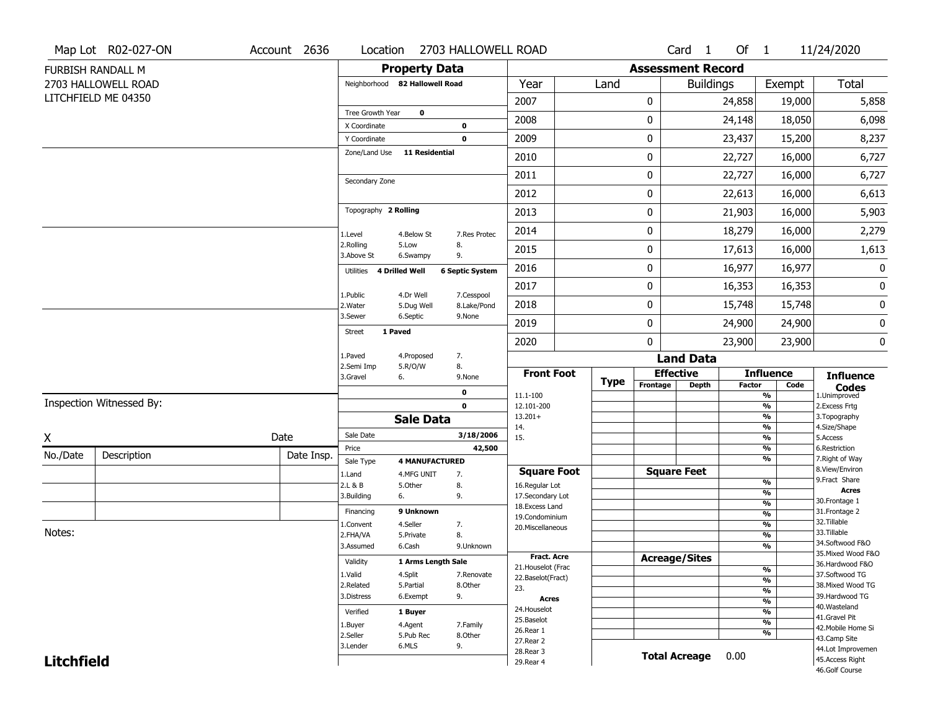|                   | Map Lot R02-027-ON       | Account 2636 | Location                       | 2703 HALLOWELL ROAD                       |                                  |             |                          | Card <sub>1</sub> | Of 1          |                                | 11/24/2020                           |
|-------------------|--------------------------|--------------|--------------------------------|-------------------------------------------|----------------------------------|-------------|--------------------------|-------------------|---------------|--------------------------------|--------------------------------------|
|                   | FURBISH RANDALL M        |              |                                | <b>Property Data</b>                      |                                  |             | <b>Assessment Record</b> |                   |               |                                |                                      |
|                   | 2703 HALLOWELL ROAD      |              | Neighborhood 82 Hallowell Road |                                           | Year                             | Land        |                          | <b>Buildings</b>  |               | Exempt                         | <b>Total</b>                         |
|                   | LITCHFIELD ME 04350      |              |                                |                                           | 2007                             |             | 0                        |                   | 24,858        | 19,000                         | 5,858                                |
|                   |                          |              | Tree Growth Year               | $\mathbf 0$                               | 2008                             |             | 0                        |                   | 24,148        | 18,050                         | 6,098                                |
|                   |                          |              | X Coordinate                   | $\mathbf 0$                               |                                  |             |                          |                   |               |                                |                                      |
|                   |                          |              | Y Coordinate                   | $\mathbf 0$                               | 2009                             |             | 0                        |                   | 23,437        | 15,200                         | 8,237                                |
|                   |                          |              | Zone/Land Use                  | <b>11 Residential</b>                     | 2010                             |             | 0                        |                   | 22,727        | 16,000                         | 6,727                                |
|                   |                          |              | Secondary Zone                 |                                           | 2011                             |             | 0                        |                   | 22,727        | 16,000                         | 6,727                                |
|                   |                          |              |                                |                                           | 2012                             |             | 0                        |                   | 22,613        | 16,000                         | 6,613                                |
|                   |                          |              | Topography 2 Rolling           |                                           | 2013                             |             | 0                        |                   | 21,903        | 16,000                         | 5,903                                |
|                   |                          |              | 1.Level                        | 4.Below St<br>7.Res Protec                | 2014                             |             | 0                        |                   | 18,279        | 16,000                         | 2,279                                |
|                   |                          |              | 2.Rolling<br>3.Above St        | 8.<br>5.Low<br>9.<br>6.Swampy             | 2015                             |             | 0                        |                   | 17,613        | 16,000                         | 1,613                                |
|                   |                          |              | 4 Drilled Well<br>Utilities    | <b>6 Septic System</b>                    | 2016                             |             | 0                        |                   | 16,977        | 16,977                         | 0                                    |
|                   |                          |              |                                | 4.Dr Well<br>7.Cesspool                   | 2017                             |             | 0                        |                   | 16,353        | 16,353                         | 0                                    |
|                   |                          |              | 1.Public<br>2. Water           | 5.Dug Well<br>8.Lake/Pond                 | 2018                             |             | 0                        |                   | 15,748        | 15,748                         | 0                                    |
|                   |                          |              | 3.Sewer                        | 6.Septic<br>9.None                        | 2019                             |             | 0                        |                   | 24,900        | 24,900                         | 0                                    |
|                   |                          |              | 1 Paved<br><b>Street</b>       |                                           | 2020                             |             | 0                        |                   | 23,900        | 23,900                         | $\pmb{0}$                            |
|                   |                          |              | 1.Paved<br>2.Semi Imp          | 7.<br>4.Proposed<br>8.<br>5.R/O/W         |                                  |             |                          | <b>Land Data</b>  |               |                                |                                      |
|                   |                          |              | 3.Gravel<br>6.                 | 9.None                                    | <b>Front Foot</b>                | <b>Type</b> | <b>Effective</b>         |                   |               | <b>Influence</b>               | <b>Influence</b>                     |
|                   |                          |              |                                | $\mathbf 0$                               | 11.1-100                         |             | Frontage                 | <b>Depth</b>      | <b>Factor</b> | Code<br>%                      | <b>Codes</b><br>1.Unimproved         |
|                   | Inspection Witnessed By: |              |                                | $\mathbf 0$                               | 12.101-200                       |             |                          |                   |               | $\frac{9}{6}$                  | 2.Excess Frtg                        |
|                   |                          |              |                                | <b>Sale Data</b>                          | $13.201+$<br>14.                 |             |                          |                   |               | %<br>%                         | 3. Topography<br>4.Size/Shape        |
| X                 |                          | Date         | Sale Date                      | 3/18/2006                                 | 15.                              |             |                          |                   |               | $\frac{9}{6}$                  | 5.Access                             |
| No./Date          | Description              | Date Insp.   | Price                          | 42,500                                    |                                  |             |                          |                   |               | %<br>%                         | 6.Restriction<br>7. Right of Way     |
|                   |                          |              | Sale Type<br>1.Land            | <b>4 MANUFACTURED</b><br>4.MFG UNIT<br>7. | <b>Square Foot</b>               |             | <b>Square Feet</b>       |                   |               |                                | 8.View/Environ                       |
|                   |                          |              | 2.L & B                        | 8.<br>5.0ther                             | 16.Regular Lot                   |             |                          |                   |               | $\frac{9}{6}$                  | 9.Fract Share                        |
|                   |                          |              | 3.Building<br>6.               | 9.                                        | 17.Secondary Lot                 |             |                          |                   |               | $\frac{9}{6}$<br>$\frac{9}{6}$ | <b>Acres</b><br>30. Frontage 1       |
|                   |                          |              | Financing                      | 9 Unknown                                 | 18.Excess Land<br>19.Condominium |             |                          |                   |               | $\frac{9}{6}$                  | 31. Frontage 2                       |
|                   |                          |              | 1.Convent                      | 4.Seller<br>7.                            | 20.Miscellaneous                 |             |                          |                   |               | $\frac{9}{6}$                  | 32.Tillable                          |
| Notes:            |                          |              | 2.FHA/VA                       | 8.<br>5.Private                           |                                  |             |                          |                   |               | $\frac{9}{6}$                  | 33.Tillable<br>34.Softwood F&O       |
|                   |                          |              | 3.Assumed                      | 6.Cash<br>9.Unknown                       | <b>Fract. Acre</b>               |             |                          |                   |               | $\frac{9}{6}$                  | 35. Mixed Wood F&O                   |
|                   |                          |              | Validity                       | 1 Arms Length Sale                        | 21. Houselot (Frac               |             | <b>Acreage/Sites</b>     |                   |               | %                              | 36.Hardwood F&O                      |
|                   |                          |              | 1.Valid                        | 4.Split<br>7.Renovate                     | 22.Baselot(Fract)                |             |                          |                   |               | %                              | 37.Softwood TG                       |
|                   |                          |              | 2.Related                      | 5.Partial<br>8.Other                      |                                  |             |                          |                   |               |                                | 38. Mixed Wood TG                    |
|                   |                          |              |                                |                                           | 23.                              |             |                          |                   |               | $\frac{9}{6}$                  |                                      |
|                   |                          |              | 3.Distress                     | 6.Exempt<br>9.                            | <b>Acres</b>                     |             |                          |                   |               | $\frac{9}{6}$                  | 39.Hardwood TG                       |
|                   |                          |              | Verified                       | 1 Buyer                                   | 24. Houselot                     |             |                          |                   |               | $\frac{9}{6}$                  | 40. Wasteland<br>41.Gravel Pit       |
|                   |                          |              | 1.Buyer                        | 4.Agent<br>7.Family                       | 25.Baselot<br>26.Rear 1          |             |                          |                   |               | $\frac{9}{6}$                  | 42. Mobile Home Si                   |
|                   |                          |              | 2.Seller                       | 5.Pub Rec<br>8.Other                      | 27.Rear 2                        |             |                          |                   |               | $\frac{9}{6}$                  | 43.Camp Site                         |
| <b>Litchfield</b> |                          |              | 3.Lender                       | 6.MLS<br>9.                               | 28.Rear 3<br>29. Rear 4          |             | <b>Total Acreage</b>     |                   | 0.00          |                                | 44.Lot Improvemen<br>45.Access Right |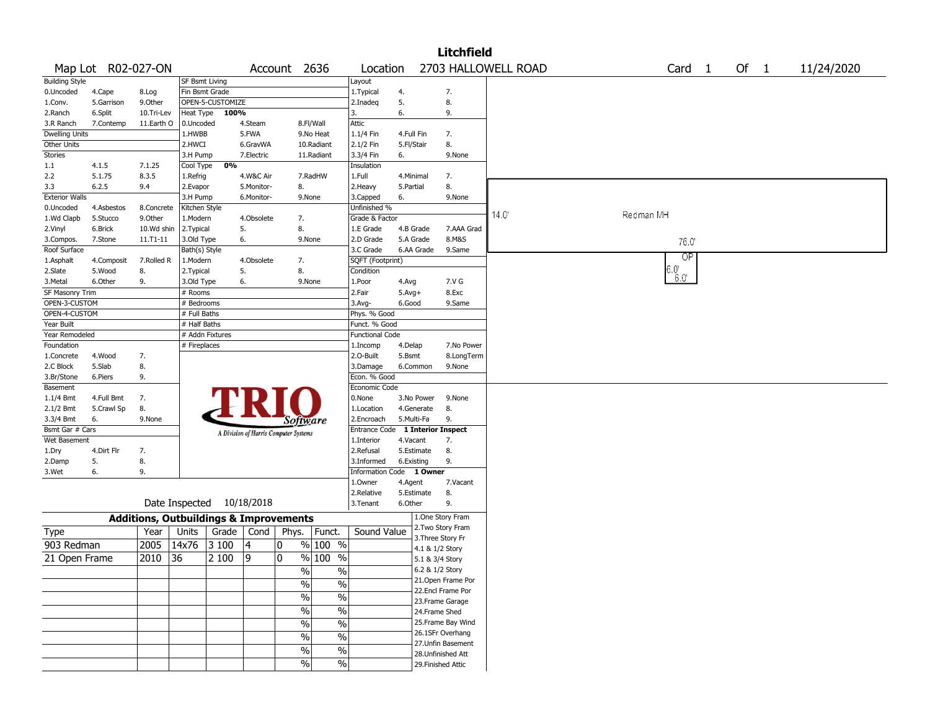|                       |                    |               |                |                  |            |                                                   |                          |                          |              |                 | <b>Litchfield</b>  |                     |           |                                |        |            |
|-----------------------|--------------------|---------------|----------------|------------------|------------|---------------------------------------------------|--------------------------|--------------------------|--------------|-----------------|--------------------|---------------------|-----------|--------------------------------|--------|------------|
|                       | Map Lot R02-027-ON |               |                |                  |            | Account 2636                                      |                          | Location                 |              |                 |                    | 2703 HALLOWELL ROAD |           | Card <sub>1</sub>              | Of $1$ | 11/24/2020 |
| <b>Building Style</b> |                    |               | SF Bsmt Living |                  |            |                                                   |                          | Layout                   |              |                 |                    |                     |           |                                |        |            |
| 0.Uncoded             | 4.Cape             | 8.Log         |                | Fin Bsmt Grade   |            |                                                   |                          | 1. Typical               | 4.           |                 | 7.                 |                     |           |                                |        |            |
| 1.Conv.               | 5.Garrison         | 9.0ther       |                | OPEN-5-CUSTOMIZE |            |                                                   |                          | 2.Inadeq                 | 5.           |                 | 8.                 |                     |           |                                |        |            |
| 2.Ranch               | 6.Split            | 10.Tri-Lev    | Heat Type      | 100%             |            |                                                   |                          | 3.                       | 6.           |                 | 9.                 |                     |           |                                |        |            |
| 3.R Ranch             | 7.Contemp          | 11.Earth O    | 0.Uncoded      |                  | 4.Steam    |                                                   | 8.Fl/Wall                | <b>Attic</b>             |              |                 |                    |                     |           |                                |        |            |
| <b>Dwelling Units</b> |                    |               | 1.HWBB         |                  | 5.FWA      |                                                   | 9.No Heat                | 1.1/4 Fin                | 4.Full Fin   |                 | 7.                 |                     |           |                                |        |            |
| Other Units           |                    |               | 2.HWCI         |                  | 6.GravWA   |                                                   | 10.Radiant               | 2.1/2 Fin                | 5.Fl/Stair   |                 | 8.                 |                     |           |                                |        |            |
| Stories               |                    |               | 3.H Pump       |                  | 7.Electric |                                                   | 11.Radiant               | 3.3/4 Fin                | 6.           |                 | 9.None             |                     |           |                                |        |            |
| 1.1                   | 4.1.5              | 7.1.25        | Cool Type      | 0%               |            |                                                   |                          | Insulation               |              |                 |                    |                     |           |                                |        |            |
| 2.2                   | 5.1.75             | 8.3.5         | 1.Refrig       |                  | 4.W&C Air  |                                                   | 7.RadHW                  | 1.Full                   | 4.Minimal    |                 | 7.                 |                     |           |                                |        |            |
| 3.3                   | 6.2.5              | 9.4           | 2.Evapor       |                  | 5.Monitor- | 8.                                                |                          | 2. Heavy                 | 5.Partial    |                 | 8.                 |                     |           |                                |        |            |
| <b>Exterior Walls</b> |                    |               | 3.H Pump       |                  | 6.Monitor- |                                                   | 9.None                   | 3.Capped                 | 6.           |                 | 9.None             |                     |           |                                |        |            |
| 0.Uncoded             | 4.Asbestos         | 8.Concrete    | Kitchen Style  |                  |            |                                                   |                          | Unfinished %             |              |                 |                    | 14.0'               | Redman MH |                                |        |            |
| 1.Wd Clapb            | 5.Stucco           | 9.0ther       | 1.Modern       |                  | 4.Obsolete | 7.                                                |                          | Grade & Factor           |              |                 |                    |                     |           |                                |        |            |
| 2.Vinyl               | 6.Brick            | 10.Wd shin    | 2. Typical     |                  | 5.         | 8.                                                |                          | 1.E Grade                | 4.B Grade    |                 | 7.AAA Grad         |                     |           |                                |        |            |
| 3.Compos.             | 7.Stone            | $11. T1 - 11$ | 3.Old Type     |                  | 6.         |                                                   | 9.None                   | 2.D Grade                | 5.A Grade    |                 | 8.M&S              |                     |           | 76.0                           |        |            |
| Roof Surface          |                    |               | Bath(s) Style  |                  |            |                                                   |                          | 3.C Grade                |              | 6.AA Grade      | 9.Same             |                     |           | <b>OP</b>                      |        |            |
| 1.Asphalt             | 4.Composit         | 7.Rolled R    | 1.Modern       |                  | 4.Obsolete | 7.                                                |                          | SQFT (Footprint)         |              |                 |                    |                     |           |                                |        |            |
| 2.Slate               | 5.Wood             | 8.            | 2. Typical     |                  | 5.         | 8.                                                |                          | Condition                |              |                 |                    |                     |           | $6.0^{\circ}$<br>$6.0^{\circ}$ |        |            |
| 3.Metal               | 6.Other            | 9.            | 3.Old Type     |                  | 6.         |                                                   | 9.None                   | 1.Poor                   | 4.Avg        |                 | 7.V G              |                     |           |                                |        |            |
| SF Masonry Trim       |                    |               | $#$ Rooms      |                  |            |                                                   |                          | 2.Fair                   | $5.$ Avg $+$ |                 | 8.Exc              |                     |           |                                |        |            |
| OPEN-3-CUSTOM         |                    |               | # Bedrooms     |                  |            |                                                   |                          | 3.Avg-                   | 6.Good       |                 | 9.Same             |                     |           |                                |        |            |
| OPEN-4-CUSTOM         |                    |               | # Full Baths   |                  |            |                                                   |                          | Phys. % Good             |              |                 |                    |                     |           |                                |        |            |
| Year Built            |                    |               | # Half Baths   |                  |            |                                                   |                          | Funct. % Good            |              |                 |                    |                     |           |                                |        |            |
| Year Remodeled        |                    |               |                | # Addn Fixtures  |            |                                                   |                          | <b>Functional Code</b>   |              |                 |                    |                     |           |                                |        |            |
| Foundation            |                    |               | # Fireplaces   |                  |            |                                                   |                          | 1.Incomp                 | 4.Delap      |                 | 7.No Power         |                     |           |                                |        |            |
| 1.Concrete            | 4.Wood             | 7.            |                |                  |            |                                                   |                          | 2.O-Built                | 5.Bsmt       |                 | 8.LongTerm         |                     |           |                                |        |            |
| 2.C Block             | 5.Slab             | 8.            |                |                  |            |                                                   |                          | 3.Damage                 |              | 6.Common        | 9.None             |                     |           |                                |        |            |
| 3.Br/Stone            | 6.Piers            | 9.            |                |                  |            |                                                   |                          | Econ. % Good             |              |                 |                    |                     |           |                                |        |            |
| Basement              |                    |               |                |                  |            |                                                   |                          | Economic Code            |              |                 |                    |                     |           |                                |        |            |
| $1.1/4$ Bmt           | 4.Full Bmt         | 7.            |                |                  |            |                                                   |                          | 0.None                   |              | 3.No Power      | 9.None             |                     |           |                                |        |            |
| 2.1/2 Bmt             | 5.Crawl Sp         | 8.            |                |                  |            |                                                   |                          | 1.Location               |              | 4.Generate      | 8.                 |                     |           |                                |        |            |
| 3.3/4 Bmt             | 6.                 | 9.None        |                |                  |            | Software                                          |                          | 2.Encroach               | 5.Multi-Fa   |                 | 9.                 |                     |           |                                |        |            |
| Bsmt Gar # Cars       |                    |               |                |                  |            | A Division of Harris Computer Systems             |                          | Entrance Code            |              |                 | 1 Interior Inspect |                     |           |                                |        |            |
| Wet Basement          |                    |               |                |                  |            |                                                   |                          | 1.Interior               | 4.Vacant     |                 | 7.                 |                     |           |                                |        |            |
| 1.Dry                 | 4.Dirt Flr         | 7.            |                |                  |            |                                                   |                          | 2.Refusal                |              | 5.Estimate      | 8.                 |                     |           |                                |        |            |
| 2.Damp                | 5.                 | 8.            |                |                  |            |                                                   |                          | 3.Informed               | 6.Existing   |                 | 9.                 |                     |           |                                |        |            |
| 3.Wet                 | 6.                 | 9.            |                |                  |            |                                                   |                          | Information Code 1 Owner |              |                 |                    |                     |           |                                |        |            |
|                       |                    |               |                |                  |            |                                                   |                          | 1.Owner                  | 4.Agent      |                 | 7.Vacant           |                     |           |                                |        |            |
|                       |                    |               |                |                  |            |                                                   |                          | 2.Relative               | 5.Estimate   |                 | 8.                 |                     |           |                                |        |            |
|                       |                    |               | Date Inspected |                  | 10/18/2018 |                                                   |                          | 3.Tenant                 | 6.Other      |                 | 9.                 |                     |           |                                |        |            |
|                       |                    |               |                |                  |            | <b>Additions, Outbuildings &amp; Improvements</b> |                          |                          |              |                 | 1.One Story Fram   |                     |           |                                |        |            |
| <b>Type</b>           |                    | Year          | Units          | Grade            | Cond       | Phys.                                             | Funct.                   | Sound Value              |              |                 | 2. Two Story Fram  |                     |           |                                |        |            |
| 903 Redman            |                    | 2005          | 14x76          | 3100             | 4          | 0                                                 | % 100 %                  |                          |              |                 | 3. Three Story Fr  |                     |           |                                |        |            |
|                       |                    |               |                |                  |            | 0                                                 |                          |                          |              | 4.1 & 1/2 Story |                    |                     |           |                                |        |            |
| 21 Open Frame         |                    | 2010          | 36             | 2 100            | 19         |                                                   | % 100<br>$\%$            |                          |              | 5.1 & 3/4 Story |                    |                     |           |                                |        |            |
|                       |                    |               |                |                  |            | $\sqrt{6}$                                        | $\%$                     |                          |              | 6.2 & 1/2 Story |                    |                     |           |                                |        |            |
|                       |                    |               |                |                  |            | $\sqrt{2}$                                        | $\%$                     |                          |              |                 | 21. Open Frame Por |                     |           |                                |        |            |
|                       |                    |               |                |                  |            | $\sqrt{6}$                                        | $\overline{\frac{0}{6}}$ |                          |              |                 | 22.Encl Frame Por  |                     |           |                                |        |            |
|                       |                    |               |                |                  |            |                                                   |                          |                          |              |                 | 23. Frame Garage   |                     |           |                                |        |            |
|                       |                    |               |                |                  |            | $\sqrt{6}$                                        | $\%$                     |                          |              |                 | 24.Frame Shed      |                     |           |                                |        |            |
|                       |                    |               |                |                  |            | $\sqrt{6}$                                        | $\overline{\frac{0}{6}}$ |                          |              |                 | 25. Frame Bay Wind |                     |           |                                |        |            |
|                       |                    |               |                |                  |            | $\%$                                              | $\%$                     |                          |              |                 | 26.1SFr Overhang   |                     |           |                                |        |            |
|                       |                    |               |                |                  |            | $\sqrt{6}$                                        | $\%$                     |                          |              |                 | 27. Unfin Basement |                     |           |                                |        |            |
|                       |                    |               |                |                  |            |                                                   |                          |                          |              |                 | 28. Unfinished Att |                     |           |                                |        |            |
|                       |                    |               |                |                  |            | $\sqrt{2}$                                        | $\sqrt{6}$               |                          |              |                 | 29. Finished Attic |                     |           |                                |        |            |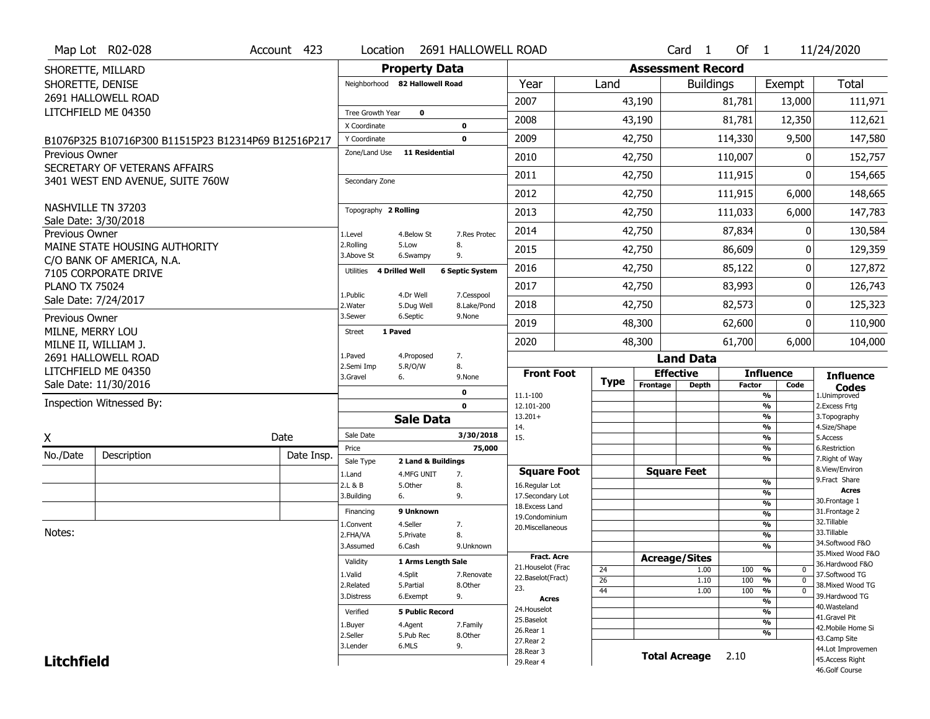|                       | Map Lot R02-028                                     | Account 423 | Location                     |                                  | 2691 HALLOWELL ROAD        |                                         |             |                      | Card <sub>1</sub>    | Of $1$        |                                | 11/24/2020                            |  |  |  |  |  |
|-----------------------|-----------------------------------------------------|-------------|------------------------------|----------------------------------|----------------------------|-----------------------------------------|-------------|----------------------|----------------------|---------------|--------------------------------|---------------------------------------|--|--|--|--|--|
|                       | SHORETTE, MILLARD                                   |             |                              | <b>Property Data</b>             |                            | <b>Assessment Record</b>                |             |                      |                      |               |                                |                                       |  |  |  |  |  |
| SHORETTE, DENISE      |                                                     |             |                              | Neighborhood 82 Hallowell Road   |                            | Year                                    | Land        |                      | <b>Buildings</b>     |               | Exempt                         | <b>Total</b>                          |  |  |  |  |  |
|                       | 2691 HALLOWELL ROAD                                 |             |                              |                                  |                            | 2007                                    |             | 43,190               |                      | 81,781        | 13,000                         | 111,971                               |  |  |  |  |  |
|                       | LITCHFIELD ME 04350                                 |             | Tree Growth Year             | 0                                |                            | 2008                                    |             | 43,190               |                      | 81,781        | 12,350                         | 112,621                               |  |  |  |  |  |
|                       |                                                     |             | X Coordinate<br>Y Coordinate |                                  | $\mathbf 0$<br>$\mathbf 0$ | 2009                                    |             | 42,750               |                      | 114,330       | 9,500                          | 147,580                               |  |  |  |  |  |
| <b>Previous Owner</b> | B1076P325 B10716P300 B11515P23 B12314P69 B12516P217 |             | Zone/Land Use                | <b>11 Residential</b>            |                            |                                         |             |                      |                      |               |                                |                                       |  |  |  |  |  |
|                       | SECRETARY OF VETERANS AFFAIRS                       |             |                              |                                  |                            | 2010                                    |             | 42,750               |                      | 110,007       | 0                              | 152,757                               |  |  |  |  |  |
|                       | 3401 WEST END AVENUE, SUITE 760W                    |             | Secondary Zone               |                                  |                            | 2011                                    |             | 42,750               |                      | 111,915       | 0                              | 154,665                               |  |  |  |  |  |
|                       |                                                     |             |                              |                                  |                            | 2012                                    |             | 42,750               |                      | 111,915       | 6,000                          | 148,665                               |  |  |  |  |  |
|                       | NASHVILLE TN 37203                                  |             | Topography 2 Rolling         |                                  |                            | 2013                                    |             | 42,750               |                      | 111,033       | 6,000                          | 147,783                               |  |  |  |  |  |
| Previous Owner        | Sale Date: 3/30/2018                                |             | 1.Level                      | 4.Below St                       | 7.Res Protec               | 2014                                    |             | 42,750               |                      | 87,834        | 0                              | 130,584                               |  |  |  |  |  |
|                       | MAINE STATE HOUSING AUTHORITY                       |             | 2.Rolling                    | 5.Low                            | 8.                         | 2015                                    |             | 42,750               |                      | 86,609        | 0                              | 129,359                               |  |  |  |  |  |
|                       | C/O BANK OF AMERICA, N.A.                           |             | 3.Above St                   | 6.Swampy                         | 9.                         |                                         |             |                      |                      |               |                                |                                       |  |  |  |  |  |
|                       | 7105 CORPORATE DRIVE                                |             | Utilities                    | <b>4 Drilled Well</b>            | <b>6 Septic System</b>     | 2016                                    |             | 42,750               |                      | 85,122        | 0                              | 127,872                               |  |  |  |  |  |
| <b>PLANO TX 75024</b> |                                                     |             | 1.Public                     | 4.Dr Well                        | 7.Cesspool                 | 2017                                    |             | 42,750               |                      | 83,993        | 0                              | 126,743                               |  |  |  |  |  |
|                       | Sale Date: 7/24/2017                                |             | 2. Water                     | 5.Dug Well                       | 8.Lake/Pond                | 2018                                    |             | 42,750               |                      | 82,573        | 0                              | 125,323                               |  |  |  |  |  |
| Previous Owner        |                                                     |             | 3.Sewer                      | 6.Septic                         | 9.None                     | 2019                                    |             | 48,300               |                      | 62,600        | 0                              | 110,900                               |  |  |  |  |  |
| MILNE, MERRY LOU      | MILNE II, WILLIAM J.                                |             | 1 Paved<br><b>Street</b>     |                                  |                            | 2020                                    |             | 48,300               |                      | 61,700        | 6,000                          | 104,000                               |  |  |  |  |  |
|                       | 2691 HALLOWELL ROAD                                 |             | 1.Paved                      | 4.Proposed                       | 7.                         |                                         |             |                      | <b>Land Data</b>     |               |                                |                                       |  |  |  |  |  |
|                       | LITCHFIELD ME 04350                                 |             | 2.Semi Imp<br>3.Gravel       | 5.R/O/W<br>6.                    | 8.<br>9.None               | <b>Front Foot</b>                       |             | <b>Effective</b>     |                      |               | <b>Influence</b>               | <b>Influence</b>                      |  |  |  |  |  |
|                       | Sale Date: 11/30/2016                               |             |                              |                                  | 0                          |                                         | <b>Type</b> | Frontage             | <b>Depth</b>         | <b>Factor</b> | Code                           | <b>Codes</b>                          |  |  |  |  |  |
|                       | Inspection Witnessed By:                            |             |                              |                                  | $\mathbf 0$                | 11.1-100<br>12.101-200                  |             |                      |                      |               | %<br>$\frac{9}{6}$             | 1.Unimproved<br>2.Excess Frtg         |  |  |  |  |  |
|                       |                                                     |             |                              | <b>Sale Data</b>                 |                            | $13.201+$                               |             |                      |                      |               | %                              | 3. Topography                         |  |  |  |  |  |
| Χ                     |                                                     | Date        | Sale Date                    |                                  | 3/30/2018                  | 14.<br>15.                              |             |                      |                      |               | $\frac{9}{6}$<br>$\frac{9}{6}$ | 4.Size/Shape<br>5.Access              |  |  |  |  |  |
| No./Date              | Description                                         | Date Insp.  | Price                        |                                  | 75,000                     |                                         |             |                      |                      |               | %<br>%                         | 6.Restriction                         |  |  |  |  |  |
|                       |                                                     |             | Sale Type<br>1.Land          | 2 Land & Buildings<br>4.MFG UNIT | 7.                         | <b>Square Foot</b>                      |             | <b>Square Feet</b>   |                      |               |                                | 7. Right of Way<br>8.View/Environ     |  |  |  |  |  |
|                       |                                                     |             | 2.L & B                      | 5.Other                          | 8.                         | 16.Regular Lot                          |             |                      |                      |               | %                              | 9.Fract Share<br><b>Acres</b>         |  |  |  |  |  |
|                       |                                                     |             | 3.Building                   | 6.                               | 9.                         | 17.Secondary Lot<br>18.Excess Land      |             |                      |                      |               | %<br>$\overline{\frac{9}{6}}$  | 30. Frontage 1                        |  |  |  |  |  |
|                       |                                                     |             | Financing                    | 9 Unknown                        |                            | 19.Condominium                          |             |                      |                      |               | %                              | 31. Frontage 2                        |  |  |  |  |  |
| Notes:                |                                                     |             | 1.Convent<br>2.FHA/VA        | 4.Seller<br>5.Private            | 7.<br>8.                   | 20.Miscellaneous                        |             |                      |                      |               | $\overline{\frac{9}{6}}$<br>%  | 32. Tillable<br>33.Tillable           |  |  |  |  |  |
|                       |                                                     |             | 3.Assumed                    | 6.Cash                           | 9.Unknown                  |                                         |             |                      |                      |               | $\overline{\frac{9}{6}}$       | 34.Softwood F&O                       |  |  |  |  |  |
|                       |                                                     |             | Validity                     | 1 Arms Length Sale               |                            | <b>Fract. Acre</b>                      |             | <b>Acreage/Sites</b> |                      |               |                                | 35. Mixed Wood F&O<br>36.Hardwood F&O |  |  |  |  |  |
|                       |                                                     |             | 1.Valid                      | 4.Split                          | 7.Renovate                 | 21. Houselot (Frac<br>22.Baselot(Fract) | 24<br>26    |                      | 1.00<br>1.10         | 100<br>100    | %<br>0<br>$\Omega$<br>%        | 37.Softwood TG                        |  |  |  |  |  |
|                       |                                                     |             | 2.Related                    | 5.Partial                        | 8.Other                    | 23.                                     | 44          |                      | 1.00                 | 100           | $\frac{9}{6}$<br>$\mathbf 0$   | 38. Mixed Wood TG                     |  |  |  |  |  |
|                       |                                                     |             |                              | 9.                               | Acres                      |                                         |             |                      |                      | %             | 39.Hardwood TG                 |                                       |  |  |  |  |  |
|                       |                                                     |             | 3.Distress<br>6.Exempt       |                                  |                            |                                         |             |                      |                      |               |                                |                                       |  |  |  |  |  |
|                       |                                                     |             | Verified                     | <b>5 Public Record</b>           |                            | 24. Houselot                            |             |                      |                      |               | %                              | 40.Wasteland<br>41.Gravel Pit         |  |  |  |  |  |
|                       |                                                     |             | 1.Buyer                      | 4.Agent                          | 7.Family                   | 25.Baselot                              |             |                      |                      |               | %                              | 42. Mobile Home Si                    |  |  |  |  |  |
|                       |                                                     |             | 2.Seller                     | 5.Pub Rec                        | 8.0ther                    | 26.Rear 1<br>27.Rear 2                  |             |                      |                      |               | %                              | 43.Camp Site                          |  |  |  |  |  |
| <b>Litchfield</b>     |                                                     |             | 3.Lender                     | 6.MLS                            | 9.                         | 28. Rear 3<br>29. Rear 4                |             |                      | <b>Total Acreage</b> | 2.10          |                                | 44.Lot Improvemen<br>45.Access Right  |  |  |  |  |  |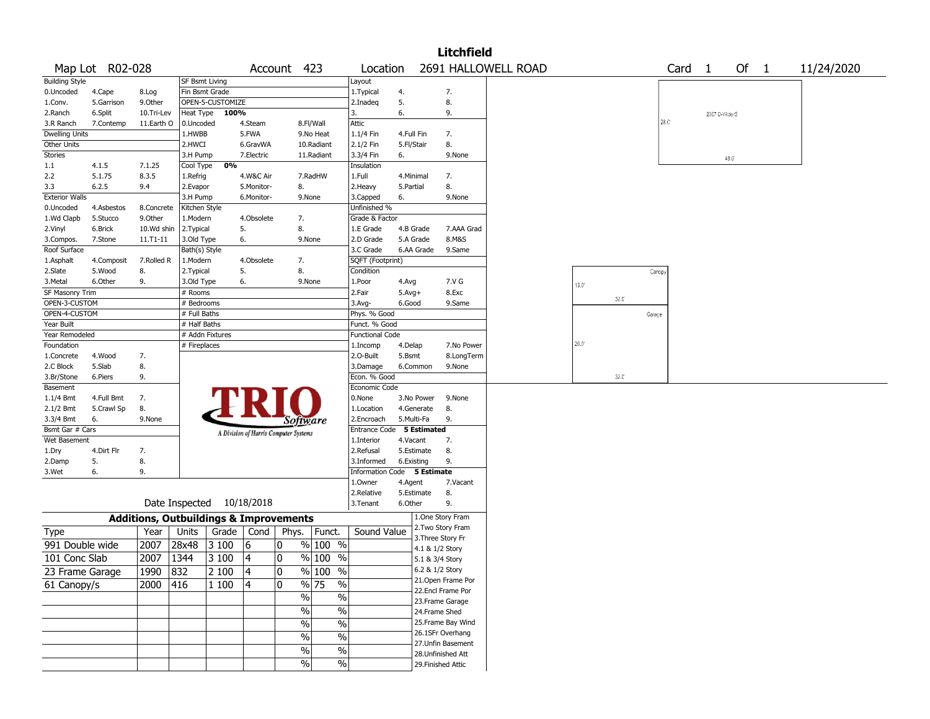|                                                                                                                                                                                                                                                                                                                                                                                                                                                                                                               |                 |              |                                                                                                                                                                                                                                                                                                                                                                                                                                                                                                                                                                                                                                                                                           |                           |    |                                       |              |                             |              |                 | <b>Litchfield</b>  |                     |      |                |              |                    |                   |               |      |  |            |  |
|---------------------------------------------------------------------------------------------------------------------------------------------------------------------------------------------------------------------------------------------------------------------------------------------------------------------------------------------------------------------------------------------------------------------------------------------------------------------------------------------------------------|-----------------|--------------|-------------------------------------------------------------------------------------------------------------------------------------------------------------------------------------------------------------------------------------------------------------------------------------------------------------------------------------------------------------------------------------------------------------------------------------------------------------------------------------------------------------------------------------------------------------------------------------------------------------------------------------------------------------------------------------------|---------------------------|----|---------------------------------------|--------------|-----------------------------|--------------|-----------------|--------------------|---------------------|------|----------------|--------------|--------------------|-------------------|---------------|------|--|------------|--|
|                                                                                                                                                                                                                                                                                                                                                                                                                                                                                                               | Map Lot R02-028 |              |                                                                                                                                                                                                                                                                                                                                                                                                                                                                                                                                                                                                                                                                                           |                           |    |                                       |              | Location                    |              |                 |                    | 2691 HALLOWELL ROAD |      |                |              |                    | Card <sub>1</sub> |               | Of 1 |  | 11/24/2020 |  |
| <b>Building Style</b>                                                                                                                                                                                                                                                                                                                                                                                                                                                                                         |                 |              |                                                                                                                                                                                                                                                                                                                                                                                                                                                                                                                                                                                                                                                                                           |                           |    |                                       |              | Layout                      |              |                 |                    |                     |      |                |              |                    |                   |               |      |  |            |  |
| 0.Uncoded                                                                                                                                                                                                                                                                                                                                                                                                                                                                                                     | 4.Cape          | 8.Log        |                                                                                                                                                                                                                                                                                                                                                                                                                                                                                                                                                                                                                                                                                           |                           |    |                                       |              | 1. Typical                  | 4.           |                 | 7.                 |                     |      |                |              |                    |                   |               |      |  |            |  |
| 1.Conv.                                                                                                                                                                                                                                                                                                                                                                                                                                                                                                       | 5.Garrison      | 9.0ther      | Account 423<br><b>SF Bsmt Living</b><br>Fin Bsmt Grade<br>OPEN-5-CUSTOMIZE<br>Heat Type<br>100%<br>0.Uncoded<br>4.Steam<br>8.Fl/Wall<br>5.FWA<br>1.HWBB<br>9.No Heat<br>2.HWCI<br>6.GravWA<br>10.Radiant<br>3.H Pump<br>7.Electric<br>11.Radiant<br>0%<br>Cool Type<br>4.W&C Air<br>7.RadHW<br>1.Refrig<br>2.Evapor<br>5.Monitor-<br>8.<br>3.H Pump<br>6.Monitor-<br>9.None<br>Kitchen Style<br>1.Modern<br>4.Obsolete<br>7.<br>5.<br>8.<br>2. Typical<br>3.Old Type<br>6.<br>9.None<br>Bath(s) Style<br>1.Modern<br>4.Obsolete<br>7.<br>5.<br>8.<br>2. Typical<br>3.Old Type<br>6.<br>9.None<br># Rooms<br># Bedrooms<br># Full Baths<br># Half Baths<br># Addn Fixtures<br># Fireplaces |                           |    |                                       |              | 2.Inadeg                    | 5.           |                 | 8.                 |                     |      |                |              |                    |                   |               |      |  |            |  |
| 2.Ranch                                                                                                                                                                                                                                                                                                                                                                                                                                                                                                       | 6.Split         | 10.Tri-Lev   |                                                                                                                                                                                                                                                                                                                                                                                                                                                                                                                                                                                                                                                                                           |                           |    |                                       |              | 3.                          | 6.           |                 | 9.                 |                     |      |                |              |                    |                   | 2007 D-Wide/S |      |  |            |  |
| 3.R Ranch                                                                                                                                                                                                                                                                                                                                                                                                                                                                                                     | 7.Contemp       | 11.Earth O   |                                                                                                                                                                                                                                                                                                                                                                                                                                                                                                                                                                                                                                                                                           |                           |    |                                       |              | Attic                       |              |                 |                    |                     |      |                |              | 28.C <sup>*</sup>  |                   |               |      |  |            |  |
| <b>Dwelling Units</b>                                                                                                                                                                                                                                                                                                                                                                                                                                                                                         |                 |              |                                                                                                                                                                                                                                                                                                                                                                                                                                                                                                                                                                                                                                                                                           |                           |    |                                       |              | 1.1/4 Fin                   | 4.Full Fin   |                 | 7.                 |                     |      |                |              |                    |                   |               |      |  |            |  |
| Other Units                                                                                                                                                                                                                                                                                                                                                                                                                                                                                                   |                 |              |                                                                                                                                                                                                                                                                                                                                                                                                                                                                                                                                                                                                                                                                                           |                           |    |                                       |              | 2.1/2 Fin                   | 5.Fl/Stair   |                 | 8.                 |                     |      |                |              |                    |                   |               |      |  |            |  |
| Stories                                                                                                                                                                                                                                                                                                                                                                                                                                                                                                       |                 |              |                                                                                                                                                                                                                                                                                                                                                                                                                                                                                                                                                                                                                                                                                           |                           |    |                                       |              | 3.3/4 Fin                   | 6.           |                 | 9.None             |                     |      |                |              |                    |                   |               | 48.0 |  |            |  |
| 1.1                                                                                                                                                                                                                                                                                                                                                                                                                                                                                                           | 4.1.5           | 7.1.25       |                                                                                                                                                                                                                                                                                                                                                                                                                                                                                                                                                                                                                                                                                           |                           |    |                                       |              | Insulation                  |              |                 |                    |                     |      |                |              |                    |                   |               |      |  |            |  |
| 2.2                                                                                                                                                                                                                                                                                                                                                                                                                                                                                                           | 5.1.75          | 8.3.5        |                                                                                                                                                                                                                                                                                                                                                                                                                                                                                                                                                                                                                                                                                           |                           |    |                                       |              | 1.Full                      | 4.Minimal    |                 | 7.                 |                     |      |                |              |                    |                   |               |      |  |            |  |
| 3.3                                                                                                                                                                                                                                                                                                                                                                                                                                                                                                           | 6.2.5           | 9.4          |                                                                                                                                                                                                                                                                                                                                                                                                                                                                                                                                                                                                                                                                                           |                           |    |                                       |              | 2.Heavy                     | 5.Partial    |                 | 8.                 |                     |      |                |              |                    |                   |               |      |  |            |  |
|                                                                                                                                                                                                                                                                                                                                                                                                                                                                                                               |                 |              |                                                                                                                                                                                                                                                                                                                                                                                                                                                                                                                                                                                                                                                                                           |                           |    |                                       |              | 3.Capped                    | 6.           |                 | 9.None             |                     |      |                |              |                    |                   |               |      |  |            |  |
| 0.Uncoded                                                                                                                                                                                                                                                                                                                                                                                                                                                                                                     | 4.Asbestos      | 8.Concrete   |                                                                                                                                                                                                                                                                                                                                                                                                                                                                                                                                                                                                                                                                                           |                           |    |                                       |              | Unfinished %                |              |                 |                    |                     |      |                |              |                    |                   |               |      |  |            |  |
| 1.Wd Clapb                                                                                                                                                                                                                                                                                                                                                                                                                                                                                                    | 5.Stucco        | 9.Other      |                                                                                                                                                                                                                                                                                                                                                                                                                                                                                                                                                                                                                                                                                           |                           |    |                                       |              | Grade & Factor              |              |                 |                    |                     |      |                |              |                    |                   |               |      |  |            |  |
| 2.Vinyl                                                                                                                                                                                                                                                                                                                                                                                                                                                                                                       | 6.Brick         | 10.Wd shin   |                                                                                                                                                                                                                                                                                                                                                                                                                                                                                                                                                                                                                                                                                           |                           |    |                                       |              | 1.E Grade                   | 4.B Grade    |                 | 7.AAA Grad         |                     |      |                |              |                    |                   |               |      |  |            |  |
| 3.Compos.                                                                                                                                                                                                                                                                                                                                                                                                                                                                                                     | 7.Stone         | $11.71 - 11$ |                                                                                                                                                                                                                                                                                                                                                                                                                                                                                                                                                                                                                                                                                           |                           |    |                                       |              | 2.D Grade                   | 5.A Grade    |                 | 8.M&S              |                     |      |                |              |                    |                   |               |      |  |            |  |
| Roof Surface                                                                                                                                                                                                                                                                                                                                                                                                                                                                                                  |                 |              |                                                                                                                                                                                                                                                                                                                                                                                                                                                                                                                                                                                                                                                                                           |                           |    |                                       |              | 3.C Grade                   |              | 6.AA Grade      | 9.Same             |                     |      |                |              |                    |                   |               |      |  |            |  |
| 1.Asphalt<br>4.Composit<br>2.Slate<br>5.Wood<br>8.                                                                                                                                                                                                                                                                                                                                                                                                                                                            |                 |              |                                                                                                                                                                                                                                                                                                                                                                                                                                                                                                                                                                                                                                                                                           |                           |    |                                       |              | SQFT (Footprint)            |              |                 |                    |                     |      |                |              |                    |                   |               |      |  |            |  |
|                                                                                                                                                                                                                                                                                                                                                                                                                                                                                                               |                 |              |                                                                                                                                                                                                                                                                                                                                                                                                                                                                                                                                                                                                                                                                                           |                           |    |                                       |              | Condition                   |              |                 |                    |                     |      |                |              | Canop <sub>1</sub> |                   |               |      |  |            |  |
| 3.Metal                                                                                                                                                                                                                                                                                                                                                                                                                                                                                                       | 6.Other         | 9.           |                                                                                                                                                                                                                                                                                                                                                                                                                                                                                                                                                                                                                                                                                           |                           |    |                                       |              | 1.Poor                      | 4.Avg        |                 | 7.V G              |                     |      | $13.0^{\circ}$ |              |                    |                   |               |      |  |            |  |
|                                                                                                                                                                                                                                                                                                                                                                                                                                                                                                               |                 |              |                                                                                                                                                                                                                                                                                                                                                                                                                                                                                                                                                                                                                                                                                           |                           |    |                                       |              | 2.Fair                      | $5.$ Avg $+$ |                 | 8.Exc              |                     |      |                |              |                    |                   |               |      |  |            |  |
|                                                                                                                                                                                                                                                                                                                                                                                                                                                                                                               |                 |              |                                                                                                                                                                                                                                                                                                                                                                                                                                                                                                                                                                                                                                                                                           |                           |    |                                       |              | 3.Avg-                      | 6.Good       |                 | 9.Same             |                     |      |                | $32.0^\circ$ |                    |                   |               |      |  |            |  |
|                                                                                                                                                                                                                                                                                                                                                                                                                                                                                                               |                 |              |                                                                                                                                                                                                                                                                                                                                                                                                                                                                                                                                                                                                                                                                                           |                           |    |                                       |              | Phys. % Good                |              |                 |                    |                     |      |                |              | Garage             |                   |               |      |  |            |  |
| <b>Exterior Walls</b><br>7.Rolled R<br>SF Masonry Trim<br>OPEN-3-CUSTOM<br>OPEN-4-CUSTOM<br>Year Built<br>Year Remodeled<br>Foundation<br>4.Wood<br>7.<br>1.Concrete<br>2.C Block<br>5.Slab<br>8.<br>3.Br/Stone<br>6.Piers<br>9.<br>Basement<br>$1.1/4$ Bmt<br>4.Full Bmt<br>7.<br>2.1/2 Bmt<br>5.Crawl Sp<br>8.<br>3.3/4 Bmt<br>6.<br>9.None<br>Bsmt Gar # Cars<br>Wet Basement<br>4.Dirt Flr<br>7.<br>1.Dry<br>5.<br>8.<br>2.Damp<br>6.<br>9.<br>3.Wet<br><b>Additions, Outbuildings &amp; Improvements</b> |                 |              |                                                                                                                                                                                                                                                                                                                                                                                                                                                                                                                                                                                                                                                                                           |                           |    |                                       |              | Funct. % Good               |              |                 |                    |                     |      |                |              |                    |                   |               |      |  |            |  |
|                                                                                                                                                                                                                                                                                                                                                                                                                                                                                                               |                 |              |                                                                                                                                                                                                                                                                                                                                                                                                                                                                                                                                                                                                                                                                                           |                           |    |                                       |              | <b>Functional Code</b>      |              |                 |                    |                     |      |                |              |                    |                   |               |      |  |            |  |
|                                                                                                                                                                                                                                                                                                                                                                                                                                                                                                               |                 |              |                                                                                                                                                                                                                                                                                                                                                                                                                                                                                                                                                                                                                                                                                           |                           |    |                                       |              | 1.Incomp                    | 4.Delap      |                 | 7.No Power         |                     | 26.0 |                |              |                    |                   |               |      |  |            |  |
|                                                                                                                                                                                                                                                                                                                                                                                                                                                                                                               |                 |              |                                                                                                                                                                                                                                                                                                                                                                                                                                                                                                                                                                                                                                                                                           |                           |    |                                       | 2.O-Built    | 5.Bsmt                      |              | 8.LongTerm      |                    |                     |      |                |              |                    |                   |               |      |  |            |  |
|                                                                                                                                                                                                                                                                                                                                                                                                                                                                                                               |                 |              |                                                                                                                                                                                                                                                                                                                                                                                                                                                                                                                                                                                                                                                                                           |                           |    |                                       |              | 3.Damage                    |              | 6.Common        | 9.None             |                     |      |                |              |                    |                   |               |      |  |            |  |
|                                                                                                                                                                                                                                                                                                                                                                                                                                                                                                               |                 |              |                                                                                                                                                                                                                                                                                                                                                                                                                                                                                                                                                                                                                                                                                           |                           |    |                                       |              | Econ. % Good                |              |                 |                    |                     |      |                | $32.0^\circ$ |                    |                   |               |      |  |            |  |
|                                                                                                                                                                                                                                                                                                                                                                                                                                                                                                               |                 |              |                                                                                                                                                                                                                                                                                                                                                                                                                                                                                                                                                                                                                                                                                           |                           |    |                                       |              | Economic Code               |              |                 |                    |                     |      |                |              |                    |                   |               |      |  |            |  |
|                                                                                                                                                                                                                                                                                                                                                                                                                                                                                                               |                 |              |                                                                                                                                                                                                                                                                                                                                                                                                                                                                                                                                                                                                                                                                                           |                           |    |                                       |              | 0.None                      |              | 3.No Power      | 9.None             |                     |      |                |              |                    |                   |               |      |  |            |  |
|                                                                                                                                                                                                                                                                                                                                                                                                                                                                                                               |                 |              |                                                                                                                                                                                                                                                                                                                                                                                                                                                                                                                                                                                                                                                                                           |                           |    |                                       |              | 1.Location                  |              | 4.Generate      | 8.                 |                     |      |                |              |                    |                   |               |      |  |            |  |
|                                                                                                                                                                                                                                                                                                                                                                                                                                                                                                               |                 |              |                                                                                                                                                                                                                                                                                                                                                                                                                                                                                                                                                                                                                                                                                           |                           |    | Software                              |              | 2.Encroach                  | 5.Multi-Fa   |                 | 9.                 |                     |      |                |              |                    |                   |               |      |  |            |  |
|                                                                                                                                                                                                                                                                                                                                                                                                                                                                                                               |                 |              |                                                                                                                                                                                                                                                                                                                                                                                                                                                                                                                                                                                                                                                                                           |                           |    |                                       |              | Entrance Code 5 Estimated   |              |                 |                    |                     |      |                |              |                    |                   |               |      |  |            |  |
|                                                                                                                                                                                                                                                                                                                                                                                                                                                                                                               |                 |              |                                                                                                                                                                                                                                                                                                                                                                                                                                                                                                                                                                                                                                                                                           |                           |    | A Division of Harris Computer Systems |              | 1.Interior                  | 4.Vacant     |                 | 7.                 |                     |      |                |              |                    |                   |               |      |  |            |  |
|                                                                                                                                                                                                                                                                                                                                                                                                                                                                                                               |                 |              |                                                                                                                                                                                                                                                                                                                                                                                                                                                                                                                                                                                                                                                                                           |                           |    |                                       |              | 2.Refusal                   |              | 5.Estimate      | 8.                 |                     |      |                |              |                    |                   |               |      |  |            |  |
|                                                                                                                                                                                                                                                                                                                                                                                                                                                                                                               |                 |              |                                                                                                                                                                                                                                                                                                                                                                                                                                                                                                                                                                                                                                                                                           |                           |    |                                       |              | 3.Informed                  | 6.Existing   |                 | 9.                 |                     |      |                |              |                    |                   |               |      |  |            |  |
|                                                                                                                                                                                                                                                                                                                                                                                                                                                                                                               |                 |              |                                                                                                                                                                                                                                                                                                                                                                                                                                                                                                                                                                                                                                                                                           |                           |    |                                       |              | Information Code 5 Estimate |              |                 |                    |                     |      |                |              |                    |                   |               |      |  |            |  |
|                                                                                                                                                                                                                                                                                                                                                                                                                                                                                                               |                 |              |                                                                                                                                                                                                                                                                                                                                                                                                                                                                                                                                                                                                                                                                                           |                           |    |                                       |              | 1.0wner                     | 4.Agent      |                 | 7.Vacant           |                     |      |                |              |                    |                   |               |      |  |            |  |
|                                                                                                                                                                                                                                                                                                                                                                                                                                                                                                               |                 |              |                                                                                                                                                                                                                                                                                                                                                                                                                                                                                                                                                                                                                                                                                           |                           |    |                                       |              | 2.Relative                  |              | 5.Estimate      | 8.                 |                     |      |                |              |                    |                   |               |      |  |            |  |
|                                                                                                                                                                                                                                                                                                                                                                                                                                                                                                               |                 |              |                                                                                                                                                                                                                                                                                                                                                                                                                                                                                                                                                                                                                                                                                           | Date Inspected 10/18/2018 |    |                                       |              | 3. Tenant                   | 6.Other      |                 | 9.                 |                     |      |                |              |                    |                   |               |      |  |            |  |
|                                                                                                                                                                                                                                                                                                                                                                                                                                                                                                               |                 |              |                                                                                                                                                                                                                                                                                                                                                                                                                                                                                                                                                                                                                                                                                           |                           |    |                                       |              |                             |              |                 | 1.One Story Fram   |                     |      |                |              |                    |                   |               |      |  |            |  |
| Type                                                                                                                                                                                                                                                                                                                                                                                                                                                                                                          |                 | Year         | Units                                                                                                                                                                                                                                                                                                                                                                                                                                                                                                                                                                                                                                                                                     | Grade   Cond              |    | Phys.                                 | Funct.       | Sound Value                 |              |                 | 2. Two Story Fram  |                     |      |                |              |                    |                   |               |      |  |            |  |
|                                                                                                                                                                                                                                                                                                                                                                                                                                                                                                               |                 |              |                                                                                                                                                                                                                                                                                                                                                                                                                                                                                                                                                                                                                                                                                           |                           |    |                                       |              |                             |              |                 | 3. Three Story Fr  |                     |      |                |              |                    |                   |               |      |  |            |  |
| 991 Double wide                                                                                                                                                                                                                                                                                                                                                                                                                                                                                               |                 | 2007         | 28x48                                                                                                                                                                                                                                                                                                                                                                                                                                                                                                                                                                                                                                                                                     | 3 100                     | 16 | 0                                     | % 100 %      |                             |              | 4.1 & 1/2 Story |                    |                     |      |                |              |                    |                   |               |      |  |            |  |
| 101 Conc Slab                                                                                                                                                                                                                                                                                                                                                                                                                                                                                                 |                 | 2007         | 1344                                                                                                                                                                                                                                                                                                                                                                                                                                                                                                                                                                                                                                                                                      | 3 100                     | 4  | 0                                     | % 100 %      |                             |              | 5.1 & 3/4 Story |                    |                     |      |                |              |                    |                   |               |      |  |            |  |
| 23 Frame Garage                                                                                                                                                                                                                                                                                                                                                                                                                                                                                               |                 | 1990         | 832                                                                                                                                                                                                                                                                                                                                                                                                                                                                                                                                                                                                                                                                                       | 2 100                     | 14 | 0                                     | % 100 %      |                             |              | 6.2 & 1/2 Story |                    |                     |      |                |              |                    |                   |               |      |  |            |  |
|                                                                                                                                                                                                                                                                                                                                                                                                                                                                                                               |                 |              | 416                                                                                                                                                                                                                                                                                                                                                                                                                                                                                                                                                                                                                                                                                       | 1 100                     | 4  | 0                                     | % 75<br>$\%$ |                             |              |                 | 21. Open Frame Por |                     |      |                |              |                    |                   |               |      |  |            |  |
| 61 Canopy/s                                                                                                                                                                                                                                                                                                                                                                                                                                                                                                   |                 | 2000         |                                                                                                                                                                                                                                                                                                                                                                                                                                                                                                                                                                                                                                                                                           |                           |    |                                       |              |                             |              |                 | 22.Encl Frame Por  |                     |      |                |              |                    |                   |               |      |  |            |  |
|                                                                                                                                                                                                                                                                                                                                                                                                                                                                                                               |                 |              |                                                                                                                                                                                                                                                                                                                                                                                                                                                                                                                                                                                                                                                                                           |                           |    | $\frac{0}{6}$                         | $\%$         |                             |              |                 | 23. Frame Garage   |                     |      |                |              |                    |                   |               |      |  |            |  |
|                                                                                                                                                                                                                                                                                                                                                                                                                                                                                                               |                 |              |                                                                                                                                                                                                                                                                                                                                                                                                                                                                                                                                                                                                                                                                                           |                           |    | $\sqrt{6}$                            | $\%$         |                             |              |                 | 24.Frame Shed      |                     |      |                |              |                    |                   |               |      |  |            |  |
|                                                                                                                                                                                                                                                                                                                                                                                                                                                                                                               |                 |              |                                                                                                                                                                                                                                                                                                                                                                                                                                                                                                                                                                                                                                                                                           |                           |    | $\sqrt{6}$                            | $\%$         |                             |              |                 | 25. Frame Bay Wind |                     |      |                |              |                    |                   |               |      |  |            |  |
|                                                                                                                                                                                                                                                                                                                                                                                                                                                                                                               |                 |              |                                                                                                                                                                                                                                                                                                                                                                                                                                                                                                                                                                                                                                                                                           |                           |    |                                       |              |                             |              |                 | 26.1SFr Overhang   |                     |      |                |              |                    |                   |               |      |  |            |  |
|                                                                                                                                                                                                                                                                                                                                                                                                                                                                                                               |                 |              |                                                                                                                                                                                                                                                                                                                                                                                                                                                                                                                                                                                                                                                                                           |                           |    | $\sqrt{6}$                            | $\%$         |                             |              |                 | 27.Unfin Basement  |                     |      |                |              |                    |                   |               |      |  |            |  |
|                                                                                                                                                                                                                                                                                                                                                                                                                                                                                                               |                 |              |                                                                                                                                                                                                                                                                                                                                                                                                                                                                                                                                                                                                                                                                                           |                           |    | %                                     | $\%$         |                             |              |                 | 28. Unfinished Att |                     |      |                |              |                    |                   |               |      |  |            |  |
|                                                                                                                                                                                                                                                                                                                                                                                                                                                                                                               |                 |              |                                                                                                                                                                                                                                                                                                                                                                                                                                                                                                                                                                                                                                                                                           |                           |    | %                                     | $\%$         |                             |              |                 | 29. Finished Attic |                     |      |                |              |                    |                   |               |      |  |            |  |
|                                                                                                                                                                                                                                                                                                                                                                                                                                                                                                               |                 |              |                                                                                                                                                                                                                                                                                                                                                                                                                                                                                                                                                                                                                                                                                           |                           |    |                                       |              |                             |              |                 |                    |                     |      |                |              |                    |                   |               |      |  |            |  |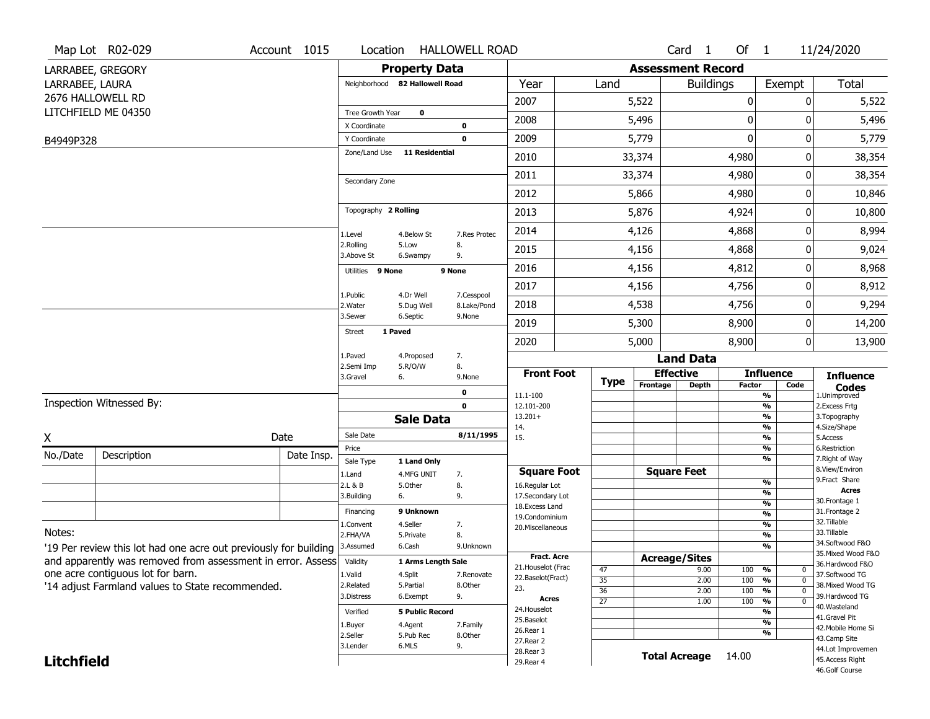|                   | Map Lot R02-029                                                  | Account 1015 | Location                     |                                | <b>HALLOWELL ROAD</b>     |                                    |        |                       |                          | Card <sub>1</sub>    | Of $1$        |                                                                    | 11/24/2020                          |
|-------------------|------------------------------------------------------------------|--------------|------------------------------|--------------------------------|---------------------------|------------------------------------|--------|-----------------------|--------------------------|----------------------|---------------|--------------------------------------------------------------------|-------------------------------------|
|                   | LARRABEE, GREGORY                                                |              |                              | <b>Property Data</b>           |                           |                                    |        |                       | <b>Assessment Record</b> |                      |               |                                                                    |                                     |
| LARRABEE, LAURA   |                                                                  |              |                              | Neighborhood 82 Hallowell Road |                           | Year                               |        | Land                  |                          | <b>Buildings</b>     |               | Exempt                                                             | Total                               |
|                   | 2676 HALLOWELL RD                                                |              |                              |                                |                           | 2007                               |        |                       | 5,522                    |                      | $\mathbf 0$   | 0                                                                  | 5,522                               |
|                   | LITCHFIELD ME 04350                                              |              | Tree Growth Year             | $\mathbf 0$                    | 2008                      |                                    |        | 5,496                 |                          | $\mathbf{0}$         | O             | 5,496                                                              |                                     |
|                   |                                                                  |              | X Coordinate<br>Y Coordinate |                                | 0<br>$\mathbf 0$          | 2009                               |        |                       | 5,779                    |                      | $\mathbf 0$   | 0                                                                  | 5,779                               |
| B4949P328         |                                                                  |              | Zone/Land Use                | 11 Residential                 |                           |                                    |        |                       |                          |                      |               |                                                                    |                                     |
|                   |                                                                  |              |                              |                                |                           | 2010                               |        |                       | 33,374                   |                      | 4,980         | 0                                                                  | 38,354                              |
|                   |                                                                  |              | Secondary Zone               | 2011                           |                           |                                    | 33,374 |                       | 4,980                    | 0                    | 38,354        |                                                                    |                                     |
|                   |                                                                  |              |                              |                                |                           | 2012                               |        |                       | 5,866                    |                      | 4,980         | 0                                                                  | 10,846                              |
|                   |                                                                  |              | Topography 2 Rolling         |                                |                           | 2013                               |        |                       | 5,876                    |                      | 4,924         | 0                                                                  | 10,800                              |
|                   |                                                                  |              | 1.Level                      | 4.Below St                     | 7.Res Protec              | 2014                               |        |                       | 4,126                    |                      | 4,868         | 0                                                                  | 8,994                               |
|                   |                                                                  |              | 2.Rolling<br>3.Above St      | 5.Low<br>6.Swampy              | 8.<br>9.                  | 2015                               |        |                       | 4,156                    |                      | 4,868         | 0                                                                  | 9,024                               |
|                   |                                                                  |              | Utilities 9 None             |                                | 9 None                    | 2016                               |        |                       | 4,156                    |                      | 4,812         | 0                                                                  | 8,968                               |
|                   |                                                                  |              |                              |                                |                           | 2017                               |        |                       | 4,156                    |                      | 4,756         | 0                                                                  | 8,912                               |
|                   |                                                                  |              | 1.Public<br>2. Water         | 4.Dr Well<br>5.Dug Well        | 7.Cesspool<br>8.Lake/Pond | 2018                               |        |                       | 4,538                    |                      | 4,756         | 0                                                                  | 9,294                               |
|                   |                                                                  |              | 3.Sewer                      | 6.Septic                       | 9.None                    | 2019                               |        |                       | 5,300                    |                      | 8,900         | 0                                                                  | 14,200                              |
|                   |                                                                  |              | <b>Street</b>                | 1 Paved                        |                           | 2020                               |        |                       | 5,000                    |                      | 8,900         | 0                                                                  | 13,900                              |
|                   |                                                                  |              |                              | 4.Proposed                     | 7.                        |                                    |        |                       |                          | <b>Land Data</b>     |               |                                                                    |                                     |
|                   |                                                                  |              | 2.Semi Imp<br>3.Gravel       | 5.R/O/W<br>6.                  | 8.<br>9.None              | <b>Front Foot</b>                  |        |                       | <b>Effective</b>         |                      |               | <b>Influence</b>                                                   | <b>Influence</b>                    |
|                   |                                                                  |              |                              |                                | 0                         | 11.1-100                           |        | Type                  | Frontage                 | <b>Depth</b>         | <b>Factor</b> | Code<br>$\overline{\frac{9}{6}}$                                   | <b>Codes</b><br>1.Unimproved        |
|                   | Inspection Witnessed By:                                         |              |                              |                                | 0                         | 12.101-200                         |        |                       |                          |                      |               | $\frac{9}{6}$                                                      | 2.Excess Frtg                       |
|                   |                                                                  |              |                              | <b>Sale Data</b>               |                           | $13.201+$<br>14.                   |        |                       |                          |                      |               | $\overline{\frac{9}{6}}$<br>$\frac{9}{6}$                          | 3. Topography<br>4.Size/Shape       |
| X                 |                                                                  | Date         | Sale Date                    |                                | 8/11/1995                 | 15.                                |        |                       |                          |                      |               | $\frac{9}{6}$                                                      | 5.Access                            |
| No./Date          | Description                                                      | Date Insp.   | Price<br>Sale Type           | 1 Land Only                    |                           |                                    |        |                       |                          |                      |               | %<br>%                                                             | 6.Restriction<br>7. Right of Way    |
|                   |                                                                  |              | 1.Land                       | 4.MFG UNIT                     | 7.                        | <b>Square Foot</b>                 |        |                       |                          | <b>Square Feet</b>   |               |                                                                    | 8.View/Environ<br>9.Fract Share     |
|                   |                                                                  |              | 2.L & B                      | 5.0ther<br>6.                  | 8.<br>9.                  | 16.Regular Lot<br>17.Secondary Lot |        |                       |                          |                      |               | $\frac{9}{6}$<br>%                                                 | <b>Acres</b>                        |
|                   |                                                                  |              | 3.Building                   |                                |                           | 18.Excess Land                     |        |                       |                          |                      |               | $\frac{9}{6}$                                                      | 30. Frontage 1                      |
|                   |                                                                  |              | Financing                    | 9 Unknown                      |                           | 19.Condominium                     |        |                       |                          |                      |               | $\frac{9}{6}$                                                      | 31. Frontage 2<br>32.Tillable       |
| Notes:            |                                                                  |              | 1.Convent<br>2.FHA/VA        | 4.Seller<br>5.Private          | 7.<br>8.                  | 20.Miscellaneous                   |        |                       |                          |                      |               | %<br>%                                                             | 33.Tillable                         |
|                   | '19 Per review this lot had one acre out previously for building |              | 3.Assumed                    | 6.Cash                         | 9.Unknown                 |                                    |        |                       |                          |                      |               | %                                                                  | 34.Softwood F&O                     |
|                   | and apparently was removed from assessment in error. Assess      |              | Validity                     | 1 Arms Length Sale             |                           | <b>Fract. Acre</b>                 |        |                       | <b>Acreage/Sites</b>     |                      |               |                                                                    | 35. Mixed Wood F&O                  |
|                   | one acre contiguous lot for barn.                                |              | 1.Valid                      | 4.Split                        | 7.Renovate                | 21. Houselot (Frac                 |        | 47                    |                          | 9.00                 | 100           | %<br>$\mathbf{0}$                                                  | 36.Hardwood F&O<br>37.Softwood TG   |
|                   | '14 adjust Farmland values to State recommended.                 |              | 2.Related                    | 5.Partial                      | 8.Other                   | 22.Baselot(Fract)<br>23.           |        | $\overline{35}$       |                          | 2.00                 | 100           | $\overline{0}$<br>%                                                | 38. Mixed Wood TG                   |
|                   |                                                                  |              | 3.Distress                   | 6.Exempt                       | 9.                        | Acres                              |        | 36<br>$\overline{27}$ |                          | 2.00<br>1.00         | 100<br>100    | $\frac{9}{6}$<br>$\overline{0}$<br>$\frac{9}{6}$<br>$\overline{0}$ | 39.Hardwood TG                      |
|                   |                                                                  |              | Verified                     | <b>5 Public Record</b>         |                           | 24. Houselot                       |        |                       |                          |                      |               | %                                                                  | 40.Wasteland                        |
|                   |                                                                  |              | 1.Buyer                      | 4.Agent                        | 7.Family                  | 25.Baselot                         |        |                       |                          |                      |               | %                                                                  | 41.Gravel Pit<br>42. Mobile Home Si |
|                   |                                                                  |              | 2.Seller                     | 5.Pub Rec                      | 8.Other                   | 26.Rear 1<br>27. Rear 2            |        |                       |                          |                      |               | %                                                                  | 43.Camp Site                        |
|                   |                                                                  |              | 3.Lender                     | 6.MLS                          | 9.                        | 28. Rear 3                         |        |                       |                          |                      |               |                                                                    | 44.Lot Improvemen                   |
| <b>Litchfield</b> |                                                                  |              |                              |                                |                           | 29. Rear 4                         |        |                       |                          | <b>Total Acreage</b> | 14.00         |                                                                    | 45.Access Right<br>46.Golf Course   |
|                   |                                                                  |              |                              |                                |                           |                                    |        |                       |                          |                      |               |                                                                    |                                     |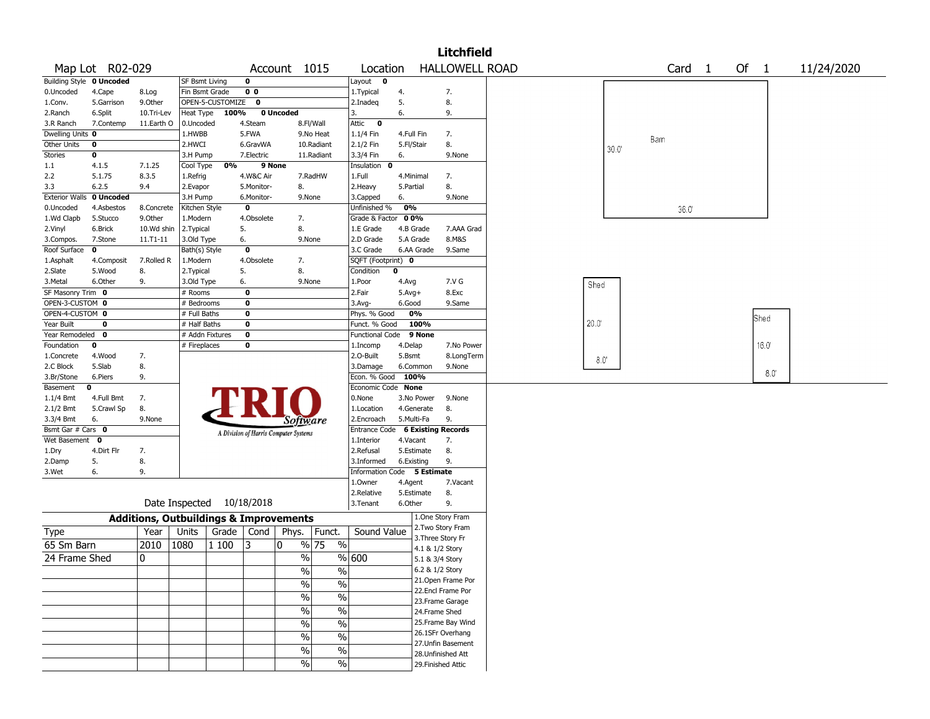|                       |                          |                                                   |                |                    |                |                                       |                          |                             |                                  |                                      | <b>Litchfield</b>         |  |                                                                                                        |  |  |  |  |  |            |
|-----------------------|--------------------------|---------------------------------------------------|----------------|--------------------|----------------|---------------------------------------|--------------------------|-----------------------------|----------------------------------|--------------------------------------|---------------------------|--|--------------------------------------------------------------------------------------------------------|--|--|--|--|--|------------|
|                       | Map Lot R02-029          |                                                   |                |                    |                | Account 1015                          |                          | Location                    |                                  |                                      | <b>HALLOWELL ROAD</b>     |  |                                                                                                        |  |  |  |  |  | 11/24/2020 |
|                       | Building Style 0 Uncoded |                                                   | SF Bsmt Living |                    | 0              |                                       |                          | Layout<br>0                 |                                  |                                      |                           |  |                                                                                                        |  |  |  |  |  |            |
| 0.Uncoded             | 4.Cape                   | 8.Log                                             | Fin Bsmt Grade |                    | 0 <sub>0</sub> |                                       |                          | 1. Typical                  | 4.                               |                                      | 7.                        |  |                                                                                                        |  |  |  |  |  |            |
| 1.Conv.               | 5.Garrison               | 9.0ther                                           |                | OPEN-5-CUSTOMIZE 0 |                |                                       |                          | 2.Inadeq                    | 5.                               |                                      | 8.                        |  |                                                                                                        |  |  |  |  |  |            |
| 2.Ranch               | 6.Split                  | 10.Tri-Lev                                        | Heat Type      | 100%               |                | 0 Uncoded                             |                          | 3.                          | 6.                               |                                      | 9.                        |  |                                                                                                        |  |  |  |  |  |            |
| 3.R Ranch             | 7.Contemp                | 11.Earth O                                        | 0.Uncoded      |                    | 4.Steam        |                                       | 8.Fl/Wall                | Attic<br>0                  |                                  |                                      |                           |  |                                                                                                        |  |  |  |  |  |            |
| Dwelling Units 0      |                          |                                                   | 1.HWBB         |                    | 5.FWA          |                                       | 9.No Heat                | 1.1/4 Fin                   | 4.Full Fin                       |                                      | 7.                        |  |                                                                                                        |  |  |  |  |  |            |
| Other Units           | 0                        |                                                   | 2.HWCI         |                    | 6.GravWA       |                                       | 10.Radiant               | 2.1/2 Fin                   | 5.Fl/Stair                       |                                      | 8.                        |  |                                                                                                        |  |  |  |  |  |            |
| Stories               | 0                        |                                                   | 3.H Pump       |                    | 7.Electric     |                                       | 11.Radiant               | 3.3/4 Fin                   | 6.                               |                                      | 9.None                    |  |                                                                                                        |  |  |  |  |  |            |
| 1.1                   | 4.1.5                    | 7.1.25                                            | Cool Type      | 0%                 | 9 None         |                                       |                          | Insulation<br>0             |                                  |                                      |                           |  |                                                                                                        |  |  |  |  |  |            |
| 2.2                   | 5.1.75                   | 8.3.5                                             | 1.Refrig       |                    | 4.W&C Air      |                                       | 7.RadHW                  | 1.Full                      | 4.Minimal                        |                                      | 7.                        |  |                                                                                                        |  |  |  |  |  |            |
| 3.3                   | 6.2.5                    | 9.4                                               | 2.Evapor       |                    | 5.Monitor-     | 8.                                    |                          | 2.Heavy                     | 5.Partial                        |                                      | 8.                        |  |                                                                                                        |  |  |  |  |  |            |
| <b>Exterior Walls</b> | 0 Uncoded                |                                                   | 3.H Pump       |                    | 6.Monitor-     | 9.None                                |                          | 3.Capped                    | 6.                               |                                      | 9.None                    |  |                                                                                                        |  |  |  |  |  |            |
| 0.Uncoded             | 4.Asbestos               | 8.Concrete                                        | Kitchen Style  |                    | $\mathbf 0$    |                                       |                          | Unfinished %                | 0%                               |                                      |                           |  |                                                                                                        |  |  |  |  |  |            |
| 1.Wd Clapb            | 5.Stucco                 | 9.Other                                           | 1.Modern       |                    | 4.Obsolete     | 7.                                    |                          | Grade & Factor              | 00%                              |                                      |                           |  |                                                                                                        |  |  |  |  |  |            |
| 2.Vinyl               | 6.Brick                  | 10.Wd shin                                        | 2.Typical      |                    | 5.             | 8.                                    |                          | 1.E Grade                   | 4.B Grade                        |                                      | 7.AAA Grad                |  |                                                                                                        |  |  |  |  |  |            |
| 3.Compos.             | 7.Stone                  | 11.T1-11                                          | 3.Old Type     |                    | 6.             | 9.None                                |                          | 2.D Grade                   | 5.A Grade                        |                                      | 8.M&S                     |  |                                                                                                        |  |  |  |  |  |            |
| Roof Surface          | 0                        |                                                   | Bath(s) Style  |                    | $\mathbf 0$    |                                       |                          | 3.C Grade                   |                                  | 6.AA Grade                           | 9.Same                    |  |                                                                                                        |  |  |  |  |  |            |
| 1.Asphalt             | 4.Composit               | 7.Rolled R                                        | 1.Modern       |                    | 4.Obsolete     | 7.                                    |                          | SQFT (Footprint) 0          |                                  |                                      |                           |  |                                                                                                        |  |  |  |  |  |            |
| 2.Slate               | 5.Wood                   | 8.                                                | 2. Typical     |                    | 5.             | 8.                                    |                          | Condition                   | 0                                |                                      |                           |  |                                                                                                        |  |  |  |  |  |            |
| 3. Metal              | 6.Other                  | 9.                                                | 3.Old Type     |                    | 6.             |                                       | 9.None                   | 1.Poor                      | 4.Avg                            |                                      | 7.V G                     |  |                                                                                                        |  |  |  |  |  |            |
| SF Masonry Trim 0     |                          |                                                   | # Rooms        |                    | 0              |                                       |                          | 2.Fair                      | $5.$ Avg $+$                     |                                      | 8.Exc                     |  |                                                                                                        |  |  |  |  |  |            |
| OPEN-3-CUSTOM 0       |                          |                                                   | # Bedrooms     |                    | 0              |                                       |                          | 3.Avg-                      | 6.Good                           |                                      | 9.Same                    |  |                                                                                                        |  |  |  |  |  |            |
| OPEN-4-CUSTOM 0       |                          |                                                   | # Full Baths   |                    | 0              |                                       |                          | Phys. % Good                | 0%                               |                                      |                           |  | Card 1<br>Of 1<br>Barn<br>30.0<br>36.0<br>Shed<br>Shed<br>$20.0^{\circ}$<br>16.0<br>$8.0^\circ$<br>8.0 |  |  |  |  |  |            |
| Year Built            | 0                        |                                                   | # Half Baths   |                    | 0              |                                       |                          | Funct. % Good               |                                  | 100%                                 |                           |  |                                                                                                        |  |  |  |  |  |            |
| Year Remodeled        | $\mathbf 0$              |                                                   |                | # Addn Fixtures    | 0              |                                       |                          |                             | 9 None<br><b>Functional Code</b> |                                      |                           |  |                                                                                                        |  |  |  |  |  |            |
| Foundation            | 0                        |                                                   | # Fireplaces   |                    | 0              |                                       |                          | 1.Incomp                    | 4.Delap                          |                                      | 7.No Power                |  |                                                                                                        |  |  |  |  |  |            |
| 1.Concrete            | 4.Wood                   | 7.                                                |                |                    |                |                                       |                          | 2.0-Built                   | 5.Bsmt                           |                                      | 8.LongTerm                |  |                                                                                                        |  |  |  |  |  |            |
| 2.C Block             | 5.Slab                   | 8.                                                |                |                    |                |                                       |                          | 3.Damage                    | 6.Common                         |                                      | 9.None                    |  |                                                                                                        |  |  |  |  |  |            |
| 3.Br/Stone            | 6.Piers                  | 9.                                                |                |                    |                |                                       |                          | Econ. % Good                | 100%                             |                                      |                           |  |                                                                                                        |  |  |  |  |  |            |
| Basement              | 0                        |                                                   |                |                    |                |                                       |                          | Economic Code None          |                                  |                                      |                           |  |                                                                                                        |  |  |  |  |  |            |
| 1.1/4 Bmt             | 4.Full Bmt               | 7.                                                |                |                    |                |                                       |                          | 0.None                      |                                  | 3.No Power                           | 9.None                    |  |                                                                                                        |  |  |  |  |  |            |
| 2.1/2 Bmt             | 5.Crawl Sp               | 8.                                                |                |                    |                |                                       |                          | 1.Location                  |                                  | 4.Generate                           | 8.                        |  |                                                                                                        |  |  |  |  |  |            |
| 3.3/4 Bmt             | 6.                       | 9.None                                            |                |                    |                | Software                              |                          | 2.Encroach                  | 5.Multi-Fa                       |                                      | 9.                        |  |                                                                                                        |  |  |  |  |  |            |
| Bsmt Gar # Cars 0     |                          |                                                   |                |                    |                | A Division of Harris Computer Systems |                          | Entrance Code               |                                  |                                      | <b>6 Existing Records</b> |  |                                                                                                        |  |  |  |  |  |            |
| Wet Basement          | 0                        |                                                   |                |                    |                |                                       |                          | 1.Interior                  | 4.Vacant                         |                                      | 7.                        |  |                                                                                                        |  |  |  |  |  |            |
| 1.Dry                 | 4.Dirt Flr               | 7.                                                |                |                    |                |                                       |                          | 2.Refusal                   |                                  | 5.Estimate                           | 8.                        |  |                                                                                                        |  |  |  |  |  |            |
| 2.Damp                | 5.                       | 8.                                                |                |                    |                |                                       |                          | 3.Informed                  | 6.Existing                       |                                      | 9.                        |  |                                                                                                        |  |  |  |  |  |            |
| 3.Wet                 | 6.                       | 9.                                                |                |                    |                |                                       |                          | Information Code 5 Estimate |                                  |                                      |                           |  |                                                                                                        |  |  |  |  |  |            |
|                       |                          |                                                   |                |                    |                |                                       |                          | 1.Owner                     | 4.Agent                          |                                      | 7.Vacant                  |  |                                                                                                        |  |  |  |  |  |            |
|                       |                          |                                                   |                |                    |                |                                       |                          | 2.Relative                  |                                  | 5.Estimate                           | 8.                        |  |                                                                                                        |  |  |  |  |  |            |
|                       |                          |                                                   | Date Inspected |                    | 10/18/2018     |                                       |                          | 3. Tenant                   | 6.Other                          |                                      | 9.                        |  |                                                                                                        |  |  |  |  |  |            |
|                       |                          | <b>Additions, Outbuildings &amp; Improvements</b> |                |                    |                |                                       |                          |                             |                                  |                                      | 1.One Story Fram          |  |                                                                                                        |  |  |  |  |  |            |
| Type                  |                          | Year                                              | Units          | Grade              | Cond           | Phys.                                 | Funct.                   | Sound Value                 |                                  |                                      | 2. Two Story Fram         |  |                                                                                                        |  |  |  |  |  |            |
| 65 Sm Barn            |                          | 2010                                              | 1080           | 1 100              | 3              | 0                                     | % 75<br>$\%$             |                             |                                  | 3. Three Story Fr<br>4.1 & 1/2 Story |                           |  |                                                                                                        |  |  |  |  |  |            |
| 24 Frame Shed         |                          | 10                                                |                |                    |                | $\%$                                  |                          | %   600                     |                                  | 5.1 & 3/4 Story                      |                           |  |                                                                                                        |  |  |  |  |  |            |
|                       |                          |                                                   |                |                    |                | $\frac{1}{2}$                         | $\frac{9}{6}$            |                             |                                  | 6.2 & 1/2 Story                      |                           |  |                                                                                                        |  |  |  |  |  |            |
|                       |                          |                                                   |                |                    |                |                                       |                          |                             |                                  |                                      | 21. Open Frame Por        |  |                                                                                                        |  |  |  |  |  |            |
|                       |                          |                                                   |                |                    |                | $\frac{0}{0}$                         | $\overline{\frac{0}{0}}$ |                             |                                  |                                      | 22.Encl Frame Por         |  |                                                                                                        |  |  |  |  |  |            |
|                       |                          |                                                   |                |                    |                | $\frac{1}{2}$                         | $\frac{0}{6}$            |                             |                                  |                                      | 23. Frame Garage          |  |                                                                                                        |  |  |  |  |  |            |
|                       |                          |                                                   |                |                    |                | $\frac{1}{2}$                         | $\overline{\frac{0}{0}}$ |                             |                                  | 24.Frame Shed                        |                           |  |                                                                                                        |  |  |  |  |  |            |
|                       |                          |                                                   |                |                    |                |                                       |                          |                             |                                  |                                      | 25. Frame Bay Wind        |  |                                                                                                        |  |  |  |  |  |            |
|                       |                          |                                                   |                |                    |                | $\frac{1}{2}$                         | $\frac{0}{6}$            |                             |                                  |                                      | 26.1SFr Overhang          |  |                                                                                                        |  |  |  |  |  |            |
|                       |                          |                                                   |                |                    |                | $\frac{0}{0}$                         | $\overline{\frac{0}{0}}$ |                             |                                  |                                      | 27.Unfin Basement         |  |                                                                                                        |  |  |  |  |  |            |
|                       |                          |                                                   |                |                    |                | $\%$                                  | $\overline{\frac{0}{0}}$ |                             |                                  |                                      | 28. Unfinished Att        |  |                                                                                                        |  |  |  |  |  |            |
|                       |                          |                                                   |                |                    |                | $\frac{1}{2}$                         | $\sqrt{6}$               |                             |                                  |                                      | 29. Finished Attic        |  |                                                                                                        |  |  |  |  |  |            |
|                       |                          |                                                   |                |                    |                |                                       |                          |                             |                                  |                                      |                           |  |                                                                                                        |  |  |  |  |  |            |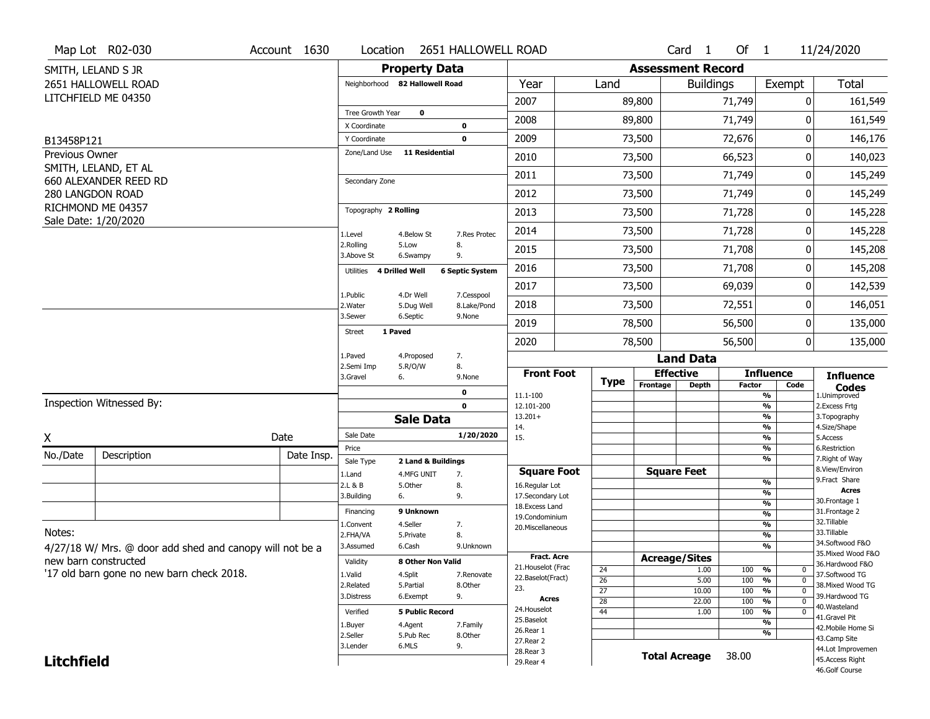|                   | Map Lot R02-030                                          | Account 1630 | Location                            |                        | 2651 HALLOWELL ROAD    |                                     |                 |                              | Card <sub>1</sub> | Of $1$        |                                | 11/24/2020                           |  |  |
|-------------------|----------------------------------------------------------|--------------|-------------------------------------|------------------------|------------------------|-------------------------------------|-----------------|------------------------------|-------------------|---------------|--------------------------------|--------------------------------------|--|--|
|                   | SMITH, LELAND S JR                                       |              |                                     | <b>Property Data</b>   |                        |                                     |                 | <b>Assessment Record</b>     |                   |               |                                |                                      |  |  |
|                   | 2651 HALLOWELL ROAD                                      |              | Neighborhood 82 Hallowell Road      |                        |                        | Year                                | Land            |                              | <b>Buildings</b>  |               | Exempt                         | Total                                |  |  |
|                   | LITCHFIELD ME 04350                                      |              |                                     |                        |                        | 2007                                |                 | 89,800                       |                   | 71,749        | 0                              | 161,549                              |  |  |
|                   |                                                          |              | Tree Growth Year                    | $\mathbf 0$            |                        | 2008                                |                 | 89,800                       |                   | 71,749        | O                              | 161,549                              |  |  |
| B13458P121        |                                                          |              | X Coordinate<br>Y Coordinate        |                        | 0<br>0                 | 2009                                |                 | 73,500                       |                   | 72,676        | 0                              | 146,176                              |  |  |
| Previous Owner    |                                                          |              | Zone/Land Use                       | <b>11 Residential</b>  |                        |                                     |                 |                              |                   |               | 0                              |                                      |  |  |
|                   | SMITH, LELAND, ET AL                                     |              |                                     |                        |                        | 2010                                |                 | 73,500                       |                   | 66,523        |                                | 140,023                              |  |  |
|                   | 660 ALEXANDER REED RD                                    |              | Secondary Zone                      |                        |                        | 2011                                |                 | 73,500                       |                   | 71,749        | 0                              | 145,249                              |  |  |
|                   | 280 LANGDON ROAD                                         |              |                                     |                        |                        | 2012                                |                 | 73,500                       |                   | 71,749        | 0                              | 145,249                              |  |  |
|                   | RICHMOND ME 04357<br>Sale Date: 1/20/2020                |              | Topography 2 Rolling                |                        |                        | 2013                                |                 | 73,500                       |                   | 71,728        | 0                              | 145,228                              |  |  |
|                   |                                                          |              | 1.Level                             | 4.Below St             | 7.Res Protec           | 2014                                |                 | 73,500                       |                   | 71,728        | 0                              | 145,228                              |  |  |
|                   |                                                          |              | 2.Rolling<br>3.Above St             | 5.Low<br>6.Swampy      | 8.<br>9.               | 2015                                |                 | 73,500                       |                   | 71,708        | 0                              | 145,208                              |  |  |
|                   |                                                          |              | Utilities 4 Drilled Well            |                        | <b>6 Septic System</b> | 2016                                |                 | 73,500                       |                   | 71,708        | $\Omega$                       | 145,208                              |  |  |
|                   |                                                          |              | 1.Public                            | 4.Dr Well              | 7.Cesspool             | 2017                                |                 | 73,500                       |                   | 69,039        | 0                              | 142,539                              |  |  |
|                   |                                                          |              | 2. Water                            | 5.Dug Well             | 8.Lake/Pond            | 2018                                |                 | 73,500                       |                   | 72,551        | 0                              | 146,051                              |  |  |
|                   |                                                          |              | 3.Sewer<br>1 Paved<br><b>Street</b> | 6.Septic               | 9.None                 | 2019                                |                 | 78,500                       |                   | 56,500        | 0                              | 135,000                              |  |  |
|                   |                                                          |              |                                     |                        |                        | 2020                                |                 | 78,500                       |                   | 56,500        | 0                              | 135,000                              |  |  |
|                   |                                                          |              | 1.Paved<br>2.Semi Imp               | 4.Proposed<br>5.R/O/W  | 7.<br>8.               |                                     |                 |                              | <b>Land Data</b>  |               |                                |                                      |  |  |
|                   |                                                          |              | 3.Gravel                            | 6.                     | 9.None                 | <b>Front Foot</b>                   | Type            | <b>Effective</b><br>Frontage | <b>Depth</b>      | <b>Factor</b> | <b>Influence</b><br>Code       | <b>Influence</b>                     |  |  |
|                   |                                                          |              |                                     |                        | 0                      | 11.1-100                            |                 |                              |                   |               | $\overline{\frac{9}{6}}$       | <b>Codes</b><br>1.Unimproved         |  |  |
|                   | Inspection Witnessed By:                                 |              |                                     |                        | 0                      | 12.101-200<br>$13.201+$             |                 |                              |                   |               | $\frac{9}{6}$<br>$\frac{9}{6}$ | 2.Excess Frtg<br>3. Topography       |  |  |
|                   |                                                          |              |                                     | <b>Sale Data</b>       |                        | 14.                                 |                 |                              |                   |               | %                              | 4.Size/Shape                         |  |  |
| X                 |                                                          | Date         | Sale Date                           |                        | 1/20/2020              | 15.                                 |                 |                              |                   |               | $\frac{9}{6}$<br>%             | 5.Access                             |  |  |
| No./Date          | Description                                              | Date Insp.   | Price<br>Sale Type                  | 2 Land & Buildings     |                        |                                     |                 |                              |                   |               | %                              | 6.Restriction<br>7. Right of Way     |  |  |
|                   |                                                          |              | 1.Land                              | 4.MFG UNIT             | 7.                     | <b>Square Foot</b>                  |                 | <b>Square Feet</b>           |                   |               |                                | 8.View/Environ                       |  |  |
|                   |                                                          |              | 2.L & B                             | 5.0ther                | 8.                     | 16.Regular Lot                      |                 |                              |                   |               | %<br>%                         | 9. Fract Share<br><b>Acres</b>       |  |  |
|                   |                                                          |              | 3.Building                          | 6.                     | 9.                     | 17.Secondary Lot<br>18. Excess Land |                 |                              |                   |               | %                              | 30. Frontage 1                       |  |  |
|                   |                                                          |              | Financing                           | 9 Unknown              |                        | 19.Condominium                      |                 |                              |                   |               | %                              | 31. Frontage 2                       |  |  |
| Notes:            |                                                          |              | 1.Convent                           | 4.Seller               | 7.                     | 20.Miscellaneous                    |                 |                              |                   |               | %                              | 32. Tillable<br>33.Tillable          |  |  |
|                   |                                                          |              | 2.FHA/VA<br>3.Assumed               | 5.Private<br>6.Cash    | 8.<br>9.Unknown        |                                     |                 |                              |                   |               | %<br>%                         | 34.Softwood F&O                      |  |  |
|                   | 4/27/18 W/ Mrs. @ door add shed and canopy will not be a |              |                                     |                        |                        | <b>Fract. Acre</b>                  |                 | <b>Acreage/Sites</b>         |                   |               |                                | 35. Mixed Wood F&O                   |  |  |
|                   | new barn constructed                                     |              | Validity                            | 8 Other Non Valid      |                        | 21. Houselot (Frac                  | 24              |                              | 1.00              | 100           | %<br>0                         | 36.Hardwood F&O                      |  |  |
|                   | '17 old barn gone no new barn check 2018.                |              | 1.Valid                             | 4.Split                | 7.Renovate             | 22.Baselot(Fract)                   | $\overline{26}$ |                              | 5.00              | 100           | $\frac{9}{6}$<br>$\mathbf 0$   | 37.Softwood TG                       |  |  |
|                   |                                                          |              | 2.Related                           | 5.Partial              | 8.Other                | 23.                                 | $\overline{27}$ |                              | 10.00             | 100           | $\frac{9}{6}$<br>$\mathbf 0$   | 38. Mixed Wood TG<br>39.Hardwood TG  |  |  |
|                   |                                                          |              | 9.<br>3.Distress<br>6.Exempt        |                        |                        | <b>Acres</b>                        | 28              |                              | 22.00             | 100           | $\frac{9}{6}$<br>0             | 40.Wasteland                         |  |  |
|                   |                                                          |              | Verified                            | <b>5 Public Record</b> |                        | 24. Houselot                        | 44              |                              | 1.00              | 100           | %<br>0                         | 41.Gravel Pit                        |  |  |
|                   |                                                          |              | 1.Buyer<br>4.Agent<br>7.Family      |                        |                        |                                     |                 |                              |                   | %             |                                |                                      |  |  |
|                   |                                                          |              |                                     |                        |                        | 25.Baselot                          |                 |                              |                   |               |                                | 42. Mobile Home Si                   |  |  |
|                   |                                                          |              | 2.Seller                            | 5.Pub Rec              | 8.Other                | 26.Rear 1<br>27. Rear 2             |                 |                              |                   |               | %                              | 43.Camp Site                         |  |  |
| <b>Litchfield</b> |                                                          |              | 3.Lender                            | 6.MLS                  | 9.                     | 28. Rear 3<br>29. Rear 4            |                 | <b>Total Acreage</b>         |                   | 38.00         |                                | 44.Lot Improvemen<br>45.Access Right |  |  |